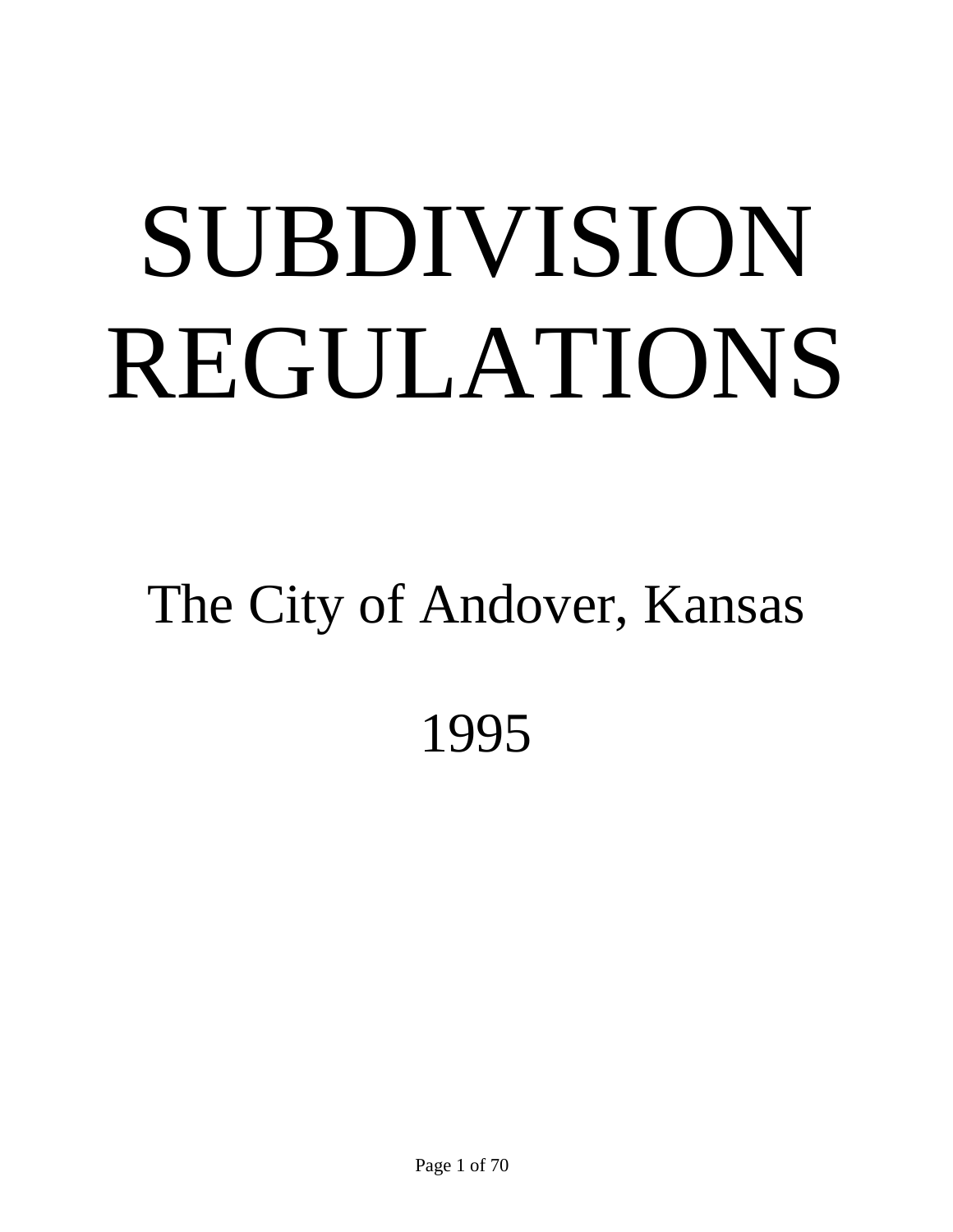# SUBDIVISION REGULATIONS

## The City of Andover, Kansas 1995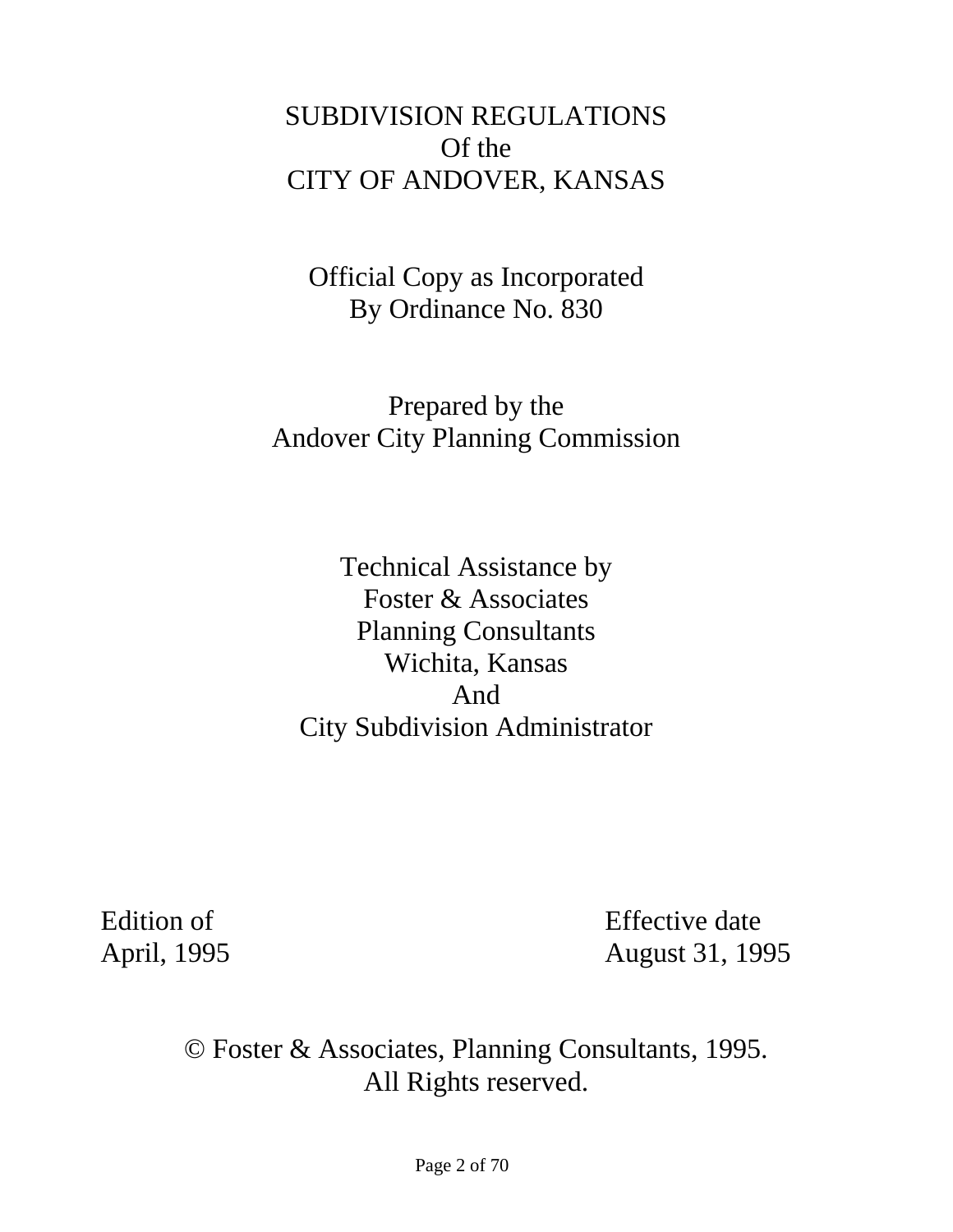## SUBDIVISION REGULATIONS Of the CITY OF ANDOVER, KANSAS

Official Copy as Incorporated By Ordinance No. 830

Prepared by the Andover City Planning Commission

Technical Assistance by Foster & Associates Planning Consultants Wichita, Kansas And City Subdivision Administrator

Edition of Effective date April, 1995 **August 31, 1995** 

> © Foster & Associates, Planning Consultants, 1995. All Rights reserved.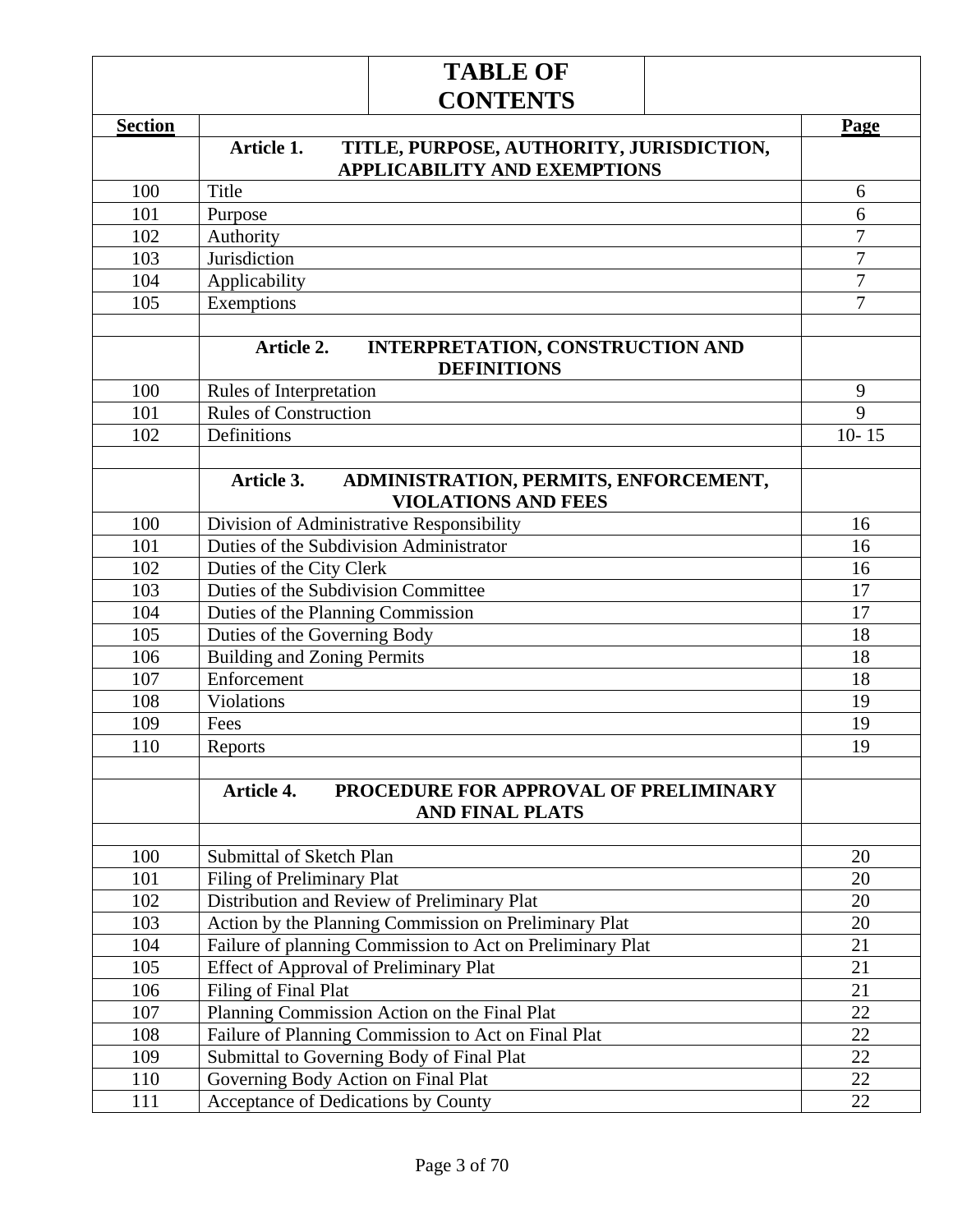|                | <b>TABLE OF</b>                                                                   |                                  |  |  |  |  |
|----------------|-----------------------------------------------------------------------------------|----------------------------------|--|--|--|--|
|                | <b>CONTENTS</b>                                                                   |                                  |  |  |  |  |
| <b>Section</b> |                                                                                   | Page                             |  |  |  |  |
|                | Article 1.<br>TITLE, PURPOSE, AUTHORITY, JURISDICTION,                            |                                  |  |  |  |  |
|                | <b>APPLICABILITY AND EXEMPTIONS</b>                                               |                                  |  |  |  |  |
| 100            | Title                                                                             | 6                                |  |  |  |  |
| 101            | Purpose                                                                           | 6                                |  |  |  |  |
| 102            | Authority                                                                         | 7                                |  |  |  |  |
| 103            | Jurisdiction                                                                      | $\overline{7}$                   |  |  |  |  |
| 104            | Applicability                                                                     | $\overline{7}$<br>$\overline{7}$ |  |  |  |  |
| 105            | Exemptions                                                                        |                                  |  |  |  |  |
|                | Article 2.<br><b>INTERPRETATION, CONSTRUCTION AND</b><br><b>DEFINITIONS</b>       |                                  |  |  |  |  |
| 100            | Rules of Interpretation                                                           | 9                                |  |  |  |  |
| 101            | <b>Rules of Construction</b>                                                      | 9                                |  |  |  |  |
| 102            | Definitions                                                                       | $10 - 15$                        |  |  |  |  |
|                |                                                                                   |                                  |  |  |  |  |
|                | ADMINISTRATION, PERMITS, ENFORCEMENT,<br>Article 3.<br><b>VIOLATIONS AND FEES</b> |                                  |  |  |  |  |
| 100            | Division of Administrative Responsibility                                         | 16                               |  |  |  |  |
| 101            | Duties of the Subdivision Administrator                                           | 16                               |  |  |  |  |
| 102            | Duties of the City Clerk                                                          | 16                               |  |  |  |  |
| 103            | Duties of the Subdivision Committee                                               | 17                               |  |  |  |  |
| 104            | Duties of the Planning Commission                                                 | 17                               |  |  |  |  |
| 105            | Duties of the Governing Body                                                      | 18                               |  |  |  |  |
| 106            | <b>Building and Zoning Permits</b>                                                | 18                               |  |  |  |  |
| 107            | Enforcement                                                                       | 18                               |  |  |  |  |
| 108            | Violations                                                                        | 19                               |  |  |  |  |
| 109            | Fees                                                                              | 19                               |  |  |  |  |
| 110            | Reports                                                                           | 19                               |  |  |  |  |
|                | Article 4.<br>PROCEDURE FOR APPROVAL OF PRELIMINARY<br><b>AND FINAL PLATS</b>     |                                  |  |  |  |  |
| 100            | Submittal of Sketch Plan                                                          | 20                               |  |  |  |  |
| 101            | Filing of Preliminary Plat                                                        | 20                               |  |  |  |  |
| 102            | Distribution and Review of Preliminary Plat                                       | 20                               |  |  |  |  |
| 103            | Action by the Planning Commission on Preliminary Plat                             | 20                               |  |  |  |  |
| 104            | Failure of planning Commission to Act on Preliminary Plat                         | 21                               |  |  |  |  |
| 105            | <b>Effect of Approval of Preliminary Plat</b>                                     | 21                               |  |  |  |  |
| 106            | Filing of Final Plat                                                              |                                  |  |  |  |  |
| 107            | Planning Commission Action on the Final Plat                                      |                                  |  |  |  |  |
| 108            | 22<br>22<br>Failure of Planning Commission to Act on Final Plat                   |                                  |  |  |  |  |
| 109            | Submittal to Governing Body of Final Plat<br>22                                   |                                  |  |  |  |  |
| 110            | Governing Body Action on Final Plat<br>22                                         |                                  |  |  |  |  |
| 111            | 22                                                                                |                                  |  |  |  |  |
|                | Acceptance of Dedications by County                                               |                                  |  |  |  |  |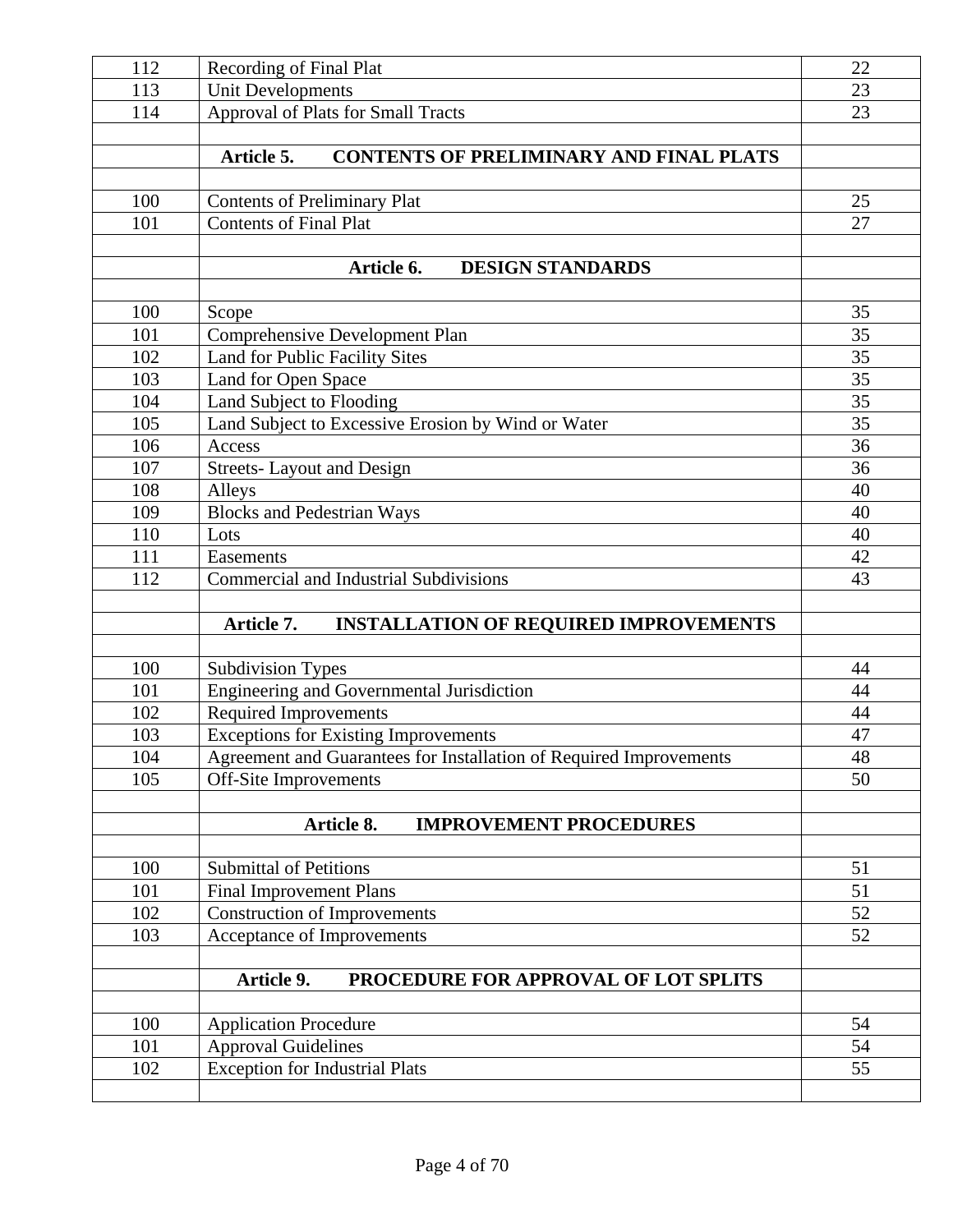| 112 | <b>Recording of Final Plat</b>                                     |             |  |  |  |  |
|-----|--------------------------------------------------------------------|-------------|--|--|--|--|
| 113 | <b>Unit Developments</b>                                           | 23          |  |  |  |  |
| 114 | <b>Approval of Plats for Small Tracts</b>                          |             |  |  |  |  |
|     |                                                                    |             |  |  |  |  |
|     | <b>CONTENTS OF PRELIMINARY AND FINAL PLATS</b><br>Article 5.       |             |  |  |  |  |
|     |                                                                    |             |  |  |  |  |
| 100 | <b>Contents of Preliminary Plat</b>                                | 25          |  |  |  |  |
| 101 | <b>Contents of Final Plat</b>                                      | 27          |  |  |  |  |
|     |                                                                    |             |  |  |  |  |
|     | <b>DESIGN STANDARDS</b><br>Article 6.                              |             |  |  |  |  |
|     |                                                                    |             |  |  |  |  |
| 100 | Scope                                                              | 35          |  |  |  |  |
| 101 | <b>Comprehensive Development Plan</b>                              | 35          |  |  |  |  |
| 102 | Land for Public Facility Sites                                     | 35          |  |  |  |  |
| 103 | Land for Open Space                                                | 35          |  |  |  |  |
| 104 | Land Subject to Flooding                                           | 35          |  |  |  |  |
| 105 | Land Subject to Excessive Erosion by Wind or Water                 | 35          |  |  |  |  |
| 106 | Access                                                             | 36          |  |  |  |  |
| 107 | <b>Streets-Layout and Design</b>                                   | 36          |  |  |  |  |
| 108 | Alleys                                                             | 40          |  |  |  |  |
| 109 | <b>Blocks and Pedestrian Ways</b>                                  | 40          |  |  |  |  |
| 110 | Lots                                                               | 40          |  |  |  |  |
| 111 | Easements                                                          | 42          |  |  |  |  |
| 112 | <b>Commercial and Industrial Subdivisions</b>                      | 43          |  |  |  |  |
|     |                                                                    |             |  |  |  |  |
|     | <b>INSTALLATION OF REQUIRED IMPROVEMENTS</b><br>Article 7.         |             |  |  |  |  |
|     |                                                                    |             |  |  |  |  |
| 100 | <b>Subdivision Types</b>                                           | 44          |  |  |  |  |
| 101 | Engineering and Governmental Jurisdiction                          | 44          |  |  |  |  |
| 102 | <b>Required Improvements</b>                                       | 44          |  |  |  |  |
| 103 | Exceptions for Existing Improvements                               | 47          |  |  |  |  |
| 104 | Agreement and Guarantees for Installation of Required Improvements | $\sqrt{48}$ |  |  |  |  |
| 105 | <b>Off-Site Improvements</b>                                       | 50          |  |  |  |  |
|     |                                                                    |             |  |  |  |  |
|     | Article 8.<br><b>IMPROVEMENT PROCEDURES</b>                        |             |  |  |  |  |
| 100 | <b>Submittal of Petitions</b>                                      | 51          |  |  |  |  |
|     | <b>Final Improvement Plans</b>                                     |             |  |  |  |  |
| 101 |                                                                    | 51          |  |  |  |  |
| 102 | <b>Construction of Improvements</b>                                | 52          |  |  |  |  |
| 103 | Acceptance of Improvements                                         | 52          |  |  |  |  |
|     | Article 9.<br>PROCEDURE FOR APPROVAL OF LOT SPLITS                 |             |  |  |  |  |
|     |                                                                    |             |  |  |  |  |
| 100 | <b>Application Procedure</b>                                       | 54          |  |  |  |  |
| 101 | <b>Approval Guidelines</b>                                         | 54          |  |  |  |  |
| 102 | <b>Exception for Industrial Plats</b>                              |             |  |  |  |  |
|     |                                                                    | 55          |  |  |  |  |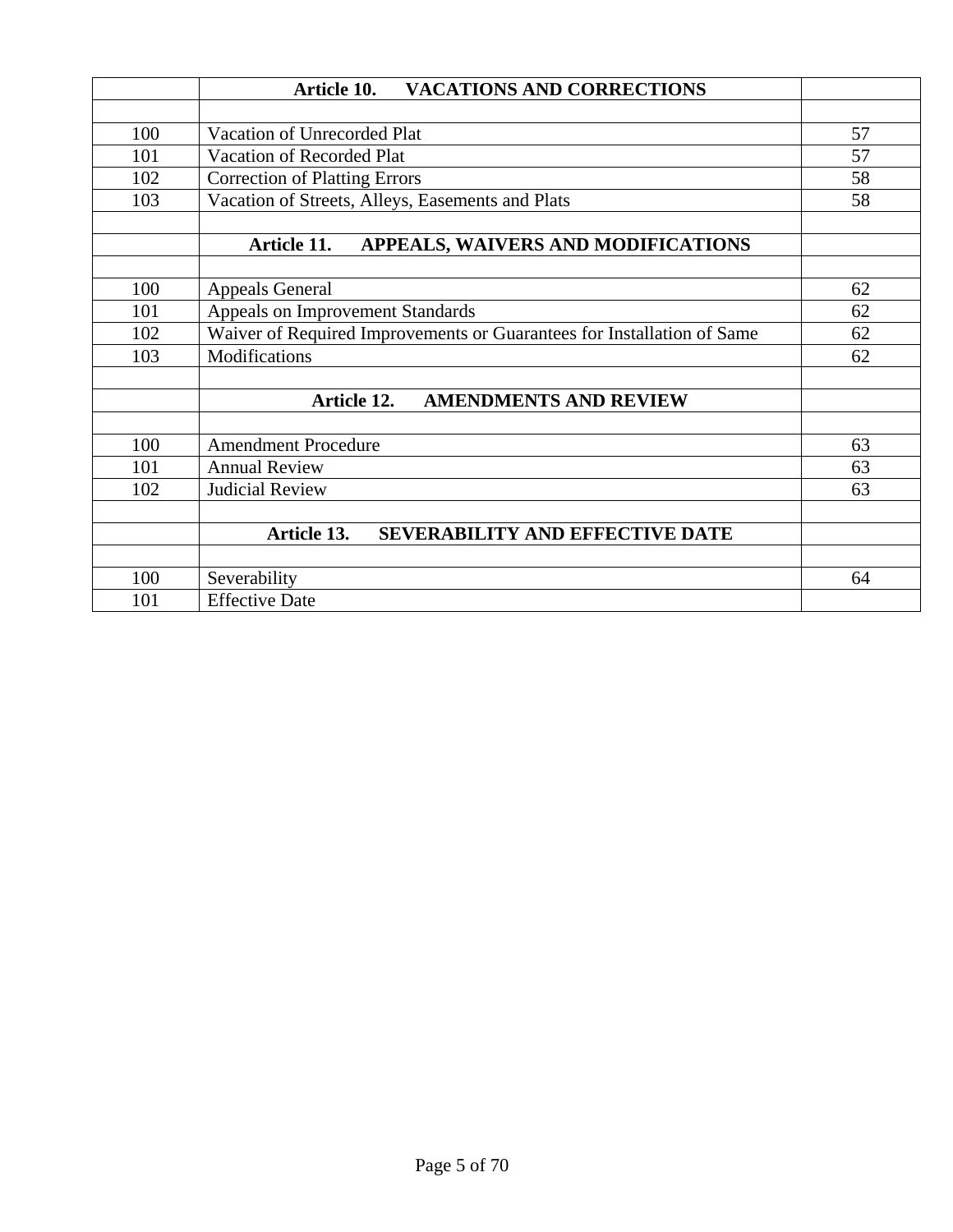|     | Article 10.<br><b>VACATIONS AND CORRECTIONS</b>                              |    |  |  |
|-----|------------------------------------------------------------------------------|----|--|--|
|     |                                                                              |    |  |  |
| 100 | Vacation of Unrecorded Plat                                                  | 57 |  |  |
| 101 | Vacation of Recorded Plat                                                    | 57 |  |  |
| 102 | <b>Correction of Platting Errors</b>                                         | 58 |  |  |
| 103 | Vacation of Streets, Alleys, Easements and Plats                             | 58 |  |  |
|     | APPEALS, WAIVERS AND MODIFICATIONS<br>Article 11.                            |    |  |  |
| 100 | <b>Appeals General</b>                                                       | 62 |  |  |
| 101 | Appeals on Improvement Standards<br>62                                       |    |  |  |
| 102 | Waiver of Required Improvements or Guarantees for Installation of Same<br>62 |    |  |  |
| 103 | Modifications                                                                | 62 |  |  |
|     | Article 12.<br><b>AMENDMENTS AND REVIEW</b>                                  |    |  |  |
| 100 | <b>Amendment Procedure</b>                                                   | 63 |  |  |
| 101 | <b>Annual Review</b>                                                         | 63 |  |  |
| 102 | <b>Judicial Review</b>                                                       | 63 |  |  |
|     | SEVERABILITY AND EFFECTIVE DATE<br>Article 13.                               |    |  |  |
| 100 | Severability                                                                 | 64 |  |  |
| 101 | <b>Effective Date</b>                                                        |    |  |  |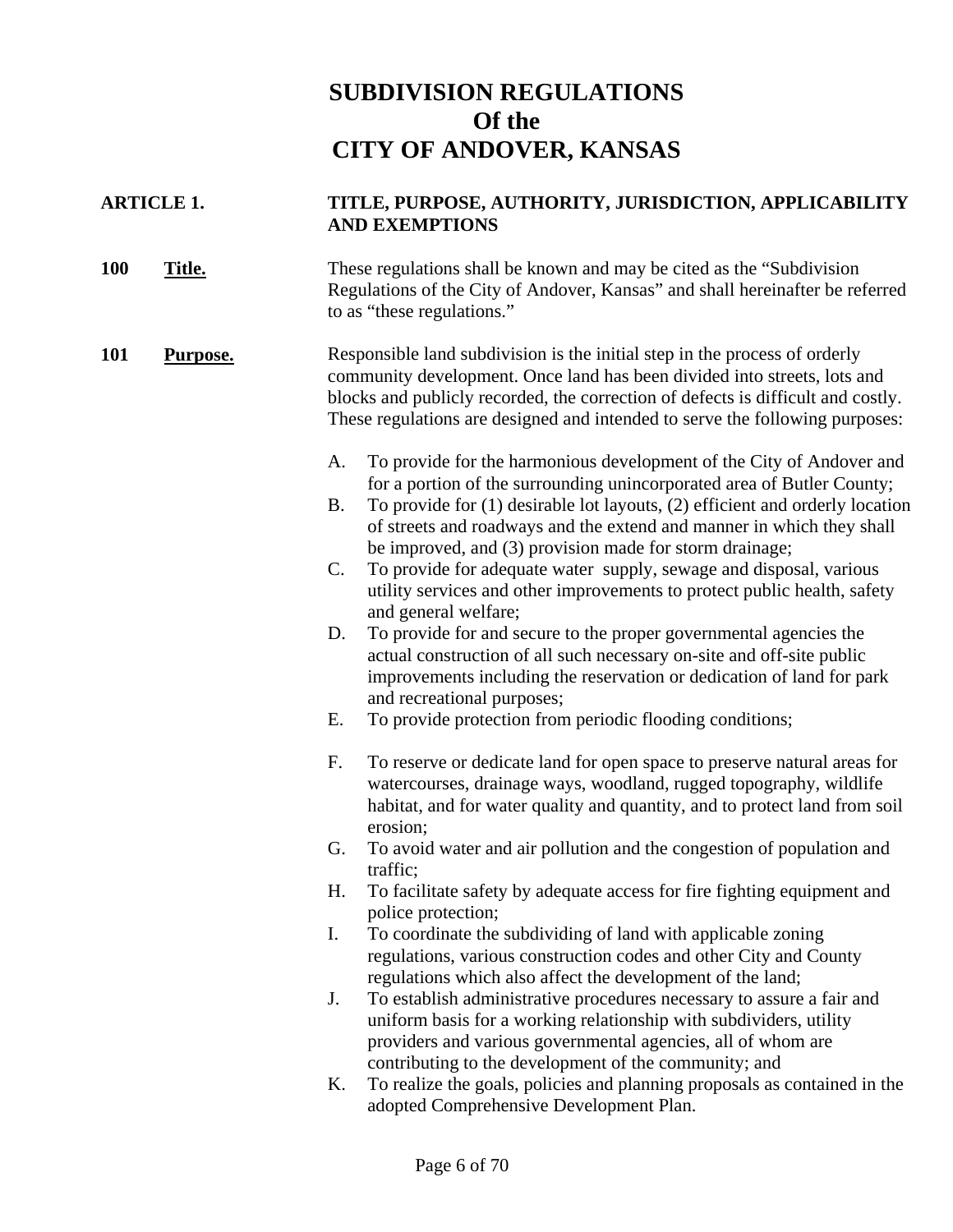## **SUBDIVISION REGULATIONS Of the CITY OF ANDOVER, KANSAS**

## **ARTICLE 1. TITLE, PURPOSE, AUTHORITY, JURISDICTION, APPLICABILITY AND EXEMPTIONS**

**100 Title.** These regulations shall be known and may be cited as the "Subdivision" Regulations of the City of Andover, Kansas" and shall hereinafter be referred to as "these regulations."

#### **101 Purpose.** Responsible land subdivision is the initial step in the process of orderly community development. Once land has been divided into streets, lots and blocks and publicly recorded, the correction of defects is difficult and costly. These regulations are designed and intended to serve the following purposes:

- A. To provide for the harmonious development of the City of Andover and for a portion of the surrounding unincorporated area of Butler County;
- B. To provide for (1) desirable lot layouts, (2) efficient and orderly location of streets and roadways and the extend and manner in which they shall be improved, and (3) provision made for storm drainage;
- C. To provide for adequate water supply, sewage and disposal, various utility services and other improvements to protect public health, safety and general welfare;
- D. To provide for and secure to the proper governmental agencies the actual construction of all such necessary on-site and off-site public improvements including the reservation or dedication of land for park and recreational purposes;
- E. To provide protection from periodic flooding conditions;
- F. To reserve or dedicate land for open space to preserve natural areas for watercourses, drainage ways, woodland, rugged topography, wildlife habitat, and for water quality and quantity, and to protect land from soil erosion;
- G. To avoid water and air pollution and the congestion of population and traffic;
- H. To facilitate safety by adequate access for fire fighting equipment and police protection;
- I. To coordinate the subdividing of land with applicable zoning regulations, various construction codes and other City and County regulations which also affect the development of the land;
- J. To establish administrative procedures necessary to assure a fair and uniform basis for a working relationship with subdividers, utility providers and various governmental agencies, all of whom are contributing to the development of the community; and
- K. To realize the goals, policies and planning proposals as contained in the adopted Comprehensive Development Plan.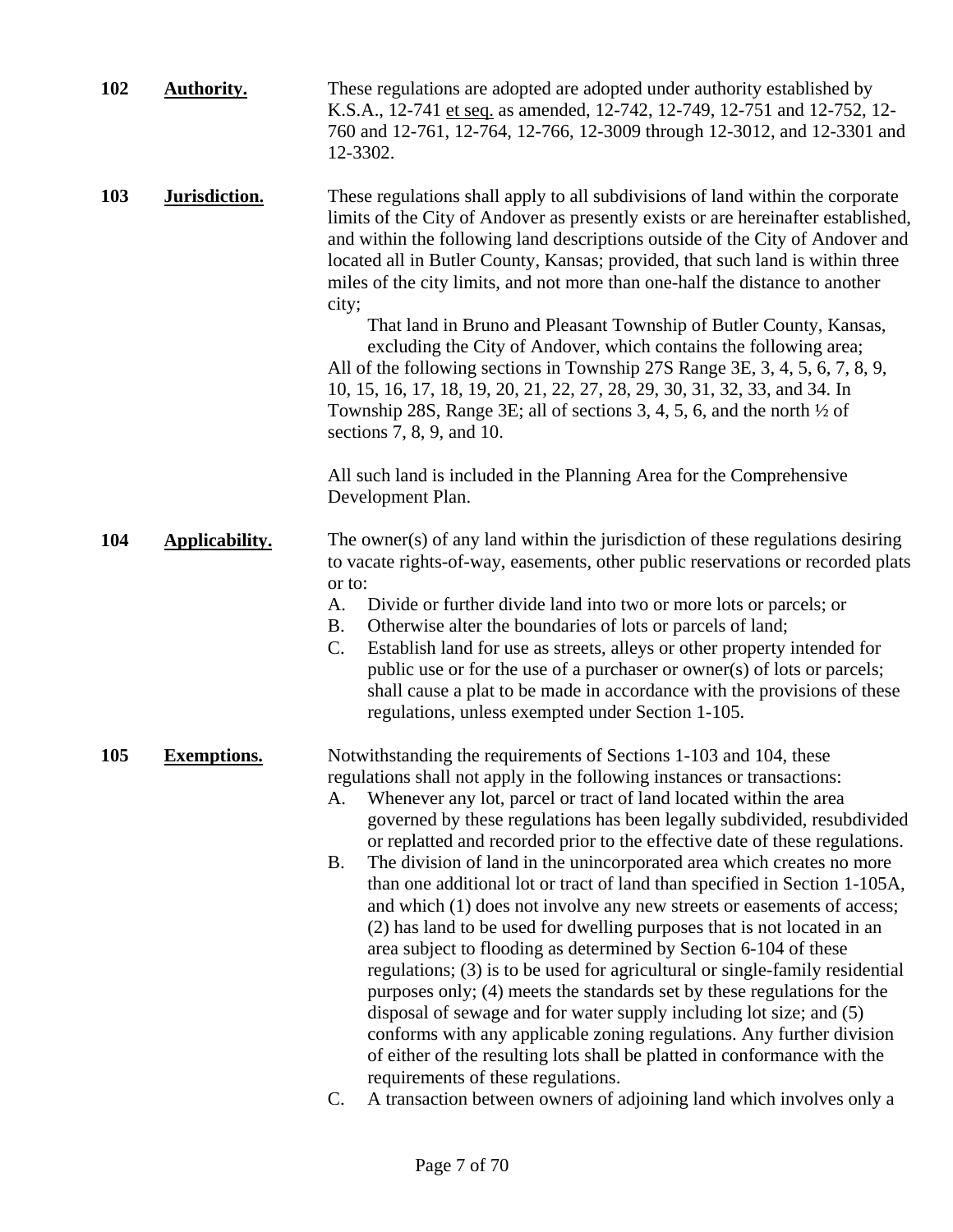| 102 | <b>Authority.</b>  | These regulations are adopted are adopted under authority established by<br>K.S.A., 12-741 et seq. as amended, 12-742, 12-749, 12-751 and 12-752, 12-<br>760 and 12-761, 12-764, 12-766, 12-3009 through 12-3012, and 12-3301 and<br>12-3302.                                                                                                                                                                                                                                                                                                                                                                                                                                                                                                                                                                                                                                                                                                                                                                                                                                                                                                                                                                                                                                      |  |
|-----|--------------------|------------------------------------------------------------------------------------------------------------------------------------------------------------------------------------------------------------------------------------------------------------------------------------------------------------------------------------------------------------------------------------------------------------------------------------------------------------------------------------------------------------------------------------------------------------------------------------------------------------------------------------------------------------------------------------------------------------------------------------------------------------------------------------------------------------------------------------------------------------------------------------------------------------------------------------------------------------------------------------------------------------------------------------------------------------------------------------------------------------------------------------------------------------------------------------------------------------------------------------------------------------------------------------|--|
| 103 | Jurisdiction.      | These regulations shall apply to all subdivisions of land within the corporate<br>limits of the City of Andover as presently exists or are hereinafter established,<br>and within the following land descriptions outside of the City of Andover and<br>located all in Butler County, Kansas; provided, that such land is within three<br>miles of the city limits, and not more than one-half the distance to another<br>city;<br>That land in Bruno and Pleasant Township of Butler County, Kansas,<br>excluding the City of Andover, which contains the following area;<br>All of the following sections in Township 27S Range 3E, 3, 4, 5, 6, 7, 8, 9,<br>10, 15, 16, 17, 18, 19, 20, 21, 22, 27, 28, 29, 30, 31, 32, 33, and 34. In<br>Township 28S, Range 3E; all of sections 3, 4, 5, 6, and the north $\frac{1}{2}$ of<br>sections 7, 8, 9, and 10.<br>All such land is included in the Planning Area for the Comprehensive<br>Development Plan.                                                                                                                                                                                                                                                                                                                           |  |
| 104 | Applicability.     | The owner(s) of any land within the jurisdiction of these regulations desiring<br>to vacate rights-of-way, easements, other public reservations or recorded plats<br>or to:<br>Divide or further divide land into two or more lots or parcels; or<br>A.<br>Otherwise alter the boundaries of lots or parcels of land;<br>Β.<br>C.<br>Establish land for use as streets, alleys or other property intended for<br>public use or for the use of a purchaser or owner(s) of lots or parcels;<br>shall cause a plat to be made in accordance with the provisions of these<br>regulations, unless exempted under Section 1-105.                                                                                                                                                                                                                                                                                                                                                                                                                                                                                                                                                                                                                                                         |  |
| 105 | <b>Exemptions.</b> | Notwithstanding the requirements of Sections 1-103 and 104, these<br>regulations shall not apply in the following instances or transactions:<br>Whenever any lot, parcel or tract of land located within the area<br>A.<br>governed by these regulations has been legally subdivided, resubdivided<br>or replatted and recorded prior to the effective date of these regulations.<br>The division of land in the unincorporated area which creates no more<br>Β.<br>than one additional lot or tract of land than specified in Section 1-105A,<br>and which (1) does not involve any new streets or easements of access;<br>(2) has land to be used for dwelling purposes that is not located in an<br>area subject to flooding as determined by Section 6-104 of these<br>regulations; (3) is to be used for agricultural or single-family residential<br>purposes only; (4) meets the standards set by these regulations for the<br>disposal of sewage and for water supply including lot size; and (5)<br>conforms with any applicable zoning regulations. Any further division<br>of either of the resulting lots shall be platted in conformance with the<br>requirements of these regulations.<br>A transaction between owners of adjoining land which involves only a<br>C. |  |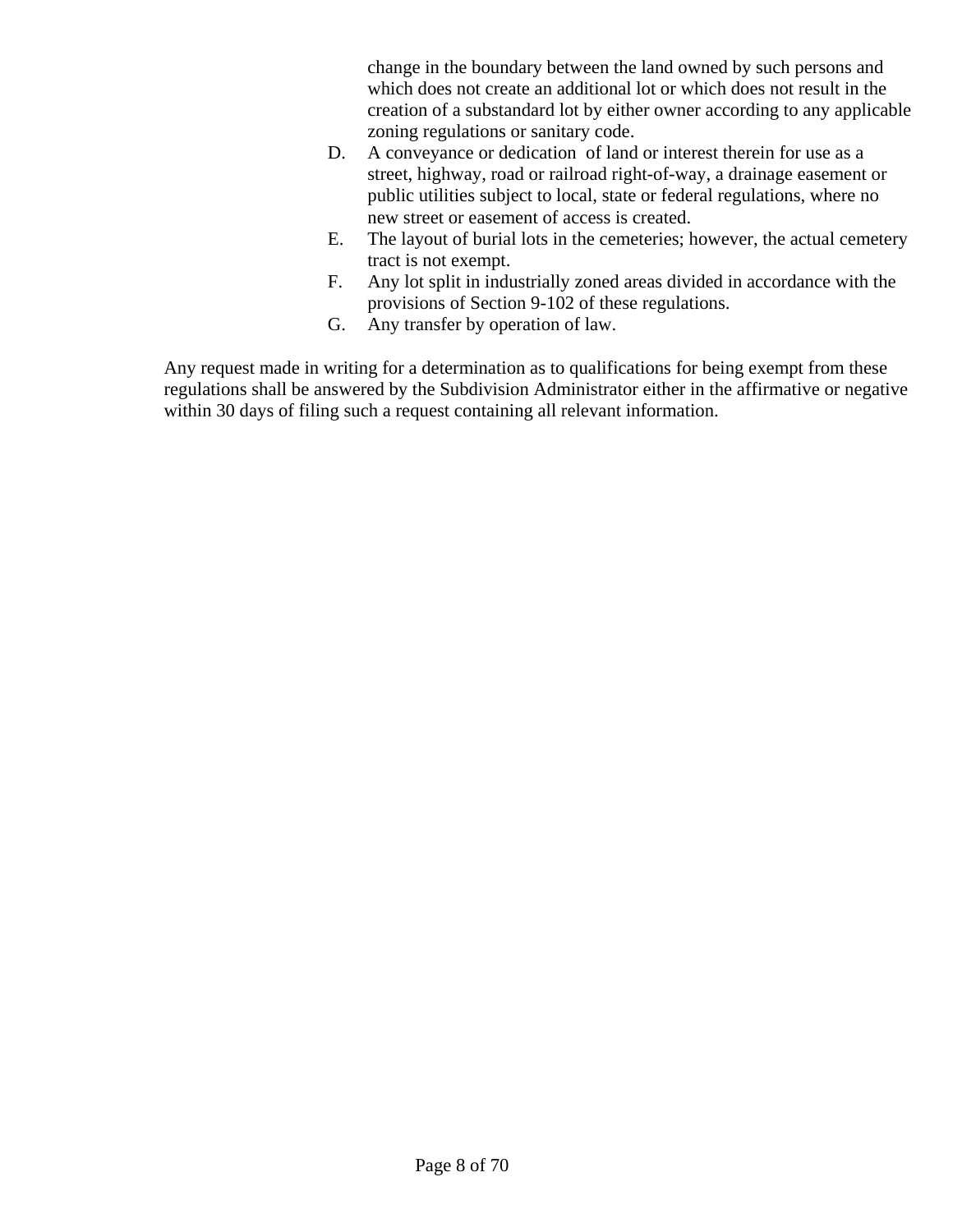change in the boundary between the land owned by such persons and which does not create an additional lot or which does not result in the creation of a substandard lot by either owner according to any applicable zoning regulations or sanitary code.

- D. A conveyance or dedication of land or interest therein for use as a street, highway, road or railroad right-of-way, a drainage easement or public utilities subject to local, state or federal regulations, where no new street or easement of access is created.
- E. The layout of burial lots in the cemeteries; however, the actual cemetery tract is not exempt.
- F. Any lot split in industrially zoned areas divided in accordance with the provisions of Section 9-102 of these regulations.
- G. Any transfer by operation of law.

Any request made in writing for a determination as to qualifications for being exempt from these regulations shall be answered by the Subdivision Administrator either in the affirmative or negative within 30 days of filing such a request containing all relevant information.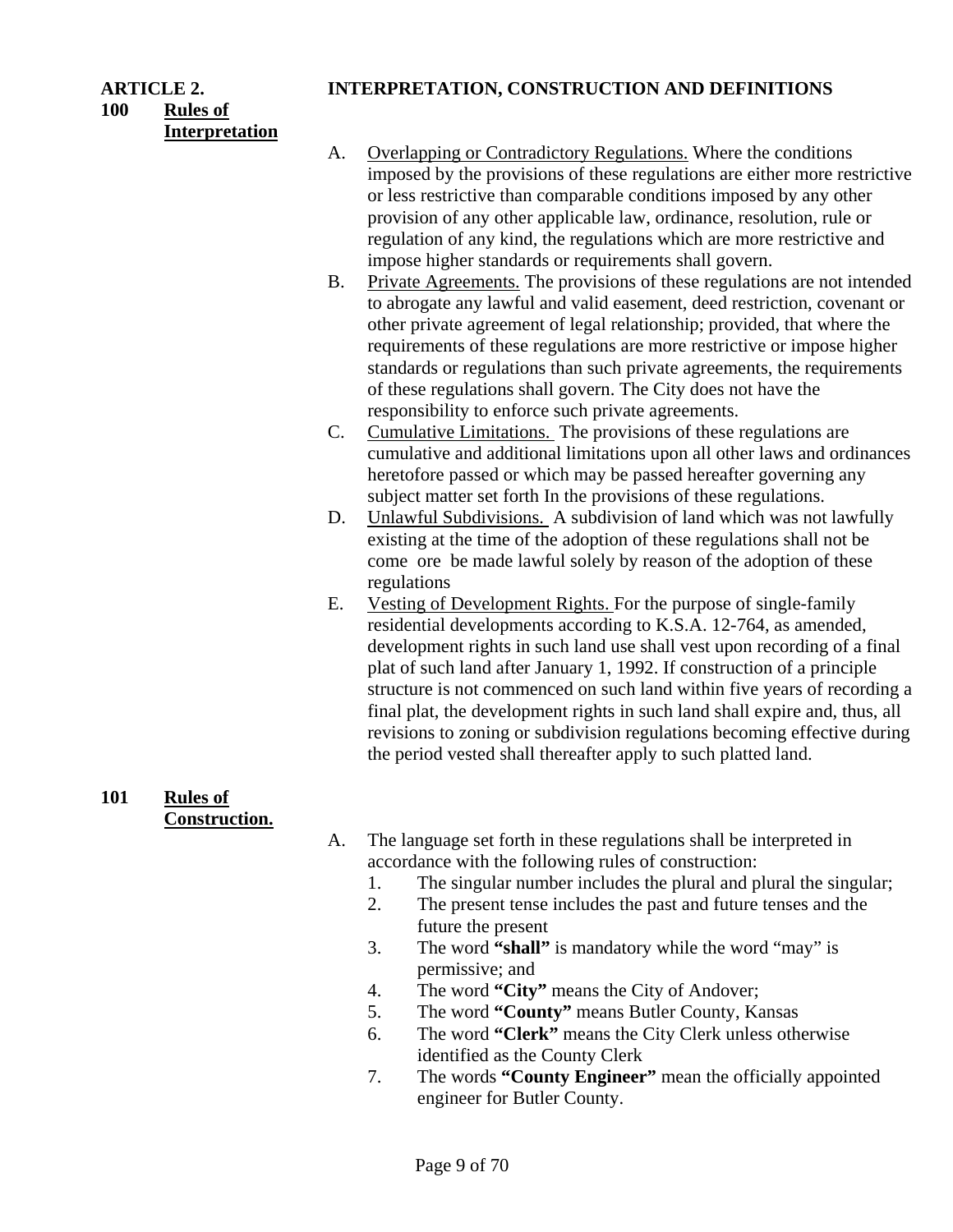**100 Rules of Interpretation**

#### **ARTICLE 2. INTERPRETATION, CONSTRUCTION AND DEFINITIONS**

- A. Overlapping or Contradictory Regulations. Where the conditions imposed by the provisions of these regulations are either more restrictive or less restrictive than comparable conditions imposed by any other provision of any other applicable law, ordinance, resolution, rule or regulation of any kind, the regulations which are more restrictive and impose higher standards or requirements shall govern.
- B. Private Agreements. The provisions of these regulations are not intended to abrogate any lawful and valid easement, deed restriction, covenant or other private agreement of legal relationship; provided, that where the requirements of these regulations are more restrictive or impose higher standards or regulations than such private agreements, the requirements of these regulations shall govern. The City does not have the responsibility to enforce such private agreements.
- C. Cumulative Limitations. The provisions of these regulations are cumulative and additional limitations upon all other laws and ordinances heretofore passed or which may be passed hereafter governing any subject matter set forth In the provisions of these regulations.
- D. Unlawful Subdivisions. A subdivision of land which was not lawfully existing at the time of the adoption of these regulations shall not be come ore be made lawful solely by reason of the adoption of these regulations
- E. Vesting of Development Rights. For the purpose of single-family residential developments according to K.S.A. 12-764, as amended, development rights in such land use shall vest upon recording of a final plat of such land after January 1, 1992. If construction of a principle structure is not commenced on such land within five years of recording a final plat, the development rights in such land shall expire and, thus, all revisions to zoning or subdivision regulations becoming effective during the period vested shall thereafter apply to such platted land.

## **101 Rules of Construction.**

- A. The language set forth in these regulations shall be interpreted in accordance with the following rules of construction:
	- 1. The singular number includes the plural and plural the singular;
	- 2. The present tense includes the past and future tenses and the future the present
	- 3. The word **"shall"** is mandatory while the word "may" is permissive; and
	- 4. The word **"City"** means the City of Andover;
	- 5. The word **"County"** means Butler County, Kansas
	- 6. The word **"Clerk"** means the City Clerk unless otherwise identified as the County Clerk
	- 7. The words **"County Engineer"** mean the officially appointed engineer for Butler County.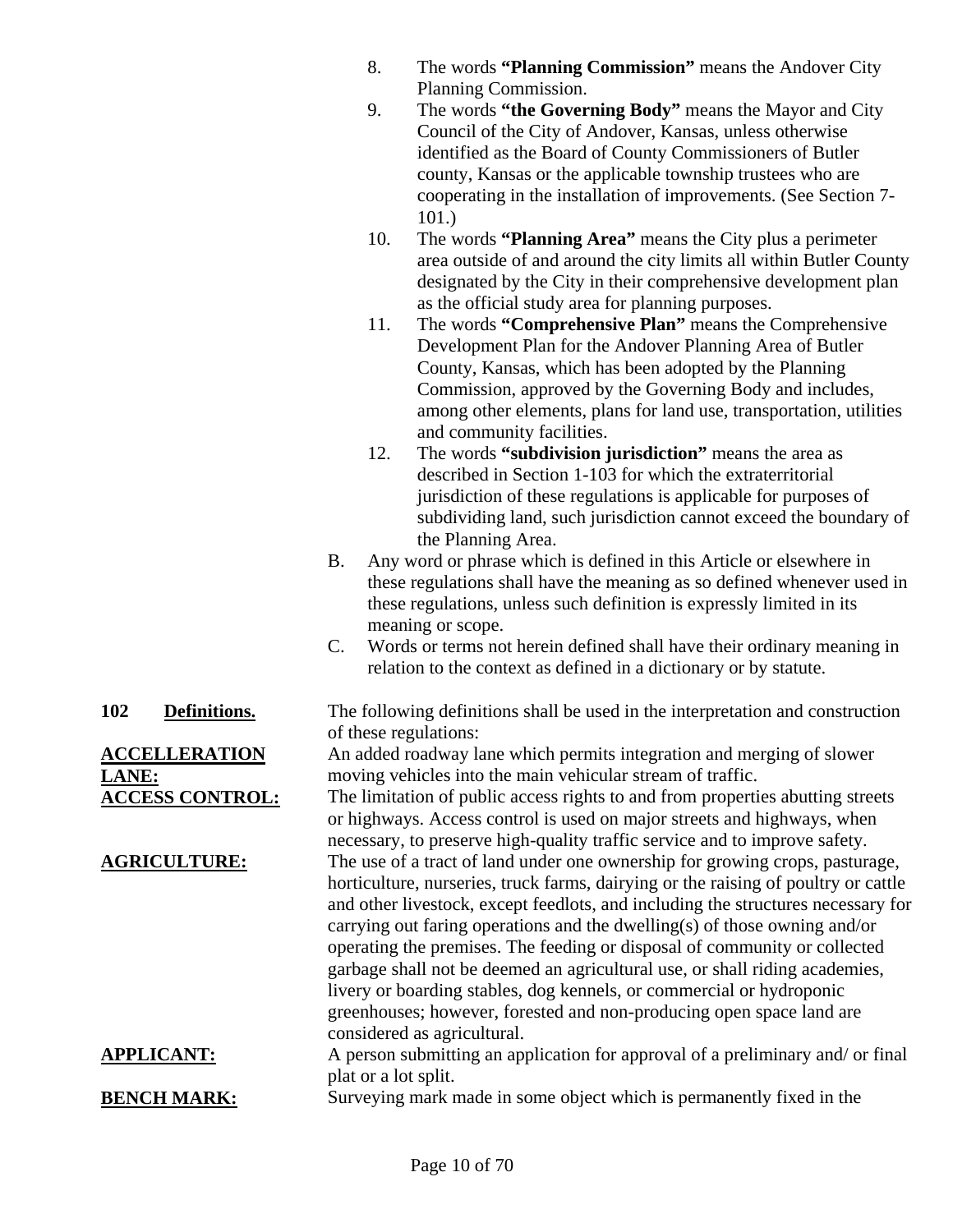- 8. The words **"Planning Commission"** means the Andover City Planning Commission.
- 9. The words **"the Governing Body"** means the Mayor and City Council of the City of Andover, Kansas, unless otherwise identified as the Board of County Commissioners of Butler county, Kansas or the applicable township trustees who are cooperating in the installation of improvements. (See Section 7- 101.)
- 10. The words **"Planning Area"** means the City plus a perimeter area outside of and around the city limits all within Butler County designated by the City in their comprehensive development plan as the official study area for planning purposes.
- 11. The words **"Comprehensive Plan"** means the Comprehensive Development Plan for the Andover Planning Area of Butler County, Kansas, which has been adopted by the Planning Commission, approved by the Governing Body and includes, among other elements, plans for land use, transportation, utilities and community facilities.
- 12. The words **"subdivision jurisdiction"** means the area as described in Section 1-103 for which the extraterritorial jurisdiction of these regulations is applicable for purposes of subdividing land, such jurisdiction cannot exceed the boundary of the Planning Area.
- B. Any word or phrase which is defined in this Article or elsewhere in these regulations shall have the meaning as so defined whenever used in these regulations, unless such definition is expressly limited in its meaning or scope.
- C. Words or terms not herein defined shall have their ordinary meaning in relation to the context as defined in a dictionary or by statute.

**102 Definitions.** The following definitions shall be used in the interpretation and construction of these regulations:

An added roadway lane which permits integration and merging of slower moving vehicles into the main vehicular stream of traffic.

**ACCESS CONTROL:** The limitation of public access rights to and from properties abutting streets or highways. Access control is used on major streets and highways, when necessary, to preserve high-quality traffic service and to improve safety. **AGRICULTURE:** The use of a tract of land under one ownership for growing crops, pasturage, horticulture, nurseries, truck farms, dairying or the raising of poultry or cattle and other livestock, except feedlots, and including the structures necessary for carrying out faring operations and the dwelling(s) of those owning and/or operating the premises. The feeding or disposal of community or collected garbage shall not be deemed an agricultural use, or shall riding academies,

> livery or boarding stables, dog kennels, or commercial or hydroponic greenhouses; however, forested and non-producing open space land are considered as agricultural.

**APPLICANT:** A person submitting an application for approval of a preliminary and/ or final plat or a lot split.

**BENCH MARK:** Surveying mark made in some object which is permanently fixed in the

**ACCELLERATION LANE:**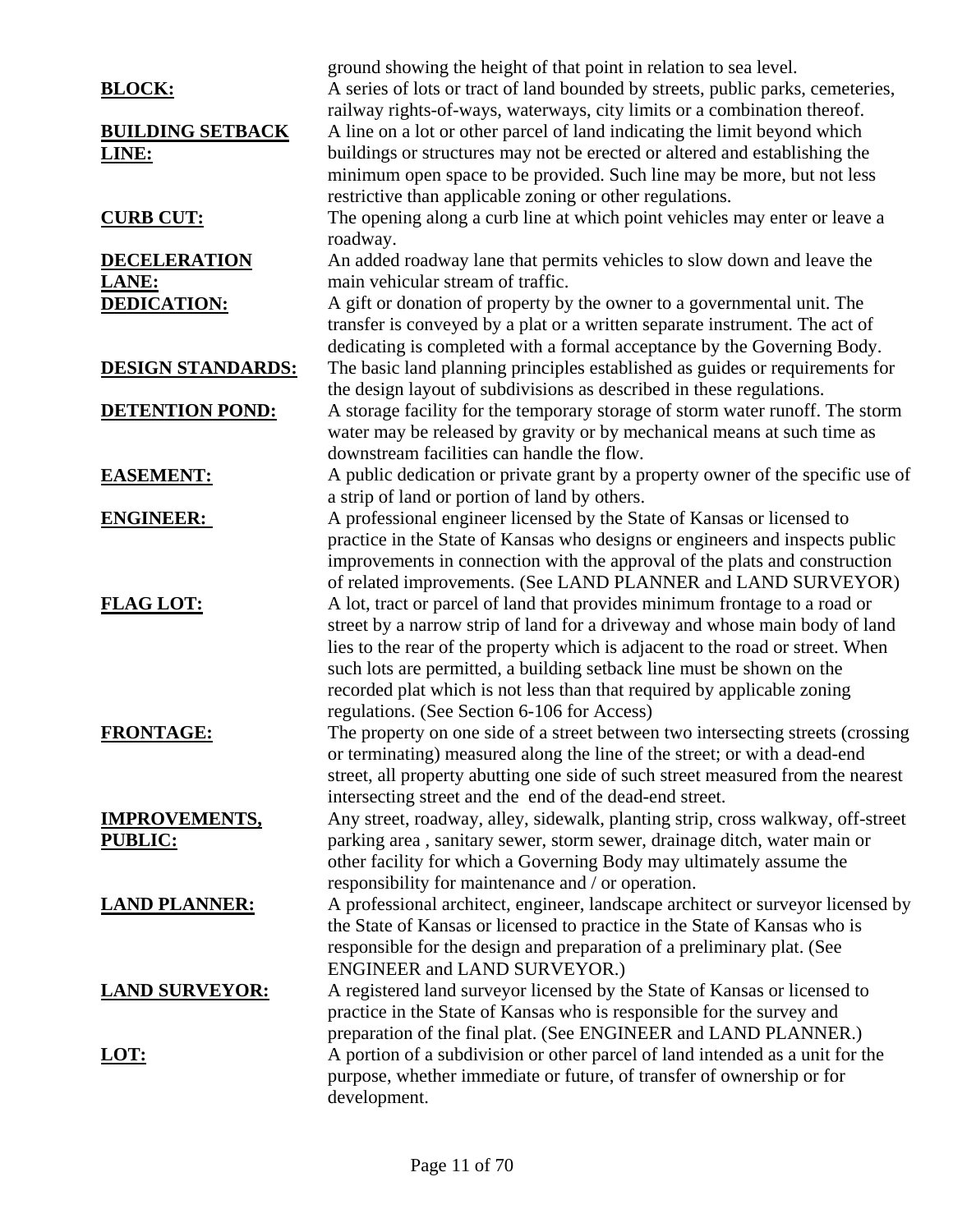|                          | ground showing the height of that point in relation to sea level.               |
|--------------------------|---------------------------------------------------------------------------------|
| <b>BLOCK:</b>            | A series of lots or tract of land bounded by streets, public parks, cemeteries, |
|                          | railway rights-of-ways, waterways, city limits or a combination thereof.        |
| <b>BUILDING SETBACK</b>  | A line on a lot or other parcel of land indicating the limit beyond which       |
| LINE:                    | buildings or structures may not be erected or altered and establishing the      |
|                          | minimum open space to be provided. Such line may be more, but not less          |
|                          | restrictive than applicable zoning or other regulations.                        |
| <b>CURB CUT:</b>         | The opening along a curb line at which point vehicles may enter or leave a      |
|                          | roadway.                                                                        |
| <b>DECELERATION</b>      | An added roadway lane that permits vehicles to slow down and leave the          |
| <b>LANE:</b>             | main vehicular stream of traffic.                                               |
| <b>DEDICATION:</b>       | A gift or donation of property by the owner to a governmental unit. The         |
|                          | transfer is conveyed by a plat or a written separate instrument. The act of     |
|                          | dedicating is completed with a formal acceptance by the Governing Body.         |
| <b>DESIGN STANDARDS:</b> | The basic land planning principles established as guides or requirements for    |
|                          | the design layout of subdivisions as described in these regulations.            |
| <b>DETENTION POND:</b>   | A storage facility for the temporary storage of storm water runoff. The storm   |
|                          | water may be released by gravity or by mechanical means at such time as         |
|                          | downstream facilities can handle the flow.                                      |
| <b>EASEMENT:</b>         | A public dedication or private grant by a property owner of the specific use of |
|                          | a strip of land or portion of land by others.                                   |
| <b>ENGINEER:</b>         | A professional engineer licensed by the State of Kansas or licensed to          |
|                          | practice in the State of Kansas who designs or engineers and inspects public    |
|                          | improvements in connection with the approval of the plats and construction      |
|                          | of related improvements. (See LAND PLANNER and LAND SURVEYOR)                   |
| <b>FLAG LOT:</b>         | A lot, tract or parcel of land that provides minimum frontage to a road or      |
|                          | street by a narrow strip of land for a driveway and whose main body of land     |
|                          | lies to the rear of the property which is adjacent to the road or street. When  |
|                          | such lots are permitted, a building setback line must be shown on the           |
|                          | recorded plat which is not less than that required by applicable zoning         |
|                          | regulations. (See Section 6-106 for Access)                                     |
| <b>FRONTAGE:</b>         | The property on one side of a street between two intersecting streets (crossing |
|                          | or terminating) measured along the line of the street; or with a dead-end       |
|                          | street, all property abutting one side of such street measured from the nearest |
|                          | intersecting street and the end of the dead-end street.                         |
| <b>IMPROVEMENTS,</b>     | Any street, roadway, alley, sidewalk, planting strip, cross walkway, off-street |
| <b>PUBLIC:</b>           | parking area, sanitary sewer, storm sewer, drainage ditch, water main or        |
|                          | other facility for which a Governing Body may ultimately assume the             |
|                          | responsibility for maintenance and / or operation.                              |
| <b>LAND PLANNER:</b>     | A professional architect, engineer, landscape architect or surveyor licensed by |
|                          | the State of Kansas or licensed to practice in the State of Kansas who is       |
|                          | responsible for the design and preparation of a preliminary plat. (See          |
|                          | ENGINEER and LAND SURVEYOR.)                                                    |
| <b>LAND SURVEYOR:</b>    | A registered land surveyor licensed by the State of Kansas or licensed to       |
|                          | practice in the State of Kansas who is responsible for the survey and           |
|                          | preparation of the final plat. (See ENGINEER and LAND PLANNER.)                 |
| <u>LOT:</u>              | A portion of a subdivision or other parcel of land intended as a unit for the   |
|                          | purpose, whether immediate or future, of transfer of ownership or for           |
|                          | development.                                                                    |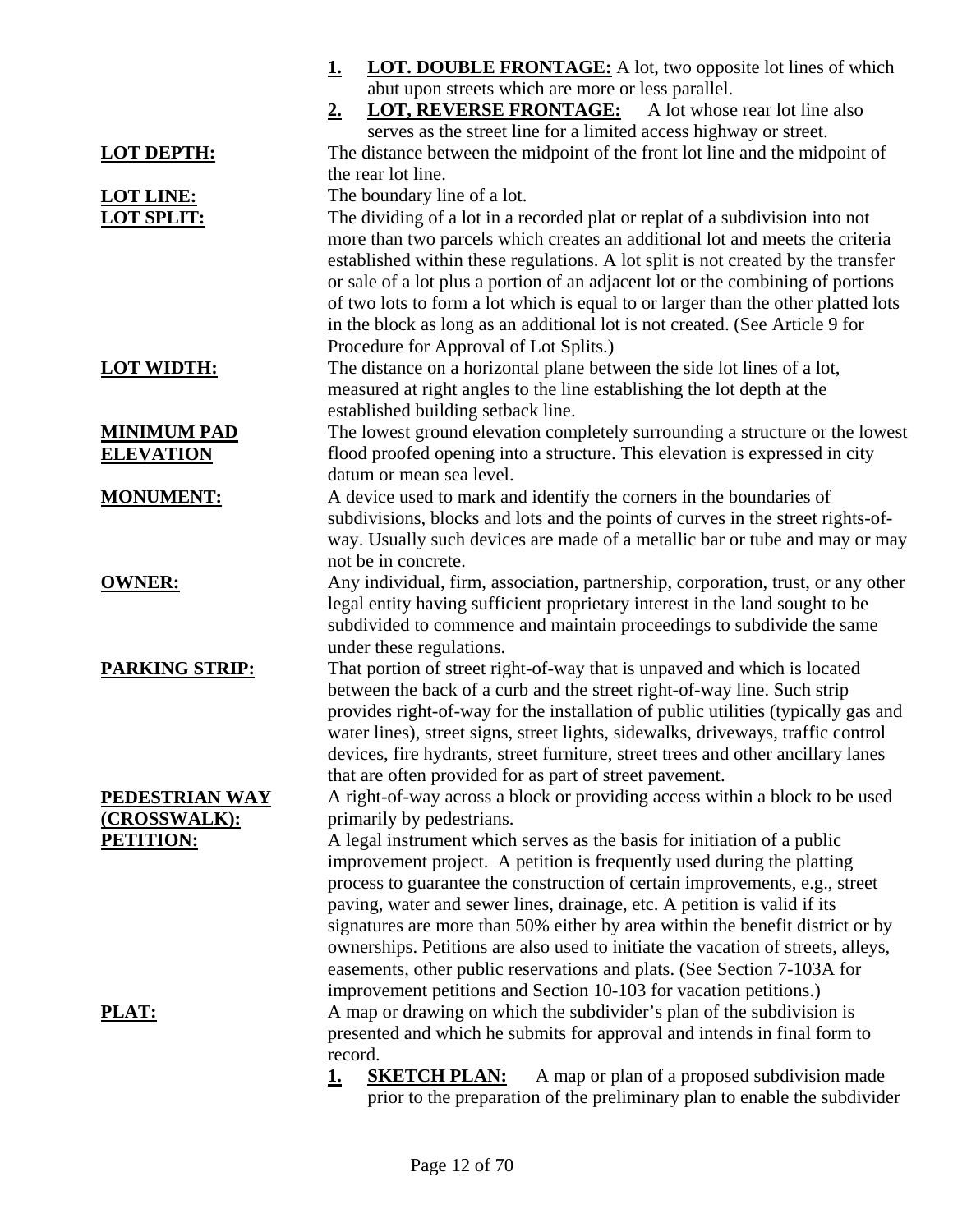|                       | <b>LOT. DOUBLE FRONTAGE:</b> A lot, two opposite lot lines of which<br><u>1.</u>  |
|-----------------------|-----------------------------------------------------------------------------------|
|                       | abut upon streets which are more or less parallel.                                |
|                       | <b>LOT, REVERSE FRONTAGE:</b><br>A lot whose rear lot line also<br><u>2.</u>      |
|                       | serves as the street line for a limited access highway or street.                 |
| <b>LOT DEPTH:</b>     | The distance between the midpoint of the front lot line and the midpoint of       |
|                       | the rear lot line.                                                                |
| <b>LOT LINE:</b>      | The boundary line of a lot.                                                       |
| <b>LOT SPLIT:</b>     | The dividing of a lot in a recorded plat or replat of a subdivision into not      |
|                       | more than two parcels which creates an additional lot and meets the criteria      |
|                       | established within these regulations. A lot split is not created by the transfer  |
|                       | or sale of a lot plus a portion of an adjacent lot or the combining of portions   |
|                       | of two lots to form a lot which is equal to or larger than the other platted lots |
|                       | in the block as long as an additional lot is not created. (See Article 9 for      |
|                       | Procedure for Approval of Lot Splits.)                                            |
| <b>LOT WIDTH:</b>     | The distance on a horizontal plane between the side lot lines of a lot,           |
|                       | measured at right angles to the line establishing the lot depth at the            |
|                       | established building setback line.                                                |
| <b>MINIMUM PAD</b>    | The lowest ground elevation completely surrounding a structure or the lowest      |
| <b>ELEVATION</b>      | flood proofed opening into a structure. This elevation is expressed in city       |
|                       | datum or mean sea level.                                                          |
| <b>MONUMENT:</b>      | A device used to mark and identify the corners in the boundaries of               |
|                       | subdivisions, blocks and lots and the points of curves in the street rights-of-   |
|                       | way. Usually such devices are made of a metallic bar or tube and may or may       |
|                       | not be in concrete.                                                               |
| <b>OWNER:</b>         | Any individual, firm, association, partnership, corporation, trust, or any other  |
|                       | legal entity having sufficient proprietary interest in the land sought to be      |
|                       | subdivided to commence and maintain proceedings to subdivide the same             |
|                       | under these regulations.                                                          |
| <b>PARKING STRIP:</b> | That portion of street right-of-way that is unpaved and which is located          |
|                       | between the back of a curb and the street right-of-way line. Such strip           |
|                       | provides right-of-way for the installation of public utilities (typically gas and |
|                       | water lines), street signs, street lights, sidewalks, driveways, traffic control  |
|                       | devices, fire hydrants, street furniture, street trees and other ancillary lanes  |
|                       | that are often provided for as part of street pavement.                           |
| <b>PEDESTRIAN WAY</b> | A right-of-way across a block or providing access within a block to be used       |
| (CROSSWALK):          | primarily by pedestrians.                                                         |
| PETITION:             | A legal instrument which serves as the basis for initiation of a public           |
|                       | improvement project. A petition is frequently used during the platting            |
|                       | process to guarantee the construction of certain improvements, e.g., street       |
|                       | paving, water and sewer lines, drainage, etc. A petition is valid if its          |
|                       | signatures are more than 50% either by area within the benefit district or by     |
|                       | ownerships. Petitions are also used to initiate the vacation of streets, alleys,  |
|                       | easements, other public reservations and plats. (See Section 7-103A for           |
|                       | improvement petitions and Section 10-103 for vacation petitions.)                 |
| <u>PLAT:</u>          | A map or drawing on which the subdivider's plan of the subdivision is             |
|                       | presented and which he submits for approval and intends in final form to          |
|                       | record.                                                                           |
|                       | A map or plan of a proposed subdivision made<br><b>SKETCH PLAN:</b><br><u>1.</u>  |
|                       | prior to the preparation of the preliminary plan to enable the subdivider         |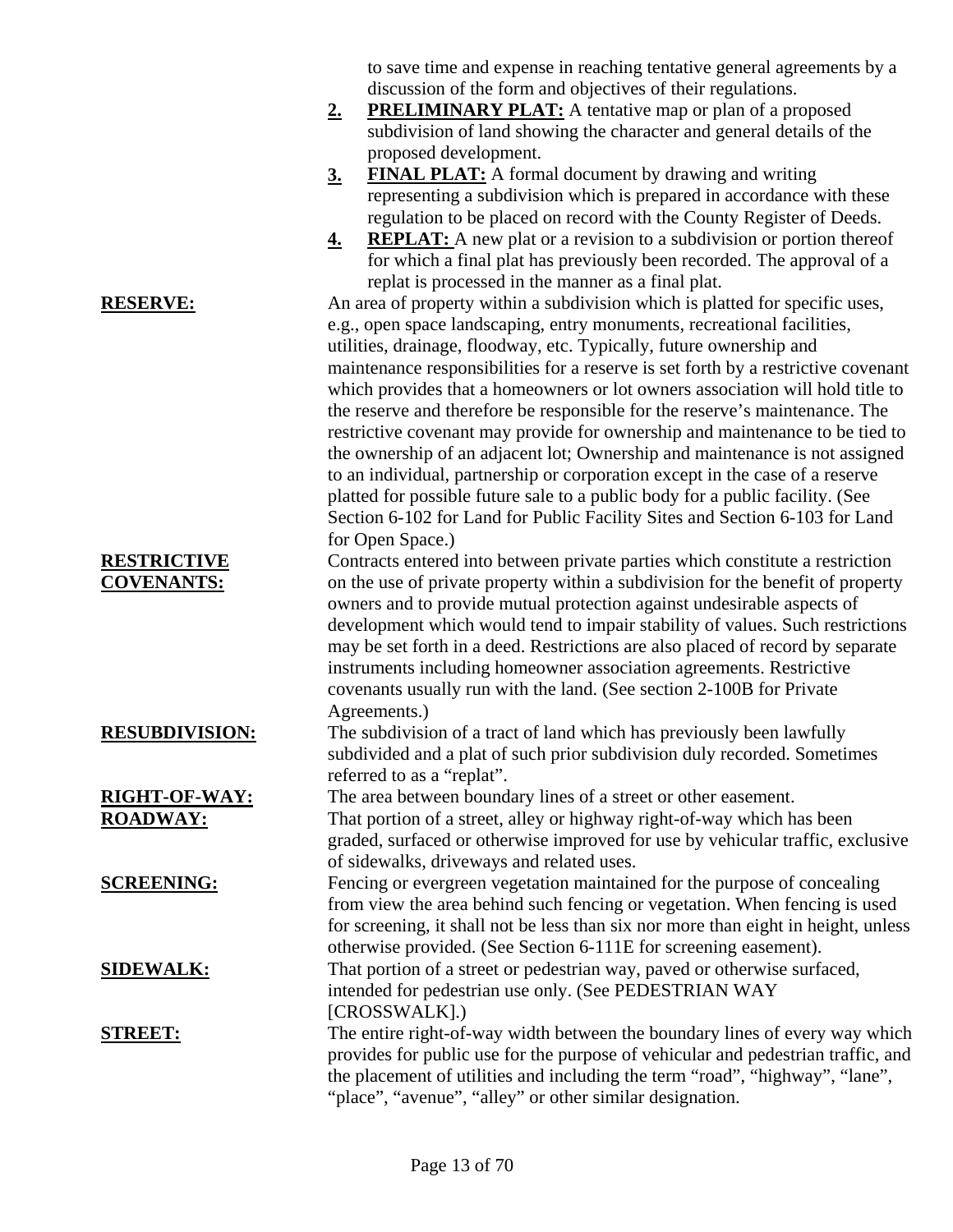to save time and expense in reaching tentative general agreements by a discussion of the form and objectives of their regulations.

- **2. PRELIMINARY PLAT:** A tentative map or plan of a proposed subdivision of land showing the character and general details of the proposed development.
- **3. FINAL PLAT:** A formal document by drawing and writing representing a subdivision which is prepared in accordance with these regulation to be placed on record with the County Register of Deeds.
- **4. REPLAT:** A new plat or a revision to a subdivision or portion thereof for which a final plat has previously been recorded. The approval of a replat is processed in the manner as a final plat.

**RESERVE:** An area of property within a subdivision which is platted for specific uses, e.g., open space landscaping, entry monuments, recreational facilities, utilities, drainage, floodway, etc. Typically, future ownership and maintenance responsibilities for a reserve is set forth by a restrictive covenant which provides that a homeowners or lot owners association will hold title to the reserve and therefore be responsible for the reserve's maintenance. The restrictive covenant may provide for ownership and maintenance to be tied to the ownership of an adjacent lot; Ownership and maintenance is not assigned to an individual, partnership or corporation except in the case of a reserve platted for possible future sale to a public body for a public facility. (See Section 6-102 for Land for Public Facility Sites and Section 6-103 for Land for Open Space.)

Contracts entered into between private parties which constitute a restriction on the use of private property within a subdivision for the benefit of property owners and to provide mutual protection against undesirable aspects of development which would tend to impair stability of values. Such restrictions may be set forth in a deed. Restrictions are also placed of record by separate instruments including homeowner association agreements. Restrictive covenants usually run with the land. (See section 2-100B for Private Agreements.)

**RESUBDIVISION:** The subdivision of a tract of land which has previously been lawfully subdivided and a plat of such prior subdivision duly recorded. Sometimes referred to as a "replat".

**RIGHT-OF-WAY:** The area between boundary lines of a street or other easement. **ROADWAY:** That portion of a street, alley or highway right-of-way which has been graded, surfaced or otherwise improved for use by vehicular traffic, exclusive of sidewalks, driveways and related uses.

**SCREENING:** Fencing or evergreen vegetation maintained for the purpose of concealing from view the area behind such fencing or vegetation. When fencing is used for screening, it shall not be less than six nor more than eight in height, unless otherwise provided. (See Section 6-111E for screening easement).

**SIDEWALK:** That portion of a street or pedestrian way, paved or otherwise surfaced, intended for pedestrian use only. (See PEDESTRIAN WAY [CROSSWALK].)

**STREET:** The entire right-of-way width between the boundary lines of every way which provides for public use for the purpose of vehicular and pedestrian traffic, and the placement of utilities and including the term "road", "highway", "lane", "place", "avenue", "alley" or other similar designation.

## Page 13 of 70

**RESTRICTIVE COVENANTS:**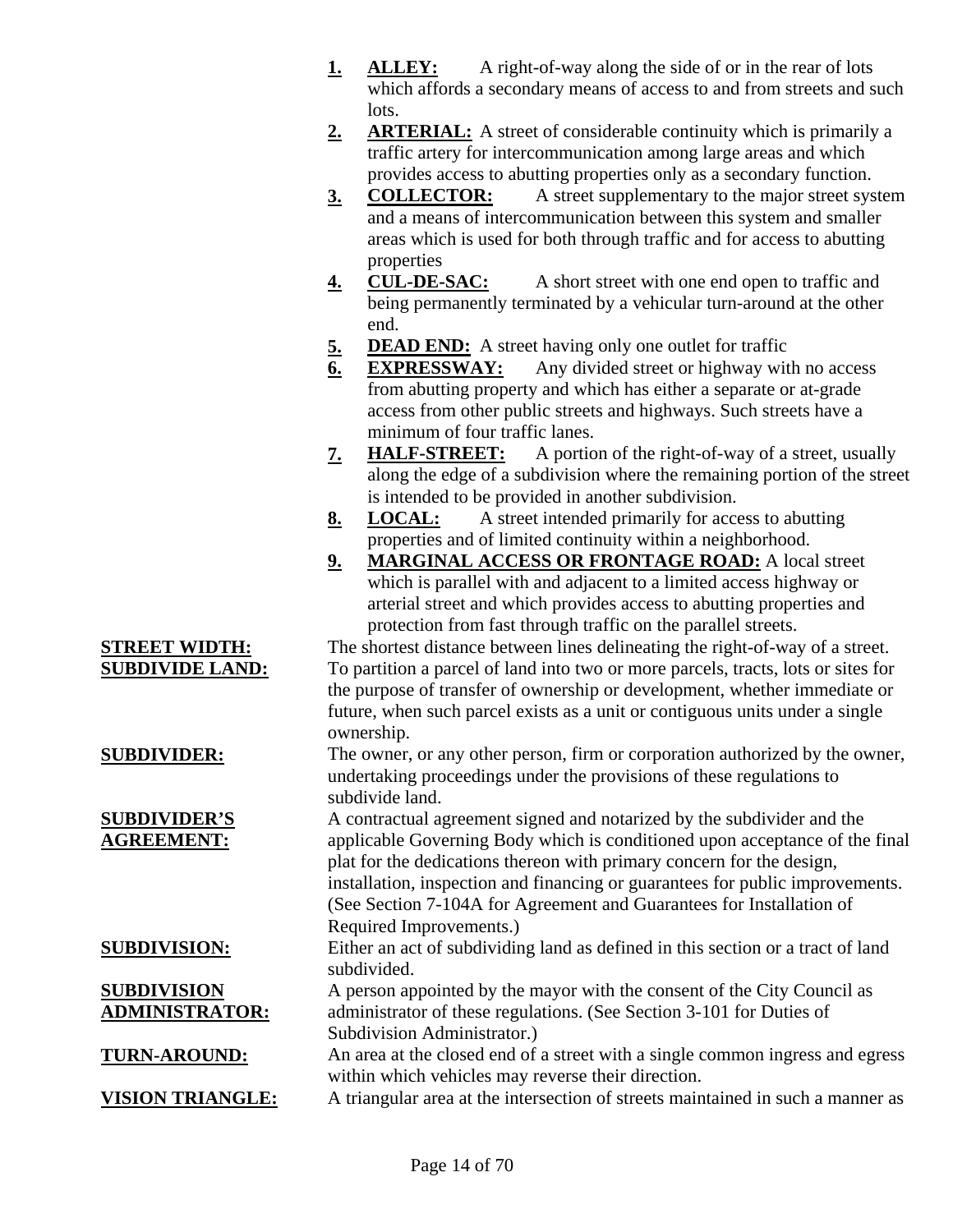- **1. ALLEY:** A right-of-way along the side of or in the rear of lots which affords a secondary means of access to and from streets and such lots.
- **2. ARTERIAL:** A street of considerable continuity which is primarily a traffic artery for intercommunication among large areas and which provides access to abutting properties only as a secondary function.
- **3. COLLECTOR:** A street supplementary to the major street system and a means of intercommunication between this system and smaller areas which is used for both through traffic and for access to abutting properties
- **4. CUL-DE-SAC:** A short street with one end open to traffic and being permanently terminated by a vehicular turn-around at the other end.
- **5. DEAD END:** A street having only one outlet for traffic
- **6. EXPRESSWAY:** Any divided street or highway with no access from abutting property and which has either a separate or at-grade access from other public streets and highways. Such streets have a minimum of four traffic lanes.
- **7. HALF-STREET:** A portion of the right-of-way of a street, usually along the edge of a subdivision where the remaining portion of the street is intended to be provided in another subdivision.
- **8. LOCAL:** A street intended primarily for access to abutting properties and of limited continuity within a neighborhood.
- **9. MARGINAL ACCESS OR FRONTAGE ROAD:** A local street which is parallel with and adjacent to a limited access highway or arterial street and which provides access to abutting properties and protection from fast through traffic on the parallel streets.

**STREET WIDTH:** The shortest distance between lines delineating the right-of-way of a street. **SUBDIVIDE LAND:** To partition a parcel of land into two or more parcels, tracts, lots or sites for the purpose of transfer of ownership or development, whether immediate or future, when such parcel exists as a unit or contiguous units under a single ownership.

**SUBDIVIDER:** The owner, or any other person, firm or corporation authorized by the owner, undertaking proceedings under the provisions of these regulations to subdivide land.

A contractual agreement signed and notarized by the subdivider and the applicable Governing Body which is conditioned upon acceptance of the final plat for the dedications thereon with primary concern for the design, installation, inspection and financing or guarantees for public improvements. (See Section 7-104A for Agreement and Guarantees for Installation of Required Improvements.)

**SUBDIVISION:** Either an act of subdividing land as defined in this section or a tract of land subdivided.

> A person appointed by the mayor with the consent of the City Council as administrator of these regulations. (See Section 3-101 for Duties of Subdivision Administrator.)

**TURN-AROUND:** An area at the closed end of a street with a single common ingress and egress within which vehicles may reverse their direction.

**VISION TRIANGLE:** A triangular area at the intersection of streets maintained in such a manner as

#### **SUBDIVIDER'S AGREEMENT:**

## **SUBDIVISION ADMINISTRATOR:**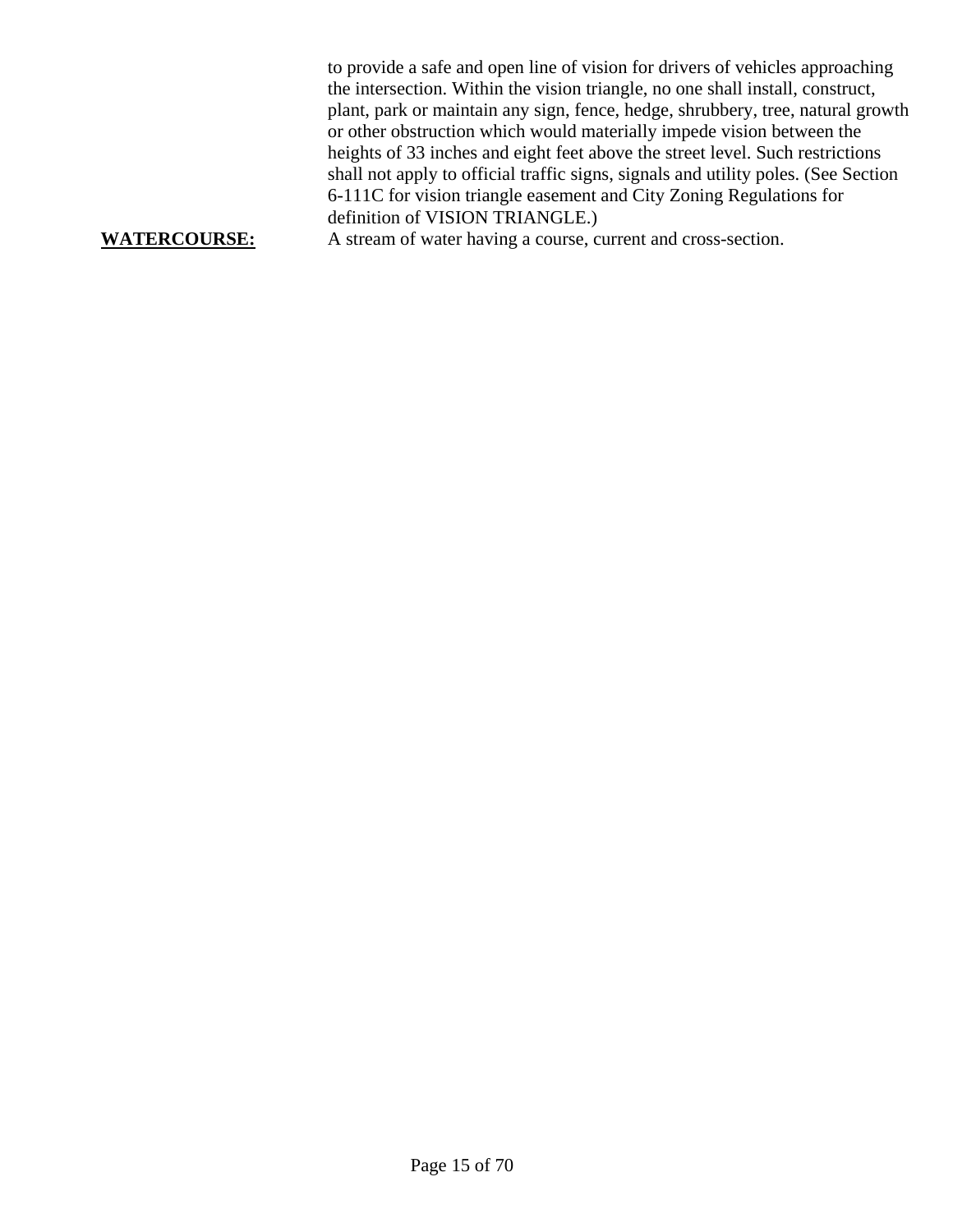to provide a safe and open line of vision for drivers of vehicles approaching the intersection. Within the vision triangle, no one shall install, construct, plant, park or maintain any sign, fence, hedge, shrubbery, tree, natural growth or other obstruction which would materially impede vision between the heights of 33 inches and eight feet above the street level. Such restrictions shall not apply to official traffic signs, signals and utility poles. (See Section 6-111C for vision triangle easement and City Zoning Regulations for definition of VISION TRIANGLE.) **WATERCOURSE:** A stream of water having a course, current and cross-section.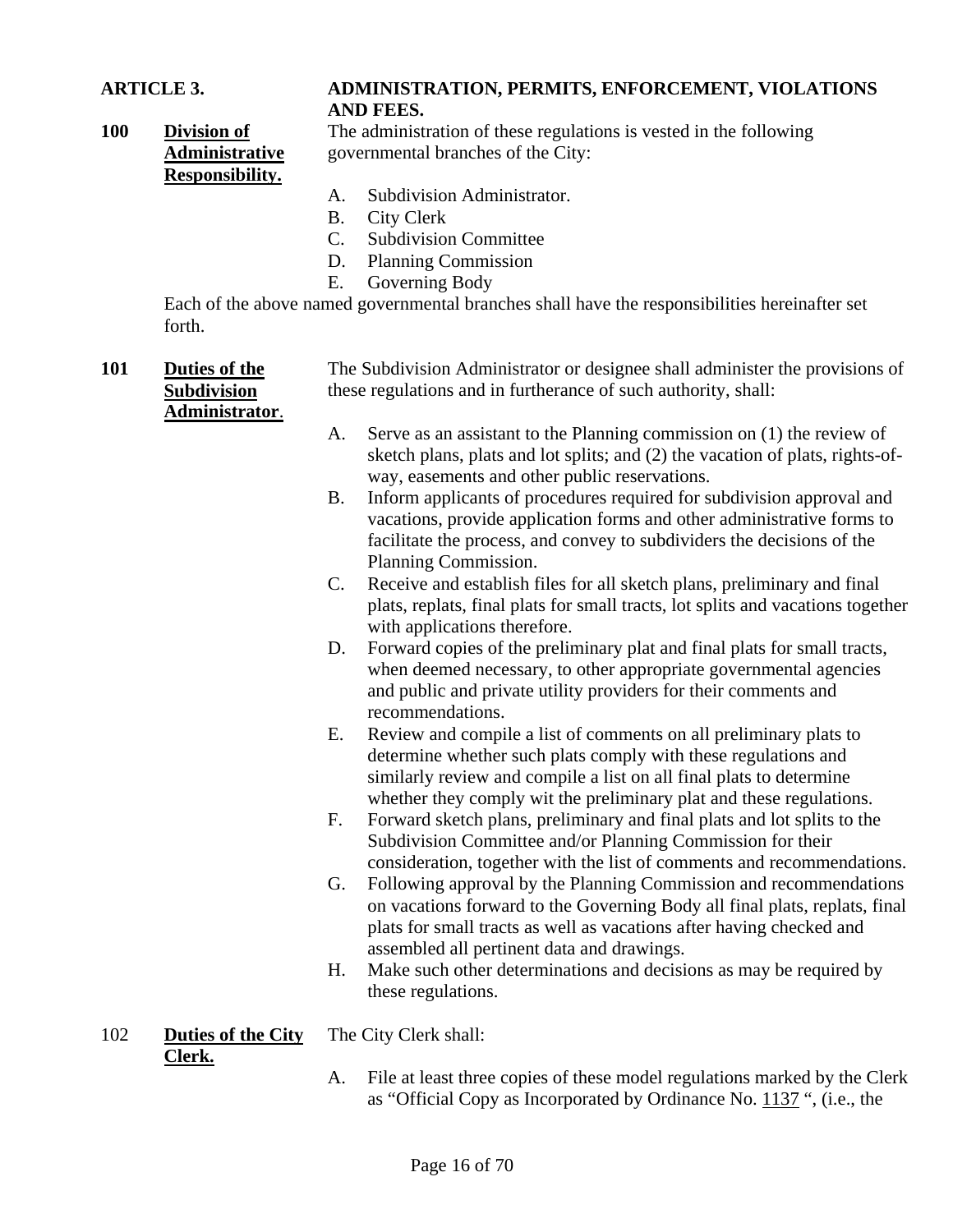#### **ARTICLE 3. ADMINISTRATION, PERMITS, ENFORCEMENT, VIOLATIONS AND FEES.**

**100 Division of Administrative Responsibility.**

The administration of these regulations is vested in the following governmental branches of the City:

- A. Subdivision Administrator.
- B. City Clerk
- C. Subdivision Committee
- D. Planning Commission
- E. Governing Body

Each of the above named governmental branches shall have the responsibilities hereinafter set forth.

| 101 | <b>Duties of the</b>                | The Subdivision Administrator or designee shall administer the provisions of<br>these regulations and in furtherance of such authority, shall: |                                                                                                                                                                                                                                                                                   |  |
|-----|-------------------------------------|------------------------------------------------------------------------------------------------------------------------------------------------|-----------------------------------------------------------------------------------------------------------------------------------------------------------------------------------------------------------------------------------------------------------------------------------|--|
|     | <b>Subdivision</b>                  |                                                                                                                                                |                                                                                                                                                                                                                                                                                   |  |
|     | Administrator.                      | A.                                                                                                                                             | Serve as an assistant to the Planning commission on $(1)$ the review of<br>sketch plans, plats and lot splits; and (2) the vacation of plats, rights-of-<br>way, easements and other public reservations.                                                                         |  |
|     |                                     | <b>B.</b>                                                                                                                                      | Inform applicants of procedures required for subdivision approval and<br>vacations, provide application forms and other administrative forms to<br>facilitate the process, and convey to subdividers the decisions of the<br>Planning Commission.                                 |  |
|     |                                     | $C_{\cdot}$                                                                                                                                    | Receive and establish files for all sketch plans, preliminary and final<br>plats, replats, final plats for small tracts, lot splits and vacations together<br>with applications therefore.                                                                                        |  |
|     |                                     | D.                                                                                                                                             | Forward copies of the preliminary plat and final plats for small tracts,<br>when deemed necessary, to other appropriate governmental agencies<br>and public and private utility providers for their comments and<br>recommendations.                                              |  |
|     |                                     | Ε.                                                                                                                                             | Review and compile a list of comments on all preliminary plats to<br>determine whether such plats comply with these regulations and<br>similarly review and compile a list on all final plats to determine<br>whether they comply wit the preliminary plat and these regulations. |  |
|     |                                     | F.                                                                                                                                             | Forward sketch plans, preliminary and final plats and lot splits to the<br>Subdivision Committee and/or Planning Commission for their<br>consideration, together with the list of comments and recommendations.                                                                   |  |
|     |                                     | G.                                                                                                                                             | Following approval by the Planning Commission and recommendations<br>on vacations forward to the Governing Body all final plats, replats, final<br>plats for small tracts as well as vacations after having checked and<br>assembled all pertinent data and drawings.             |  |
|     |                                     | H.                                                                                                                                             | Make such other determinations and decisions as may be required by<br>these regulations.                                                                                                                                                                                          |  |
| 102 | <b>Duties of the City</b><br>Clerk. |                                                                                                                                                | The City Clerk shall:                                                                                                                                                                                                                                                             |  |
|     |                                     | A.                                                                                                                                             | File at least three copies of these model regulations marked by the Clerk<br>as "Official Copy as Incorporated by Ordinance No. 1137 ", (i.e., the                                                                                                                                |  |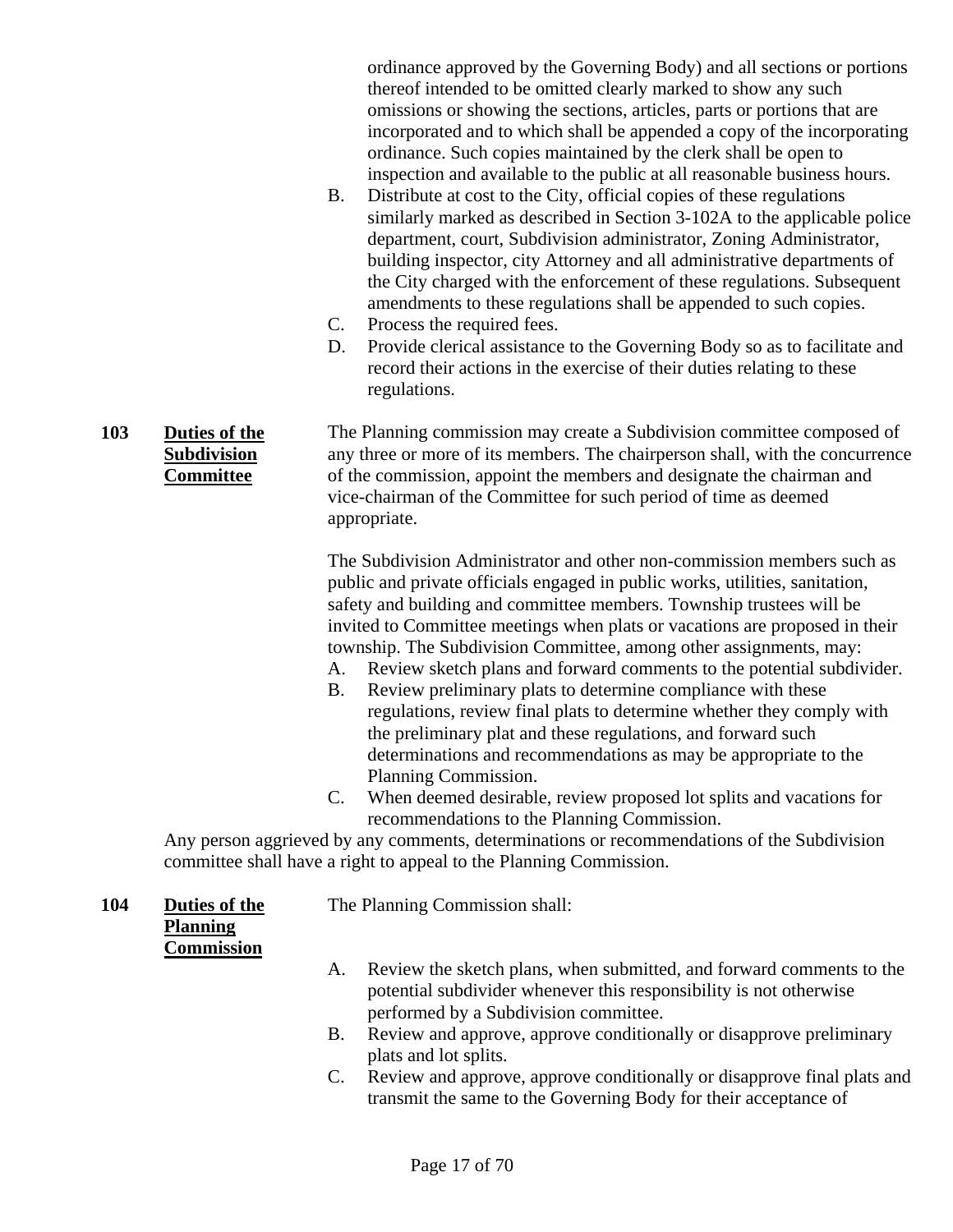ordinance approved by the Governing Body) and all sections or portions thereof intended to be omitted clearly marked to show any such omissions or showing the sections, articles, parts or portions that are incorporated and to which shall be appended a copy of the incorporating ordinance. Such copies maintained by the clerk shall be open to inspection and available to the public at all reasonable business hours.

- B. Distribute at cost to the City, official copies of these regulations similarly marked as described in Section 3-102A to the applicable police department, court, Subdivision administrator, Zoning Administrator, building inspector, city Attorney and all administrative departments of the City charged with the enforcement of these regulations. Subsequent amendments to these regulations shall be appended to such copies.
- C. Process the required fees.
- D. Provide clerical assistance to the Governing Body so as to facilitate and record their actions in the exercise of their duties relating to these regulations.

**103 Duties of the Subdivision Committee** The Planning commission may create a Subdivision committee composed of any three or more of its members. The chairperson shall, with the concurrence of the commission, appoint the members and designate the chairman and vice-chairman of the Committee for such period of time as deemed appropriate.

> The Subdivision Administrator and other non-commission members such as public and private officials engaged in public works, utilities, sanitation, safety and building and committee members. Township trustees will be invited to Committee meetings when plats or vacations are proposed in their township. The Subdivision Committee, among other assignments, may:

- A. Review sketch plans and forward comments to the potential subdivider.
- B. Review preliminary plats to determine compliance with these regulations, review final plats to determine whether they comply with the preliminary plat and these regulations, and forward such determinations and recommendations as may be appropriate to the Planning Commission.
- C. When deemed desirable, review proposed lot splits and vacations for recommendations to the Planning Commission.

Any person aggrieved by any comments, determinations or recommendations of the Subdivision committee shall have a right to appeal to the Planning Commission.

**104 Duties of the Planning Commission**

The Planning Commission shall:

- A. Review the sketch plans, when submitted, and forward comments to the potential subdivider whenever this responsibility is not otherwise performed by a Subdivision committee.
- B. Review and approve, approve conditionally or disapprove preliminary plats and lot splits.
- C. Review and approve, approve conditionally or disapprove final plats and transmit the same to the Governing Body for their acceptance of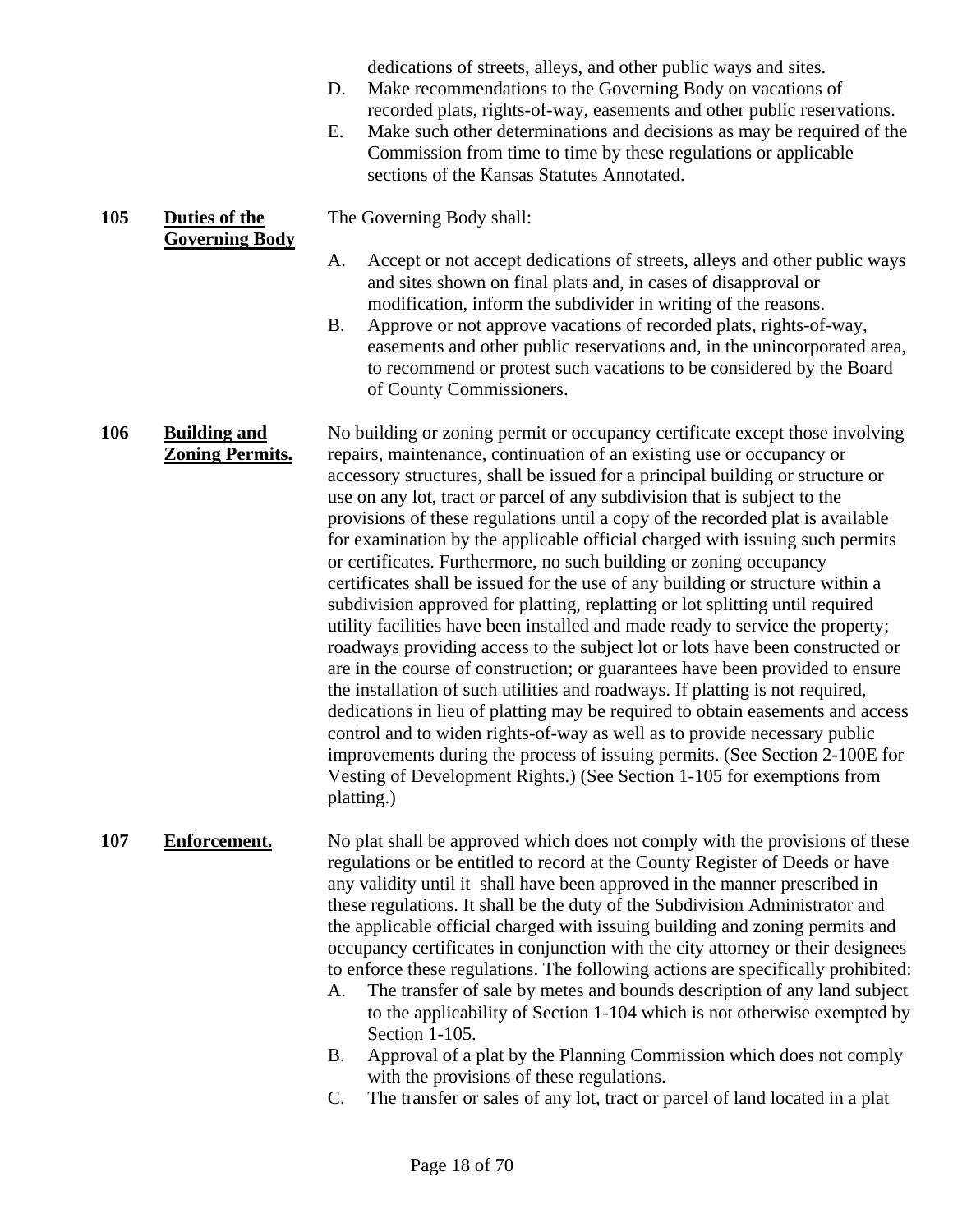dedications of streets, alleys, and other public ways and sites.

- D. Make recommendations to the Governing Body on vacations of recorded plats, rights-of-way, easements and other public reservations.
- E. Make such other determinations and decisions as may be required of the Commission from time to time by these regulations or applicable sections of the Kansas Statutes Annotated.
- The Governing Body shall:
	- A. Accept or not accept dedications of streets, alleys and other public ways and sites shown on final plats and, in cases of disapproval or modification, inform the subdivider in writing of the reasons.
	- B. Approve or not approve vacations of recorded plats, rights-of-way, easements and other public reservations and, in the unincorporated area, to recommend or protest such vacations to be considered by the Board of County Commissioners.

**106 Building and Zoning Permits.** No building or zoning permit or occupancy certificate except those involving repairs, maintenance, continuation of an existing use or occupancy or accessory structures, shall be issued for a principal building or structure or use on any lot, tract or parcel of any subdivision that is subject to the provisions of these regulations until a copy of the recorded plat is available for examination by the applicable official charged with issuing such permits or certificates. Furthermore, no such building or zoning occupancy certificates shall be issued for the use of any building or structure within a subdivision approved for platting, replatting or lot splitting until required utility facilities have been installed and made ready to service the property; roadways providing access to the subject lot or lots have been constructed or are in the course of construction; or guarantees have been provided to ensure the installation of such utilities and roadways. If platting is not required, dedications in lieu of platting may be required to obtain easements and access control and to widen rights-of-way as well as to provide necessary public improvements during the process of issuing permits. (See Section 2-100E for Vesting of Development Rights.) (See Section 1-105 for exemptions from platting.)

**105 Duties of the** 

**Governing Body**

107 **Enforcement.** No plat shall be approved which does not comply with the provisions of these regulations or be entitled to record at the County Register of Deeds or have any validity until it shall have been approved in the manner prescribed in these regulations. It shall be the duty of the Subdivision Administrator and the applicable official charged with issuing building and zoning permits and occupancy certificates in conjunction with the city attorney or their designees to enforce these regulations. The following actions are specifically prohibited:

- A. The transfer of sale by metes and bounds description of any land subject to the applicability of Section 1-104 which is not otherwise exempted by Section 1-105.
- B. Approval of a plat by the Planning Commission which does not comply with the provisions of these regulations.
- C. The transfer or sales of any lot, tract or parcel of land located in a plat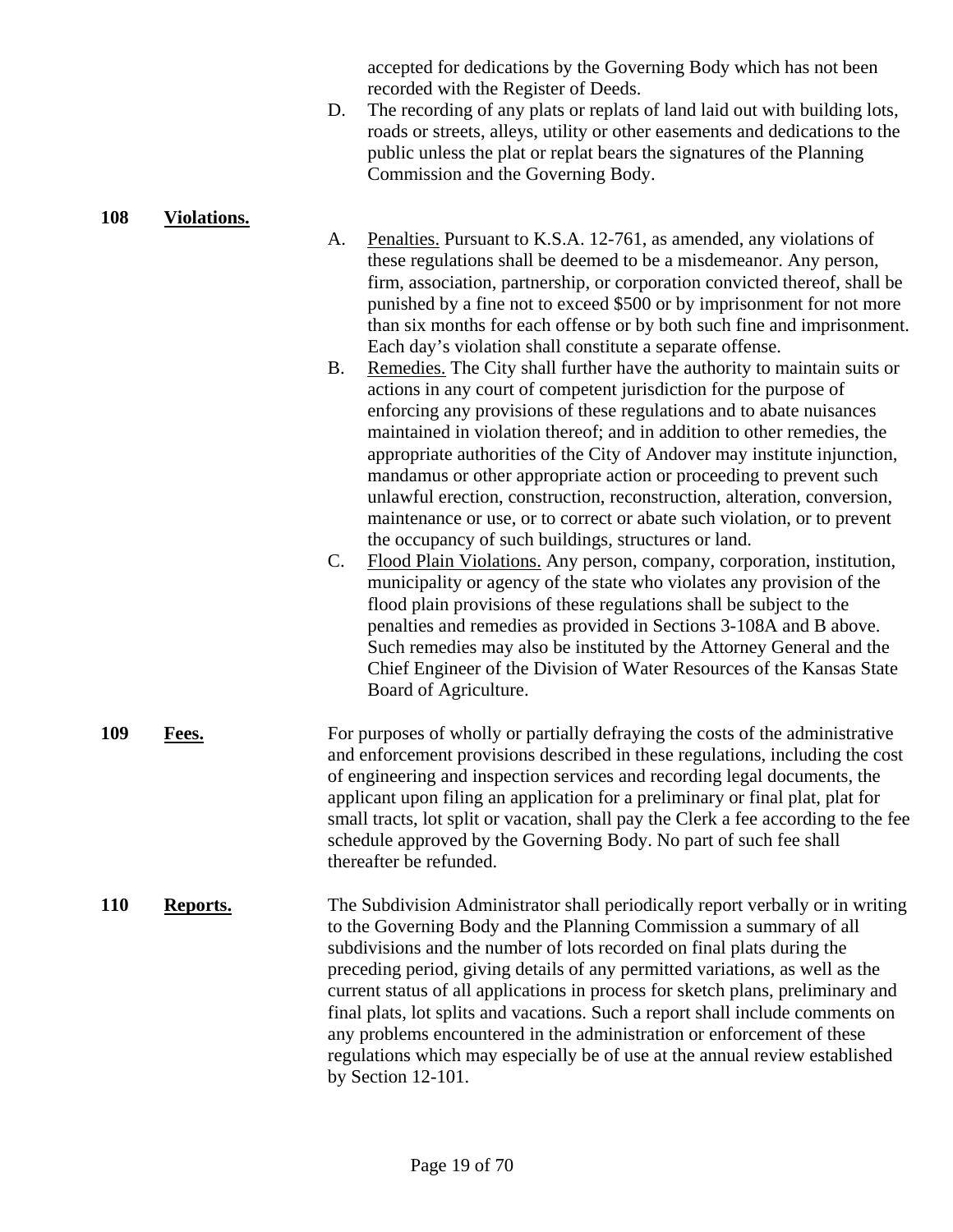accepted for dedications by the Governing Body which has not been recorded with the Register of Deeds.

D. The recording of any plats or replats of land laid out with building lots, roads or streets, alleys, utility or other easements and dedications to the public unless the plat or replat bears the signatures of the Planning Commission and the Governing Body.

#### **108 Violations.**

- A. Penalties. Pursuant to K.S.A. 12-761, as amended, any violations of these regulations shall be deemed to be a misdemeanor. Any person, firm, association, partnership, or corporation convicted thereof, shall be punished by a fine not to exceed \$500 or by imprisonment for not more than six months for each offense or by both such fine and imprisonment. Each day's violation shall constitute a separate offense.
- B. Remedies. The City shall further have the authority to maintain suits or actions in any court of competent jurisdiction for the purpose of enforcing any provisions of these regulations and to abate nuisances maintained in violation thereof; and in addition to other remedies, the appropriate authorities of the City of Andover may institute injunction, mandamus or other appropriate action or proceeding to prevent such unlawful erection, construction, reconstruction, alteration, conversion, maintenance or use, or to correct or abate such violation, or to prevent the occupancy of such buildings, structures or land.
- C. Flood Plain Violations. Any person, company, corporation, institution, municipality or agency of the state who violates any provision of the flood plain provisions of these regulations shall be subject to the penalties and remedies as provided in Sections 3-108A and B above. Such remedies may also be instituted by the Attorney General and the Chief Engineer of the Division of Water Resources of the Kansas State Board of Agriculture.
- **109 Fees.** For purposes of wholly or partially defraying the costs of the administrative and enforcement provisions described in these regulations, including the cost of engineering and inspection services and recording legal documents, the applicant upon filing an application for a preliminary or final plat, plat for small tracts, lot split or vacation, shall pay the Clerk a fee according to the fee schedule approved by the Governing Body. No part of such fee shall thereafter be refunded.
- **110 Reports.** The Subdivision Administrator shall periodically report verbally or in writing to the Governing Body and the Planning Commission a summary of all subdivisions and the number of lots recorded on final plats during the preceding period, giving details of any permitted variations, as well as the current status of all applications in process for sketch plans, preliminary and final plats, lot splits and vacations. Such a report shall include comments on any problems encountered in the administration or enforcement of these regulations which may especially be of use at the annual review established by Section 12-101.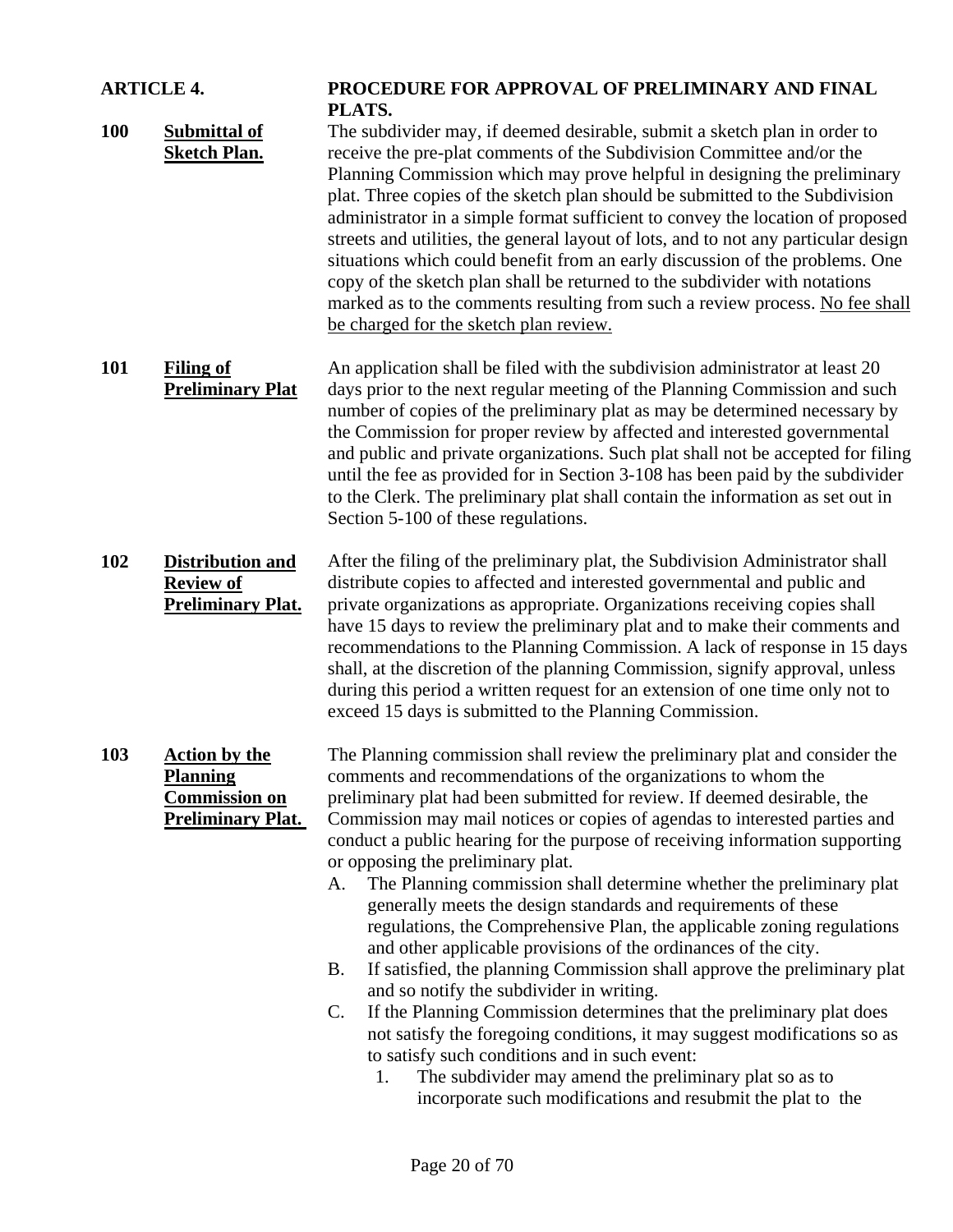| <b>ARTICLE 4.</b> |                                                                                             | PROCEDURE FOR APPROVAL OF PRELIMINARY AND FINAL<br>PLATS.                                                                                                                                                                                                                                                                                                                                                                                                                                                                                                                                                                                                                                                                                                                                                                                                                                                                                                                                                                                                                                                                                                                                                         |  |  |
|-------------------|---------------------------------------------------------------------------------------------|-------------------------------------------------------------------------------------------------------------------------------------------------------------------------------------------------------------------------------------------------------------------------------------------------------------------------------------------------------------------------------------------------------------------------------------------------------------------------------------------------------------------------------------------------------------------------------------------------------------------------------------------------------------------------------------------------------------------------------------------------------------------------------------------------------------------------------------------------------------------------------------------------------------------------------------------------------------------------------------------------------------------------------------------------------------------------------------------------------------------------------------------------------------------------------------------------------------------|--|--|
| <b>100</b>        | <b>Submittal of</b><br><b>Sketch Plan.</b>                                                  | The subdivider may, if deemed desirable, submit a sketch plan in order to<br>receive the pre-plat comments of the Subdivision Committee and/or the<br>Planning Commission which may prove helpful in designing the preliminary<br>plat. Three copies of the sketch plan should be submitted to the Subdivision<br>administrator in a simple format sufficient to convey the location of proposed<br>streets and utilities, the general layout of lots, and to not any particular design<br>situations which could benefit from an early discussion of the problems. One<br>copy of the sketch plan shall be returned to the subdivider with notations<br>marked as to the comments resulting from such a review process. No fee shall<br>be charged for the sketch plan review.                                                                                                                                                                                                                                                                                                                                                                                                                                   |  |  |
| 101               | <b>Filing of</b><br><b>Preliminary Plat</b>                                                 | An application shall be filed with the subdivision administrator at least 20<br>days prior to the next regular meeting of the Planning Commission and such<br>number of copies of the preliminary plat as may be determined necessary by<br>the Commission for proper review by affected and interested governmental<br>and public and private organizations. Such plat shall not be accepted for filing<br>until the fee as provided for in Section 3-108 has been paid by the subdivider<br>to the Clerk. The preliminary plat shall contain the information as set out in<br>Section 5-100 of these regulations.                                                                                                                                                                                                                                                                                                                                                                                                                                                                                                                                                                                               |  |  |
| 102               | <b>Distribution and</b><br><b>Review of</b><br><b>Preliminary Plat.</b>                     | After the filing of the preliminary plat, the Subdivision Administrator shall<br>distribute copies to affected and interested governmental and public and<br>private organizations as appropriate. Organizations receiving copies shall<br>have 15 days to review the preliminary plat and to make their comments and<br>recommendations to the Planning Commission. A lack of response in 15 days<br>shall, at the discretion of the planning Commission, signify approval, unless<br>during this period a written request for an extension of one time only not to<br>exceed 15 days is submitted to the Planning Commission.                                                                                                                                                                                                                                                                                                                                                                                                                                                                                                                                                                                   |  |  |
| 103               | <b>Action by the</b><br><b>Planning</b><br><b>Commission on</b><br><b>Preliminary Plat.</b> | The Planning commission shall review the preliminary plat and consider the<br>comments and recommendations of the organizations to whom the<br>preliminary plat had been submitted for review. If deemed desirable, the<br>Commission may mail notices or copies of agendas to interested parties and<br>conduct a public hearing for the purpose of receiving information supporting<br>or opposing the preliminary plat.<br>The Planning commission shall determine whether the preliminary plat<br>A.<br>generally meets the design standards and requirements of these<br>regulations, the Comprehensive Plan, the applicable zoning regulations<br>and other applicable provisions of the ordinances of the city.<br>If satisfied, the planning Commission shall approve the preliminary plat<br><b>B.</b><br>and so notify the subdivider in writing.<br>If the Planning Commission determines that the preliminary plat does<br>$\mathsf{C}$ .<br>not satisfy the foregoing conditions, it may suggest modifications so as<br>to satisfy such conditions and in such event:<br>The subdivider may amend the preliminary plat so as to<br>1.<br>incorporate such modifications and resubmit the plat to the |  |  |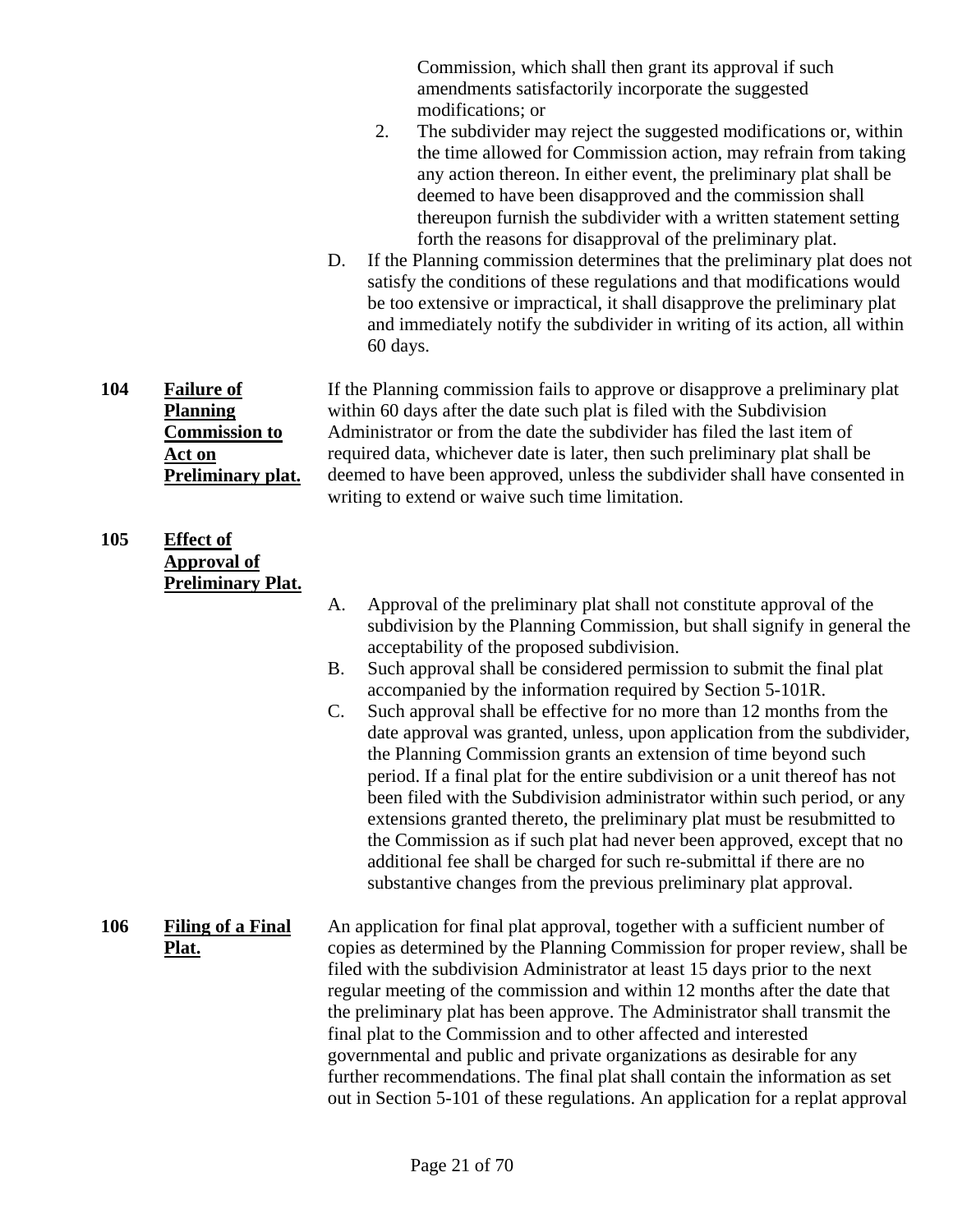Commission, which shall then grant its approval if such amendments satisfactorily incorporate the suggested modifications; or

- 2. The subdivider may reject the suggested modifications or, within the time allowed for Commission action, may refrain from taking any action thereon. In either event, the preliminary plat shall be deemed to have been disapproved and the commission shall thereupon furnish the subdivider with a written statement setting forth the reasons for disapproval of the preliminary plat.
- D. If the Planning commission determines that the preliminary plat does not satisfy the conditions of these regulations and that modifications would be too extensive or impractical, it shall disapprove the preliminary plat and immediately notify the subdivider in writing of its action, all within 60 days.

**104 Failure of Planning Commission to Act on Preliminary plat.** If the Planning commission fails to approve or disapprove a preliminary plat within 60 days after the date such plat is filed with the Subdivision Administrator or from the date the subdivider has filed the last item of required data, whichever date is later, then such preliminary plat shall be deemed to have been approved, unless the subdivider shall have consented in writing to extend or waive such time limitation.

#### **105 Effect of Approval of Preliminary Plat.**

- A. Approval of the preliminary plat shall not constitute approval of the subdivision by the Planning Commission, but shall signify in general the acceptability of the proposed subdivision.
- B. Such approval shall be considered permission to submit the final plat accompanied by the information required by Section 5-101R.
- C. Such approval shall be effective for no more than 12 months from the date approval was granted, unless, upon application from the subdivider, the Planning Commission grants an extension of time beyond such period. If a final plat for the entire subdivision or a unit thereof has not been filed with the Subdivision administrator within such period, or any extensions granted thereto, the preliminary plat must be resubmitted to the Commission as if such plat had never been approved, except that no additional fee shall be charged for such re-submittal if there are no substantive changes from the previous preliminary plat approval.

#### **106 Filing of a Final Plat.** An application for final plat approval, together with a sufficient number of copies as determined by the Planning Commission for proper review, shall be filed with the subdivision Administrator at least 15 days prior to the next regular meeting of the commission and within 12 months after the date that the preliminary plat has been approve. The Administrator shall transmit the final plat to the Commission and to other affected and interested governmental and public and private organizations as desirable for any further recommendations. The final plat shall contain the information as set out in Section 5-101 of these regulations. An application for a replat approval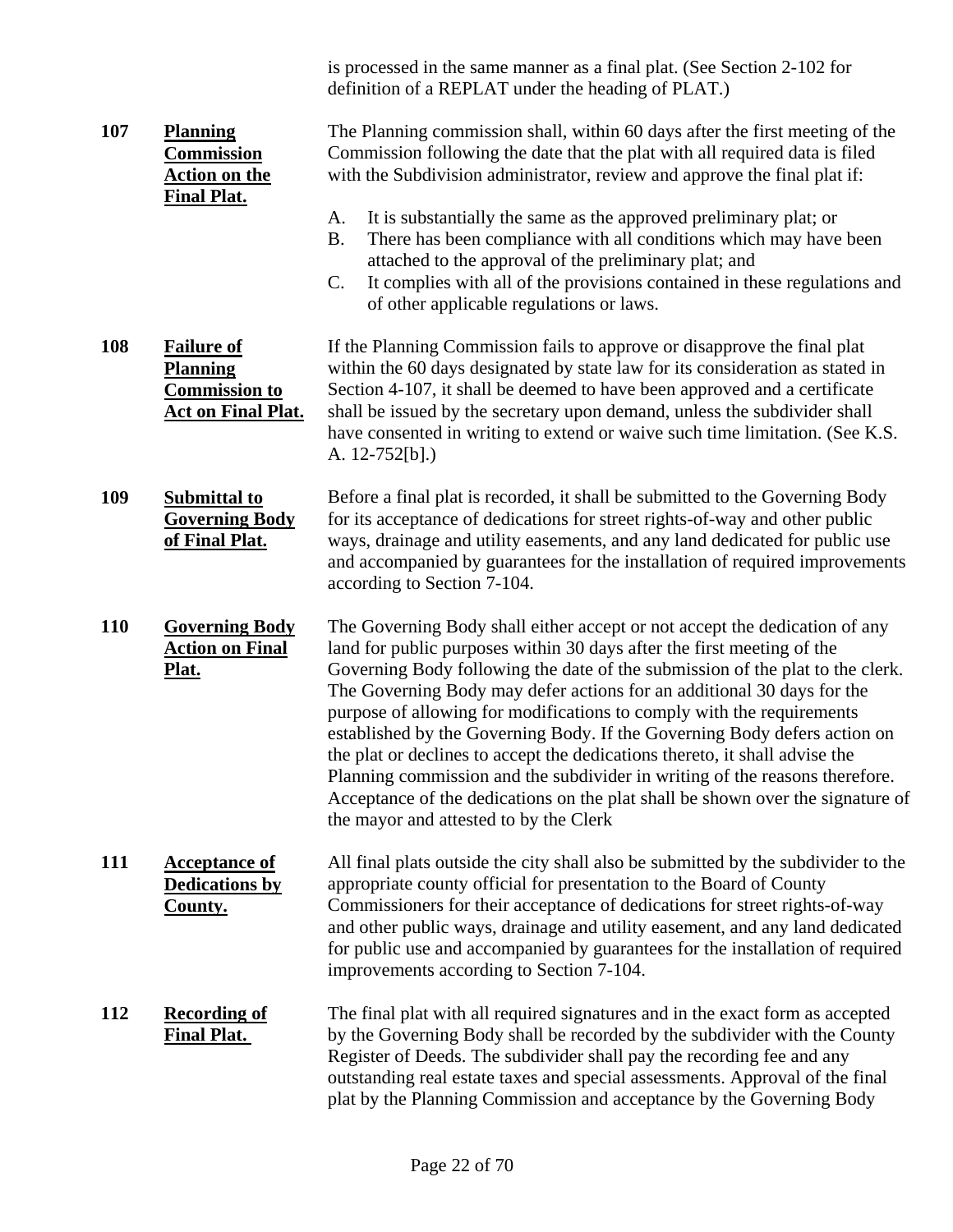is processed in the same manner as a final plat. (See Section 2-102 for definition of a REPLAT under the heading of PLAT.)

| 107        | <b>Planning</b><br><b>Commission</b><br><b>Action on the</b><br><b>Final Plat.</b>        | The Planning commission shall, within 60 days after the first meeting of the<br>Commission following the date that the plat with all required data is filed<br>with the Subdivision administrator, review and approve the final plat if:                                                                                                                                                                                                                                                                                                                                                                                                                                                                                                                        |  |  |
|------------|-------------------------------------------------------------------------------------------|-----------------------------------------------------------------------------------------------------------------------------------------------------------------------------------------------------------------------------------------------------------------------------------------------------------------------------------------------------------------------------------------------------------------------------------------------------------------------------------------------------------------------------------------------------------------------------------------------------------------------------------------------------------------------------------------------------------------------------------------------------------------|--|--|
|            |                                                                                           | It is substantially the same as the approved preliminary plat; or<br>A.<br><b>B.</b><br>There has been compliance with all conditions which may have been<br>attached to the approval of the preliminary plat; and<br>C.<br>It complies with all of the provisions contained in these regulations and<br>of other applicable regulations or laws.                                                                                                                                                                                                                                                                                                                                                                                                               |  |  |
| 108        | <b>Failure of</b><br><b>Planning</b><br><b>Commission to</b><br><b>Act on Final Plat.</b> | If the Planning Commission fails to approve or disapprove the final plat<br>within the 60 days designated by state law for its consideration as stated in<br>Section 4-107, it shall be deemed to have been approved and a certificate<br>shall be issued by the secretary upon demand, unless the subdivider shall<br>have consented in writing to extend or waive such time limitation. (See K.S.<br>A. $12-752[b]$ .)                                                                                                                                                                                                                                                                                                                                        |  |  |
| 109        | <b>Submittal to</b><br><b>Governing Body</b><br>of Final Plat.                            | Before a final plat is recorded, it shall be submitted to the Governing Body<br>for its acceptance of dedications for street rights-of-way and other public<br>ways, drainage and utility easements, and any land dedicated for public use<br>and accompanied by guarantees for the installation of required improvements<br>according to Section 7-104.                                                                                                                                                                                                                                                                                                                                                                                                        |  |  |
| <b>110</b> | <b>Governing Body</b><br><b>Action on Final</b><br>Plat.                                  | The Governing Body shall either accept or not accept the dedication of any<br>land for public purposes within 30 days after the first meeting of the<br>Governing Body following the date of the submission of the plat to the clerk.<br>The Governing Body may defer actions for an additional 30 days for the<br>purpose of allowing for modifications to comply with the requirements<br>established by the Governing Body. If the Governing Body defers action on<br>the plat or declines to accept the dedications thereto, it shall advise the<br>Planning commission and the subdivider in writing of the reasons therefore.<br>Acceptance of the dedications on the plat shall be shown over the signature of<br>the mayor and attested to by the Clerk |  |  |
| 111        | <b>Acceptance of</b><br><b>Dedications by</b><br><b>County.</b>                           | All final plats outside the city shall also be submitted by the subdivider to the<br>appropriate county official for presentation to the Board of County<br>Commissioners for their acceptance of dedications for street rights-of-way<br>and other public ways, drainage and utility easement, and any land dedicated<br>for public use and accompanied by guarantees for the installation of required<br>improvements according to Section 7-104.                                                                                                                                                                                                                                                                                                             |  |  |
| 112        | <b>Recording of</b><br><b>Final Plat.</b>                                                 | The final plat with all required signatures and in the exact form as accepted<br>by the Governing Body shall be recorded by the subdivider with the County<br>Register of Deeds. The subdivider shall pay the recording fee and any<br>outstanding real estate taxes and special assessments. Approval of the final<br>plat by the Planning Commission and acceptance by the Governing Body                                                                                                                                                                                                                                                                                                                                                                     |  |  |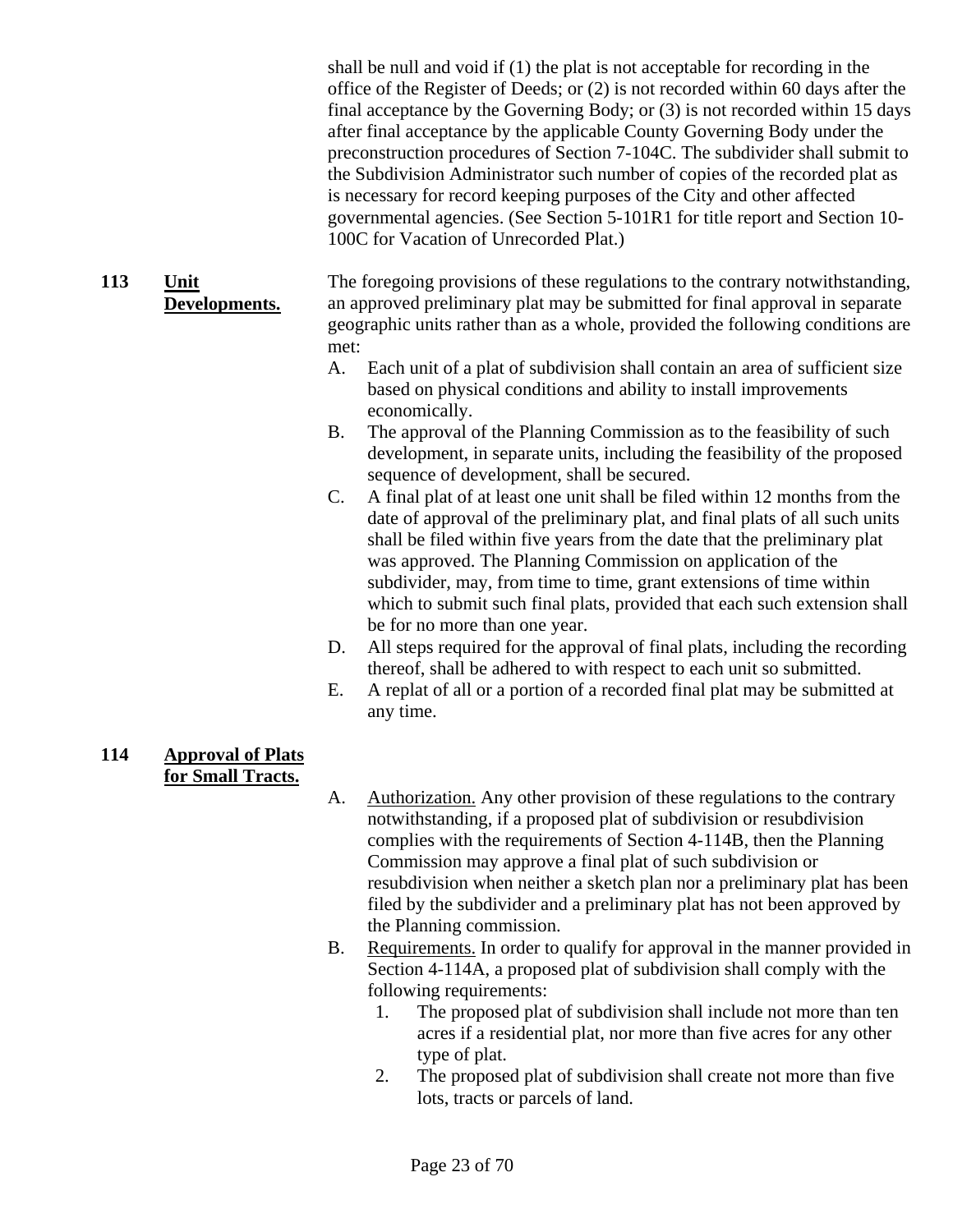shall be null and void if (1) the plat is not acceptable for recording in the office of the Register of Deeds; or (2) is not recorded within 60 days after the final acceptance by the Governing Body; or (3) is not recorded within 15 days after final acceptance by the applicable County Governing Body under the preconstruction procedures of Section 7-104C. The subdivider shall submit to the Subdivision Administrator such number of copies of the recorded plat as is necessary for record keeping purposes of the City and other affected governmental agencies. (See Section 5-101R1 for title report and Section 10- 100C for Vacation of Unrecorded Plat.)

- **113 Unit Developments.** The foregoing provisions of these regulations to the contrary notwithstanding, an approved preliminary plat may be submitted for final approval in separate geographic units rather than as a whole, provided the following conditions are met:
	- A. Each unit of a plat of subdivision shall contain an area of sufficient size based on physical conditions and ability to install improvements economically.
	- B. The approval of the Planning Commission as to the feasibility of such development, in separate units, including the feasibility of the proposed sequence of development, shall be secured.
	- C. A final plat of at least one unit shall be filed within 12 months from the date of approval of the preliminary plat, and final plats of all such units shall be filed within five years from the date that the preliminary plat was approved. The Planning Commission on application of the subdivider, may, from time to time, grant extensions of time within which to submit such final plats, provided that each such extension shall be for no more than one year.
	- D. All steps required for the approval of final plats, including the recording thereof, shall be adhered to with respect to each unit so submitted.
	- E. A replat of all or a portion of a recorded final plat may be submitted at any time.

#### **114 Approval of Plats for Small Tracts.**

- A. Authorization. Any other provision of these regulations to the contrary notwithstanding, if a proposed plat of subdivision or resubdivision complies with the requirements of Section 4-114B, then the Planning Commission may approve a final plat of such subdivision or resubdivision when neither a sketch plan nor a preliminary plat has been filed by the subdivider and a preliminary plat has not been approved by the Planning commission.
- B. Requirements. In order to qualify for approval in the manner provided in Section 4-114A, a proposed plat of subdivision shall comply with the following requirements:
	- 1. The proposed plat of subdivision shall include not more than ten acres if a residential plat, nor more than five acres for any other type of plat.
	- 2. The proposed plat of subdivision shall create not more than five lots, tracts or parcels of land.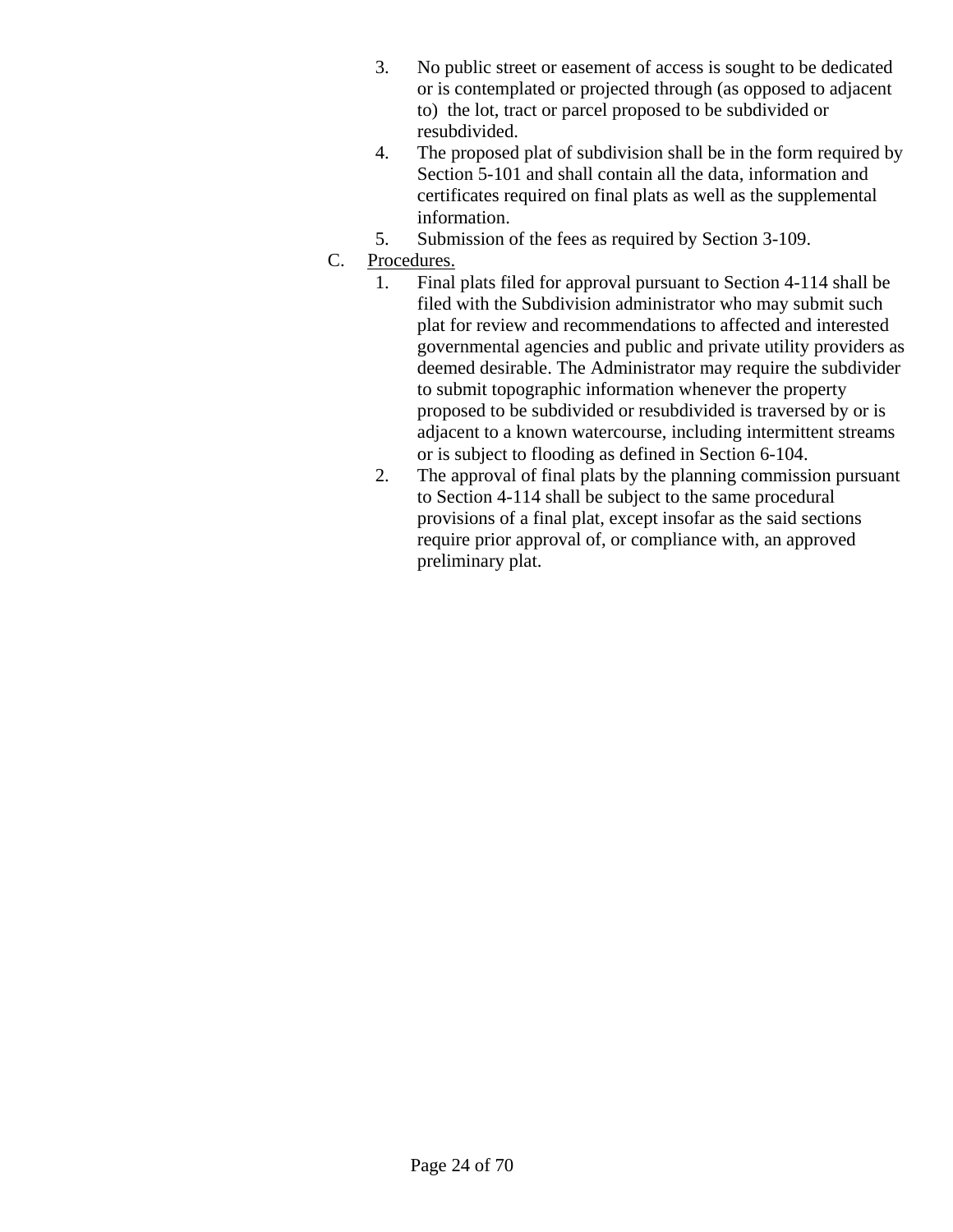- 3. No public street or easement of access is sought to be dedicated or is contemplated or projected through (as opposed to adjacent to) the lot, tract or parcel proposed to be subdivided or resubdivided.
- 4. The proposed plat of subdivision shall be in the form required by Section 5-101 and shall contain all the data, information and certificates required on final plats as well as the supplemental information.
- 5. Submission of the fees as required by Section 3-109.
- C. Procedures.
	- 1. Final plats filed for approval pursuant to Section 4-114 shall be filed with the Subdivision administrator who may submit such plat for review and recommendations to affected and interested governmental agencies and public and private utility providers as deemed desirable. The Administrator may require the subdivider to submit topographic information whenever the property proposed to be subdivided or resubdivided is traversed by or is adjacent to a known watercourse, including intermittent streams or is subject to flooding as defined in Section 6-104.
	- 2. The approval of final plats by the planning commission pursuant to Section 4-114 shall be subject to the same procedural provisions of a final plat, except insofar as the said sections require prior approval of, or compliance with, an approved preliminary plat.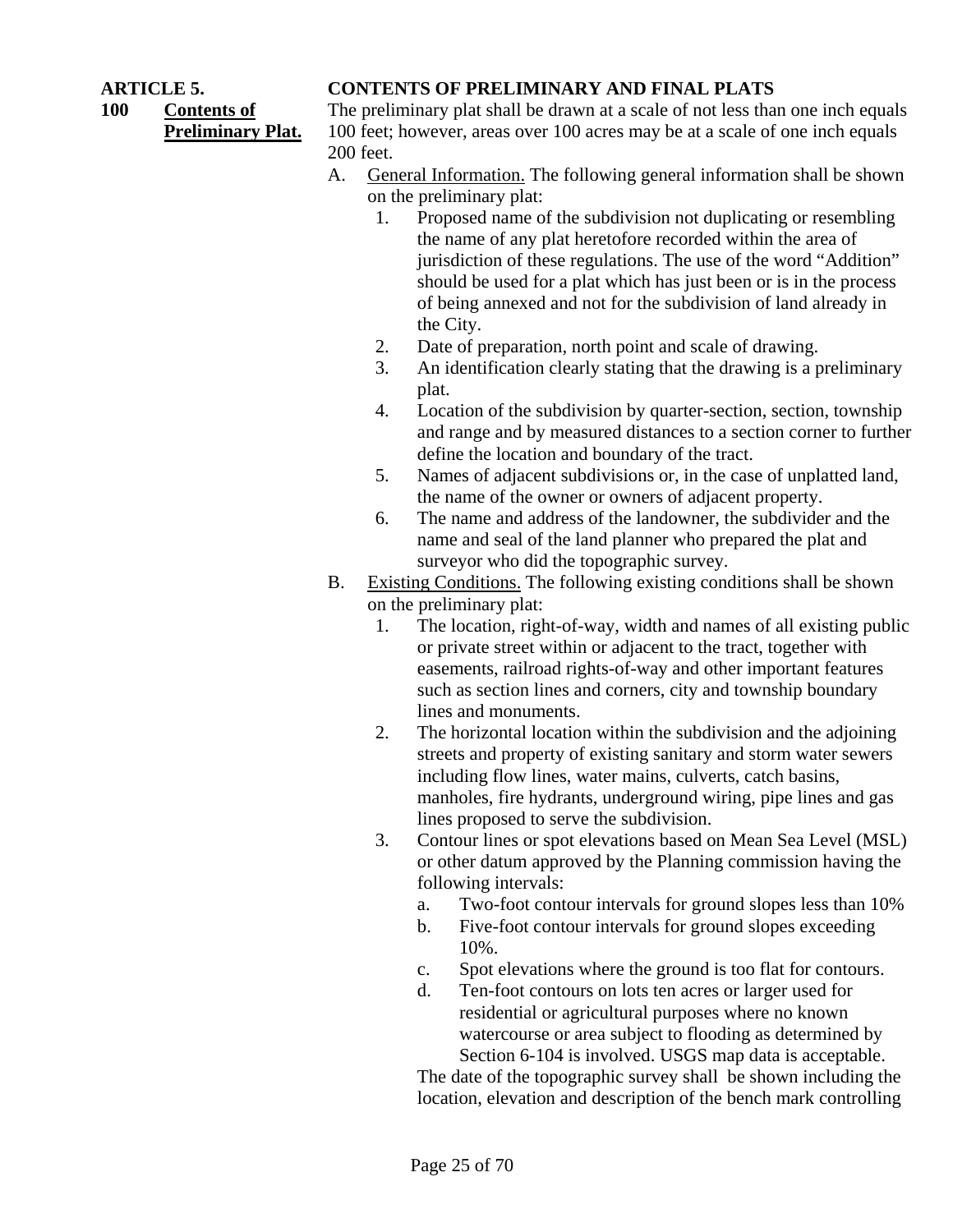**100 Contents of Preliminary Plat.**

#### **ARTICLE 5. CONTENTS OF PRELIMINARY AND FINAL PLATS**

The preliminary plat shall be drawn at a scale of not less than one inch equals 100 feet; however, areas over 100 acres may be at a scale of one inch equals 200 feet.

- A. General Information. The following general information shall be shown on the preliminary plat:
	- 1. Proposed name of the subdivision not duplicating or resembling the name of any plat heretofore recorded within the area of jurisdiction of these regulations. The use of the word "Addition" should be used for a plat which has just been or is in the process of being annexed and not for the subdivision of land already in the City.
	- 2. Date of preparation, north point and scale of drawing.
	- 3. An identification clearly stating that the drawing is a preliminary plat.
	- 4. Location of the subdivision by quarter-section, section, township and range and by measured distances to a section corner to further define the location and boundary of the tract.
	- 5. Names of adjacent subdivisions or, in the case of unplatted land, the name of the owner or owners of adjacent property.
	- 6. The name and address of the landowner, the subdivider and the name and seal of the land planner who prepared the plat and surveyor who did the topographic survey.
- B. Existing Conditions. The following existing conditions shall be shown on the preliminary plat:
	- 1. The location, right-of-way, width and names of all existing public or private street within or adjacent to the tract, together with easements, railroad rights-of-way and other important features such as section lines and corners, city and township boundary lines and monuments.
	- 2. The horizontal location within the subdivision and the adjoining streets and property of existing sanitary and storm water sewers including flow lines, water mains, culverts, catch basins, manholes, fire hydrants, underground wiring, pipe lines and gas lines proposed to serve the subdivision.
	- 3. Contour lines or spot elevations based on Mean Sea Level (MSL) or other datum approved by the Planning commission having the following intervals:
		- a. Two-foot contour intervals for ground slopes less than 10%
		- b. Five-foot contour intervals for ground slopes exceeding 10%.
		- c. Spot elevations where the ground is too flat for contours.
		- d. Ten-foot contours on lots ten acres or larger used for residential or agricultural purposes where no known watercourse or area subject to flooding as determined by Section 6-104 is involved. USGS map data is acceptable.

The date of the topographic survey shall be shown including the location, elevation and description of the bench mark controlling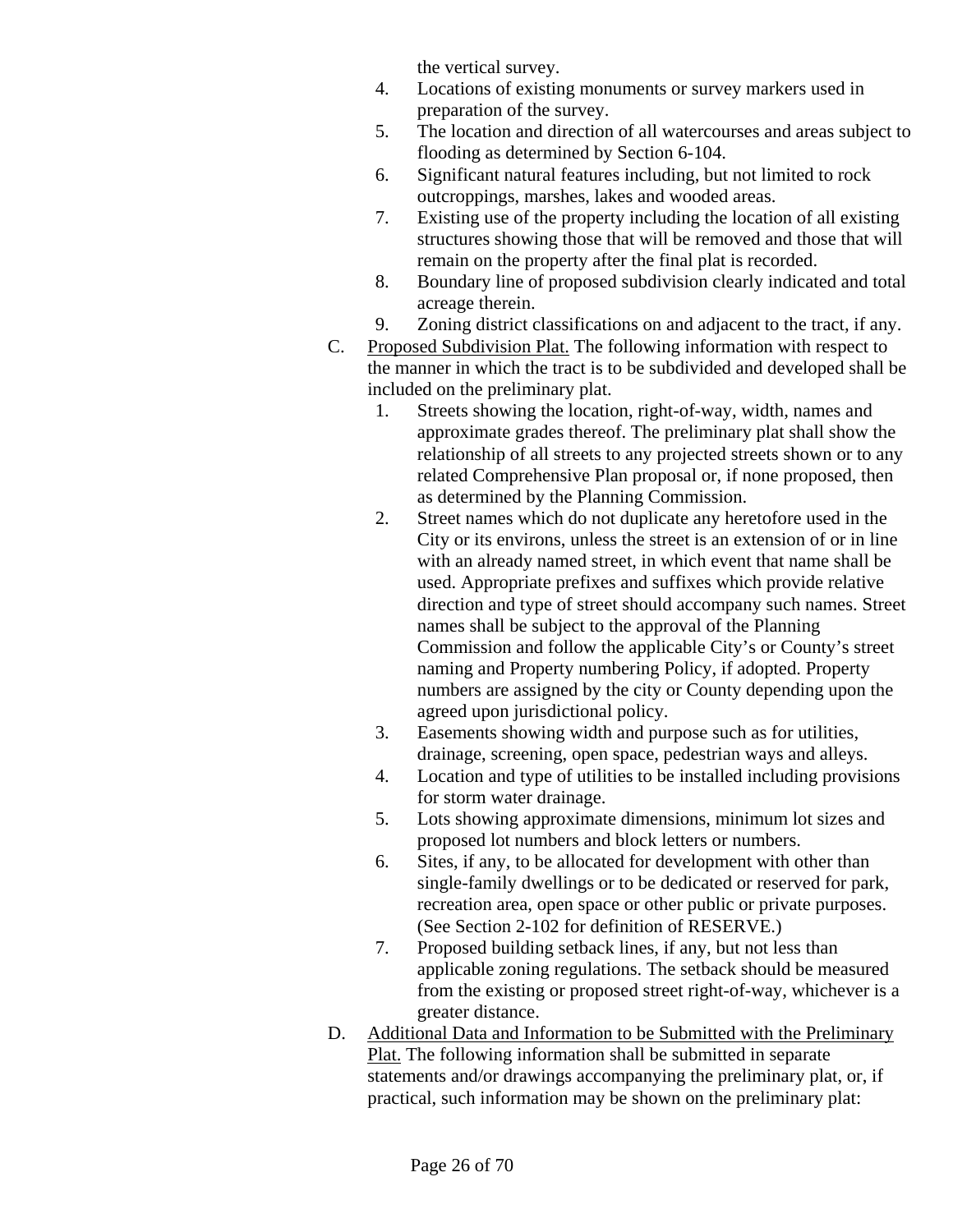the vertical survey.

- 4. Locations of existing monuments or survey markers used in preparation of the survey.
- 5. The location and direction of all watercourses and areas subject to flooding as determined by Section 6-104.
- 6. Significant natural features including, but not limited to rock outcroppings, marshes, lakes and wooded areas.
- 7. Existing use of the property including the location of all existing structures showing those that will be removed and those that will remain on the property after the final plat is recorded.
- 8. Boundary line of proposed subdivision clearly indicated and total acreage therein.
- 9. Zoning district classifications on and adjacent to the tract, if any.
- C. Proposed Subdivision Plat. The following information with respect to the manner in which the tract is to be subdivided and developed shall be included on the preliminary plat.
	- 1. Streets showing the location, right-of-way, width, names and approximate grades thereof. The preliminary plat shall show the relationship of all streets to any projected streets shown or to any related Comprehensive Plan proposal or, if none proposed, then as determined by the Planning Commission.
	- 2. Street names which do not duplicate any heretofore used in the City or its environs, unless the street is an extension of or in line with an already named street, in which event that name shall be used. Appropriate prefixes and suffixes which provide relative direction and type of street should accompany such names. Street names shall be subject to the approval of the Planning Commission and follow the applicable City's or County's street naming and Property numbering Policy, if adopted. Property numbers are assigned by the city or County depending upon the agreed upon jurisdictional policy.
	- 3. Easements showing width and purpose such as for utilities, drainage, screening, open space, pedestrian ways and alleys.
	- 4. Location and type of utilities to be installed including provisions for storm water drainage.
	- 5. Lots showing approximate dimensions, minimum lot sizes and proposed lot numbers and block letters or numbers.
	- 6. Sites, if any, to be allocated for development with other than single-family dwellings or to be dedicated or reserved for park, recreation area, open space or other public or private purposes. (See Section 2-102 for definition of RESERVE.)
	- 7. Proposed building setback lines, if any, but not less than applicable zoning regulations. The setback should be measured from the existing or proposed street right-of-way, whichever is a greater distance.
- D. Additional Data and Information to be Submitted with the Preliminary Plat. The following information shall be submitted in separate statements and/or drawings accompanying the preliminary plat, or, if practical, such information may be shown on the preliminary plat: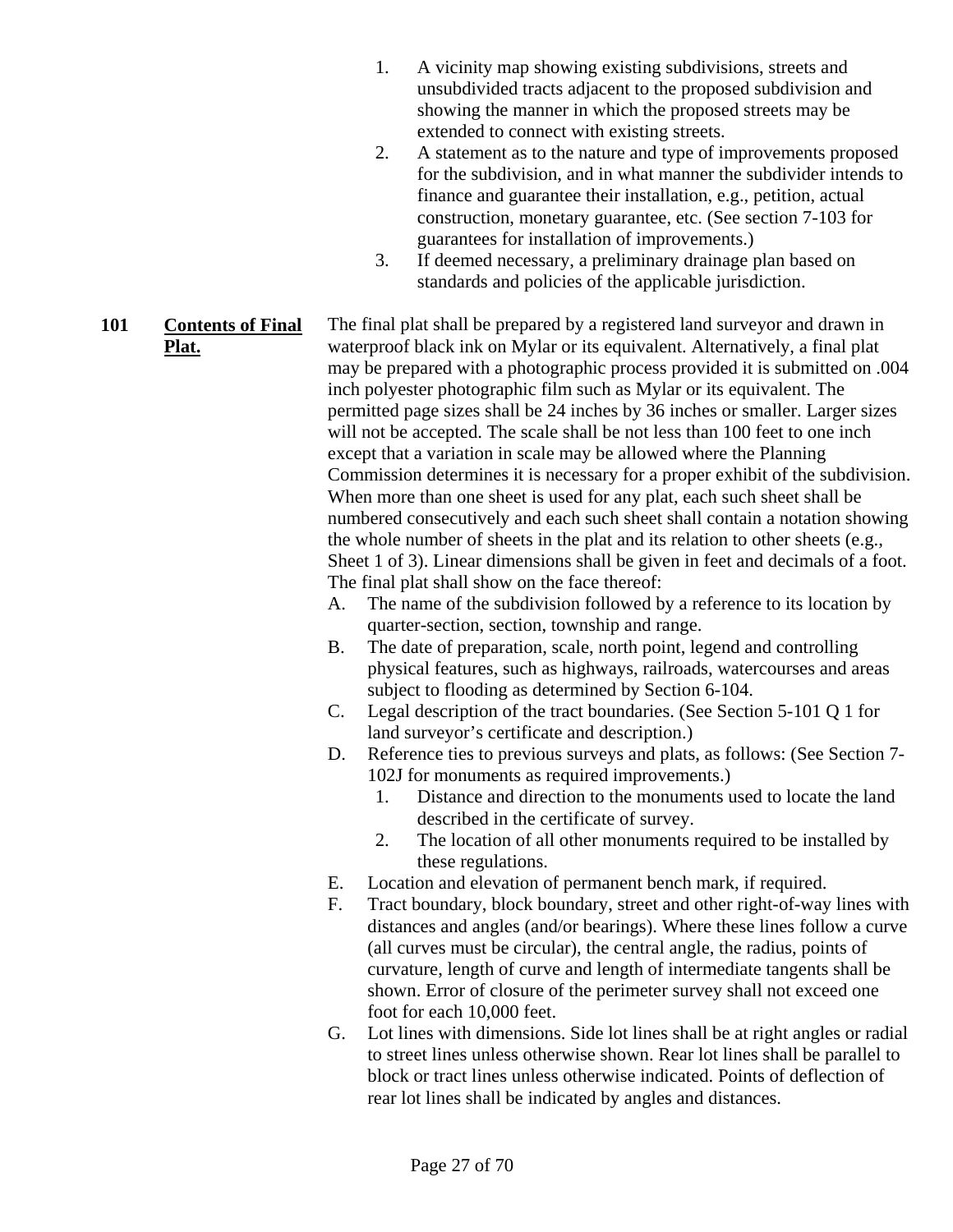- 1. A vicinity map showing existing subdivisions, streets and unsubdivided tracts adjacent to the proposed subdivision and showing the manner in which the proposed streets may be extended to connect with existing streets.
- 2. A statement as to the nature and type of improvements proposed for the subdivision, and in what manner the subdivider intends to finance and guarantee their installation, e.g., petition, actual construction, monetary guarantee, etc. (See section 7-103 for guarantees for installation of improvements.)
- 3. If deemed necessary, a preliminary drainage plan based on standards and policies of the applicable jurisdiction.
- **101 Contents of Final Plat.** The final plat shall be prepared by a registered land surveyor and drawn in waterproof black ink on Mylar or its equivalent. Alternatively, a final plat may be prepared with a photographic process provided it is submitted on .004 inch polyester photographic film such as Mylar or its equivalent. The permitted page sizes shall be 24 inches by 36 inches or smaller. Larger sizes will not be accepted. The scale shall be not less than 100 feet to one inch except that a variation in scale may be allowed where the Planning Commission determines it is necessary for a proper exhibit of the subdivision. When more than one sheet is used for any plat, each such sheet shall be numbered consecutively and each such sheet shall contain a notation showing the whole number of sheets in the plat and its relation to other sheets (e.g., Sheet 1 of 3). Linear dimensions shall be given in feet and decimals of a foot. The final plat shall show on the face thereof:
	- A. The name of the subdivision followed by a reference to its location by quarter-section, section, township and range.
	- B. The date of preparation, scale, north point, legend and controlling physical features, such as highways, railroads, watercourses and areas subject to flooding as determined by Section 6-104.
	- C. Legal description of the tract boundaries. (See Section 5-101 Q 1 for land surveyor's certificate and description.)
	- D. Reference ties to previous surveys and plats, as follows: (See Section 7- 102J for monuments as required improvements.)
		- 1. Distance and direction to the monuments used to locate the land described in the certificate of survey.
		- 2. The location of all other monuments required to be installed by these regulations.
	- E. Location and elevation of permanent bench mark, if required.
	- F. Tract boundary, block boundary, street and other right-of-way lines with distances and angles (and/or bearings). Where these lines follow a curve (all curves must be circular), the central angle, the radius, points of curvature, length of curve and length of intermediate tangents shall be shown. Error of closure of the perimeter survey shall not exceed one foot for each 10,000 feet.
	- G. Lot lines with dimensions. Side lot lines shall be at right angles or radial to street lines unless otherwise shown. Rear lot lines shall be parallel to block or tract lines unless otherwise indicated. Points of deflection of rear lot lines shall be indicated by angles and distances.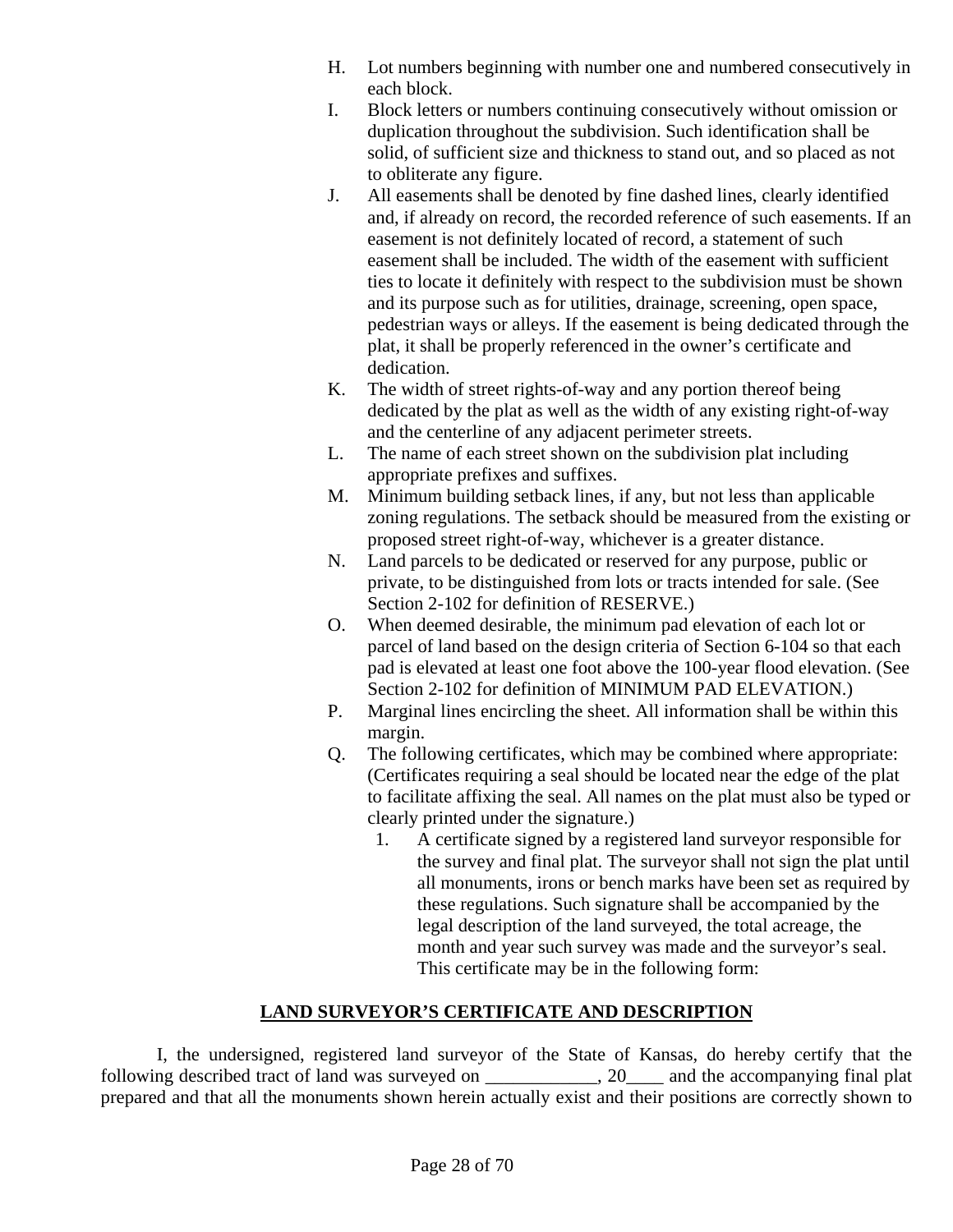- H. Lot numbers beginning with number one and numbered consecutively in each block.
- I. Block letters or numbers continuing consecutively without omission or duplication throughout the subdivision. Such identification shall be solid, of sufficient size and thickness to stand out, and so placed as not to obliterate any figure.
- J. All easements shall be denoted by fine dashed lines, clearly identified and, if already on record, the recorded reference of such easements. If an easement is not definitely located of record, a statement of such easement shall be included. The width of the easement with sufficient ties to locate it definitely with respect to the subdivision must be shown and its purpose such as for utilities, drainage, screening, open space, pedestrian ways or alleys. If the easement is being dedicated through the plat, it shall be properly referenced in the owner's certificate and dedication.
- K. The width of street rights-of-way and any portion thereof being dedicated by the plat as well as the width of any existing right-of-way and the centerline of any adjacent perimeter streets.
- L. The name of each street shown on the subdivision plat including appropriate prefixes and suffixes.
- M. Minimum building setback lines, if any, but not less than applicable zoning regulations. The setback should be measured from the existing or proposed street right-of-way, whichever is a greater distance.
- N. Land parcels to be dedicated or reserved for any purpose, public or private, to be distinguished from lots or tracts intended for sale. (See Section 2-102 for definition of RESERVE.)
- O. When deemed desirable, the minimum pad elevation of each lot or parcel of land based on the design criteria of Section 6-104 so that each pad is elevated at least one foot above the 100-year flood elevation. (See Section 2-102 for definition of MINIMUM PAD ELEVATION.)
- P. Marginal lines encircling the sheet. All information shall be within this margin.
- Q. The following certificates, which may be combined where appropriate: (Certificates requiring a seal should be located near the edge of the plat to facilitate affixing the seal. All names on the plat must also be typed or clearly printed under the signature.)
	- 1. A certificate signed by a registered land surveyor responsible for the survey and final plat. The surveyor shall not sign the plat until all monuments, irons or bench marks have been set as required by these regulations. Such signature shall be accompanied by the legal description of the land surveyed, the total acreage, the month and year such survey was made and the surveyor's seal. This certificate may be in the following form:

## **LAND SURVEYOR'S CERTIFICATE AND DESCRIPTION**

 I, the undersigned, registered land surveyor of the State of Kansas, do hereby certify that the following described tract of land was surveyed on \_\_\_\_\_\_\_\_\_\_\_\_, 20\_\_\_\_ and the accompanying final plat prepared and that all the monuments shown herein actually exist and their positions are correctly shown to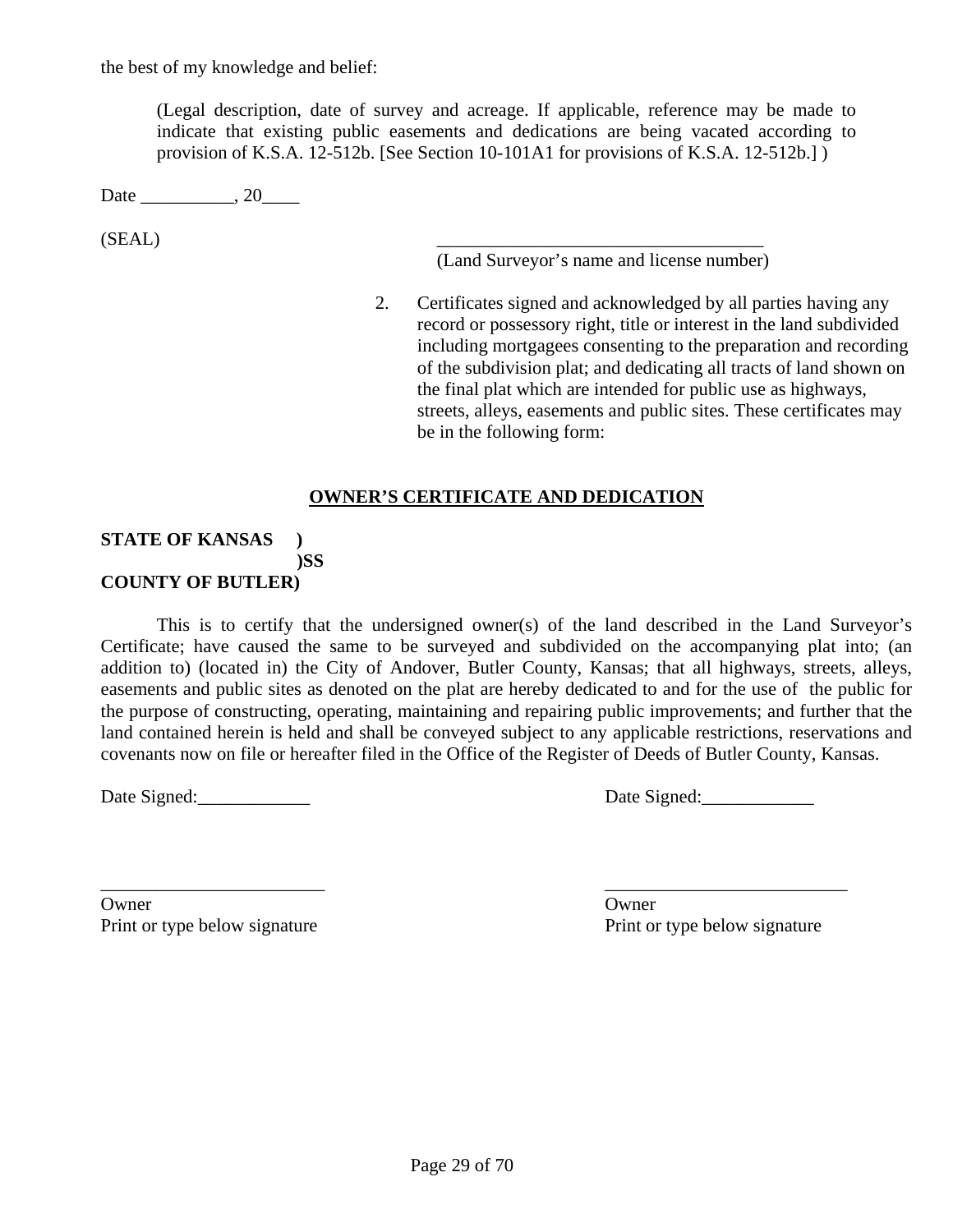the best of my knowledge and belief:

(Legal description, date of survey and acreage. If applicable, reference may be made to indicate that existing public easements and dedications are being vacated according to provision of K.S.A. 12-512b. [See Section 10-101A1 for provisions of K.S.A. 12-512b.] )

Date \_\_\_\_\_\_\_\_\_\_\_, 20\_\_\_\_\_\_

 $(SEAL)$ 

(Land Surveyor's name and license number)

2. Certificates signed and acknowledged by all parties having any record or possessory right, title or interest in the land subdivided including mortgagees consenting to the preparation and recording of the subdivision plat; and dedicating all tracts of land shown on the final plat which are intended for public use as highways, streets, alleys, easements and public sites. These certificates may be in the following form:

#### **OWNER'S CERTIFICATE AND DEDICATION**

#### **STATE OF KANSAS ) )SS COUNTY OF BUTLER)**

 This is to certify that the undersigned owner(s) of the land described in the Land Surveyor's Certificate; have caused the same to be surveyed and subdivided on the accompanying plat into; (an addition to) (located in) the City of Andover, Butler County, Kansas; that all highways, streets, alleys, easements and public sites as denoted on the plat are hereby dedicated to and for the use of the public for the purpose of constructing, operating, maintaining and repairing public improvements; and further that the land contained herein is held and shall be conveyed subject to any applicable restrictions, reservations and covenants now on file or hereafter filed in the Office of the Register of Deeds of Butler County, Kansas.

Date Signed: Date Signed:

Owner Owner Communications of the Communication of the Communication of the Communication of the Communication of the Communication of the Communication of the Communication of the Communication of the Communication of the Print or type below signature Print or type below signature

\_\_\_\_\_\_\_\_\_\_\_\_\_\_\_\_\_\_\_\_\_\_\_\_ \_\_\_\_\_\_\_\_\_\_\_\_\_\_\_\_\_\_\_\_\_\_\_\_\_\_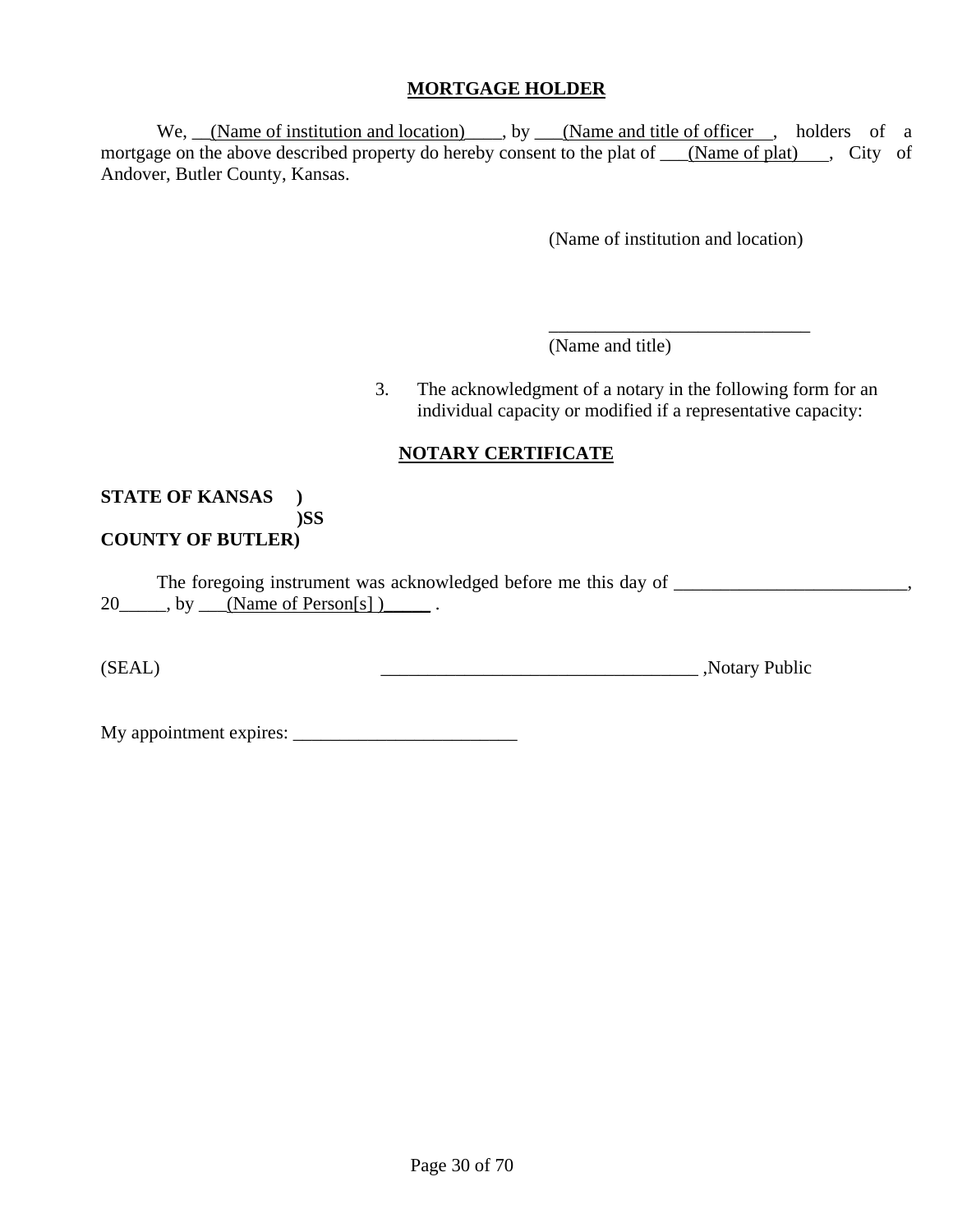#### **MORTGAGE HOLDER**

We, <u>(Name of institution and location)</u>, by (Name and title of officer , holders of a mortgage on the above described property do hereby consent to the plat of \_\_\_(Name of plat) \_\_, City of Andover, Butler County, Kansas.

(Name of institution and location)

(Name and title)

3. The acknowledgment of a notary in the following form for an individual capacity or modified if a representative capacity:

## **NOTARY CERTIFICATE**

 $\overline{\phantom{a}}$  , and the contract of the contract of the contract of the contract of the contract of the contract of the contract of the contract of the contract of the contract of the contract of the contract of the contrac

#### **STATE OF KANSAS ) )SS COUNTY OF BUTLER)**

The foregoing instrument was acknowledged before me this day of  $20$  , by  $\boxed{\text{(Name of Person[s])}}$ .

(SEAL) Notary Public

My appointment expires: \_\_\_\_\_\_\_\_\_\_\_\_\_\_\_\_\_\_\_\_\_\_\_\_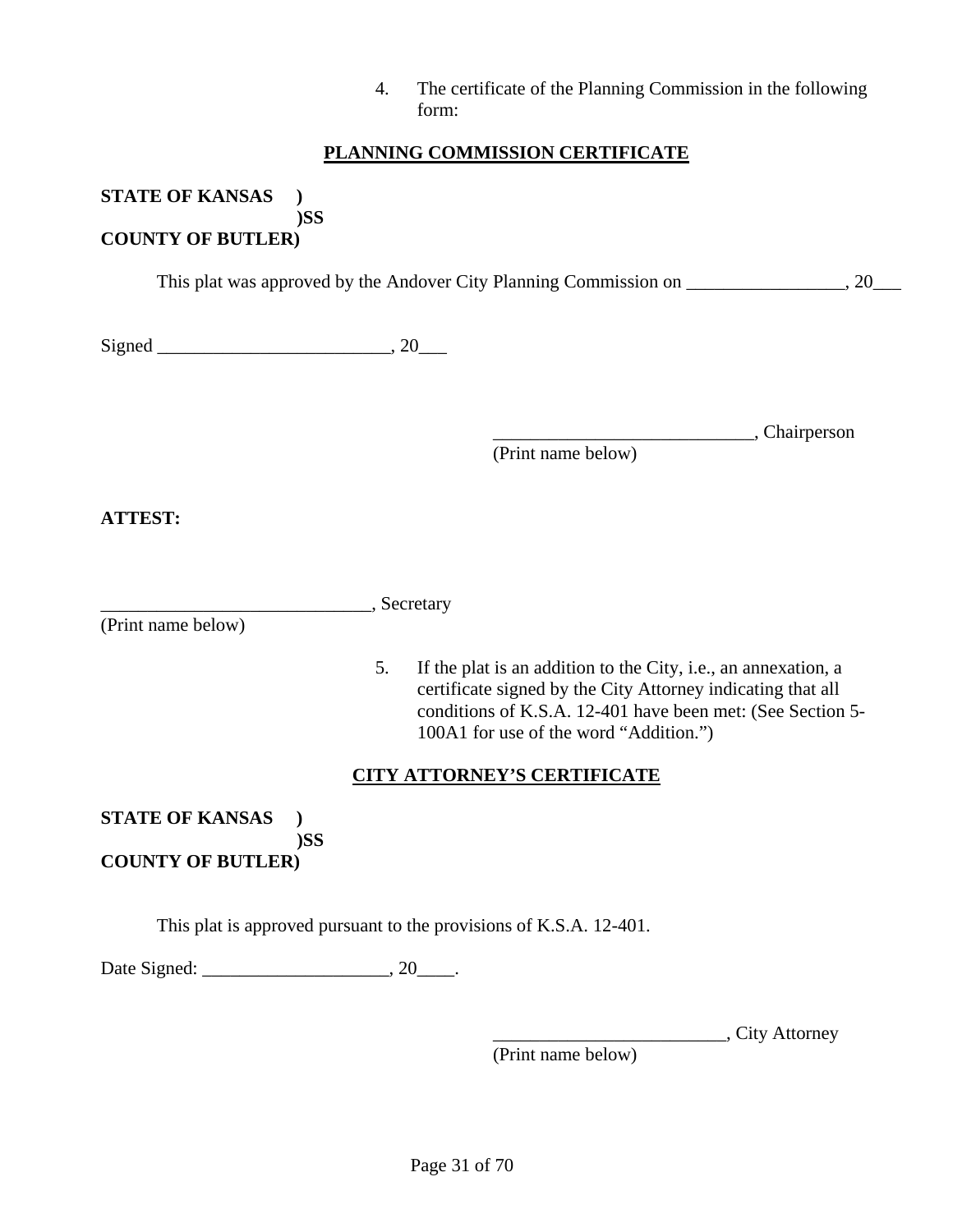| 4. | The certificate of the Planning Commission in the following |
|----|-------------------------------------------------------------|
|    | form:                                                       |

#### **PLANNING COMMISSION CERTIFICATE**

**STATE OF KANSAS ) )SS** 

## **COUNTY OF BUTLER)**

This plat was approved by the Andover City Planning Commission on \_\_\_\_\_\_\_\_\_\_\_\_\_\_\_, 20\_\_\_

| $\mathbf{C}$<br>$\sim$ $\sim$ $\sim$<br>ا ۲۰<br>້ |  |  |
|---------------------------------------------------|--|--|
|---------------------------------------------------|--|--|

\_\_\_\_\_\_\_\_\_\_\_\_\_\_\_\_\_\_\_\_\_\_\_\_\_\_\_\_, Chairperson

(Print name below)

**ATTEST:** 

|  | Secretary |
|--|-----------|
|  |           |

(Print name below)

5. If the plat is an addition to the City, i.e., an annexation, a certificate signed by the City Attorney indicating that all conditions of K.S.A. 12-401 have been met: (See Section 5- 100A1 for use of the word "Addition.")

#### **CITY ATTORNEY'S CERTIFICATE**

**STATE OF KANSAS ) )SS COUNTY OF BUTLER)** 

This plat is approved pursuant to the provisions of K.S.A. 12-401.

Date Signed: \_\_\_\_\_\_\_\_\_\_\_\_\_\_\_\_\_\_\_\_, 20\_\_\_\_.

\_\_\_\_\_\_\_\_\_\_\_\_\_\_\_\_\_\_\_\_\_\_\_\_\_, City Attorney

(Print name below)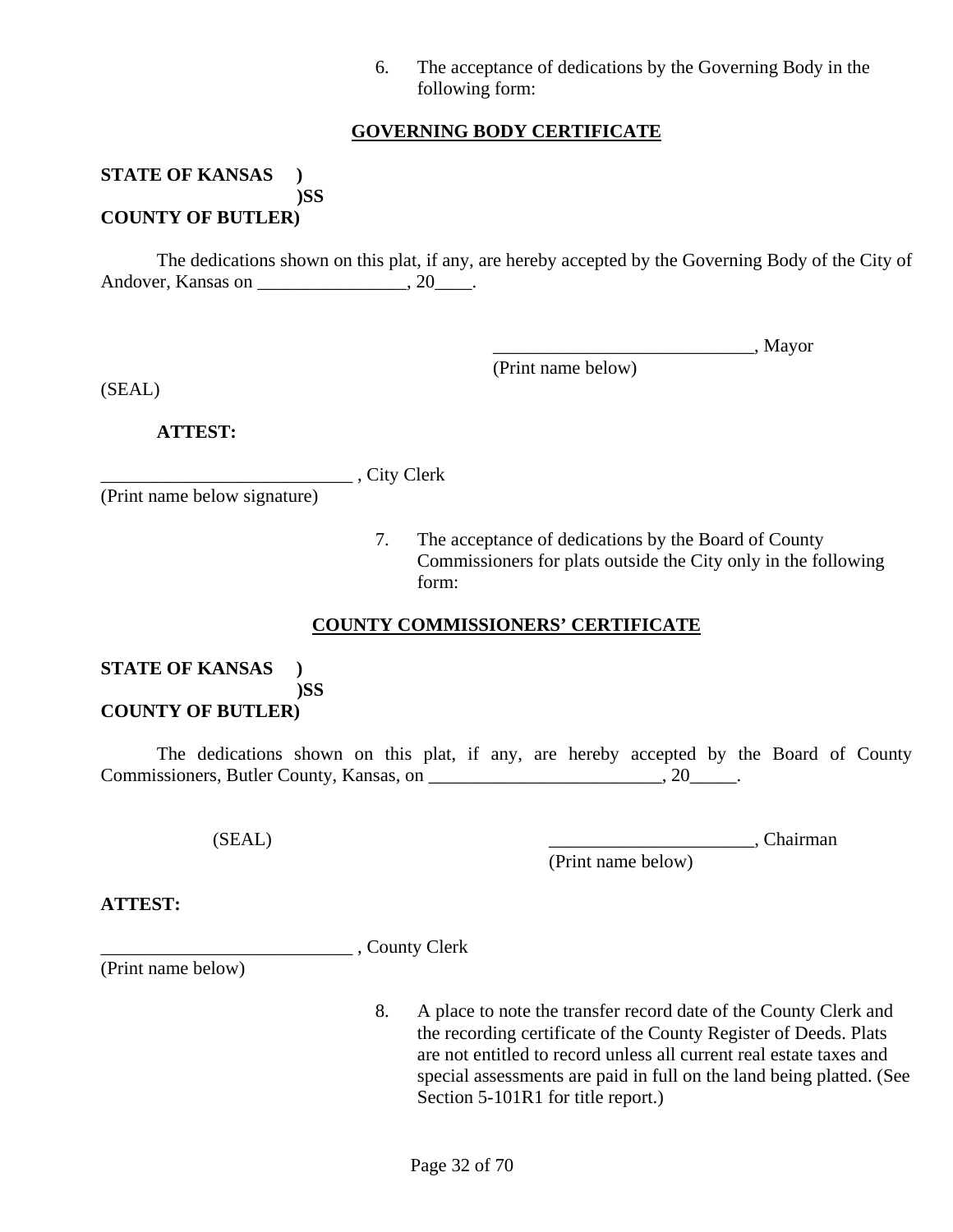6. The acceptance of dedications by the Governing Body in the following form:

#### **GOVERNING BODY CERTIFICATE**

#### **STATE OF KANSAS ) )SS COUNTY OF BUTLER)**

 The dedications shown on this plat, if any, are hereby accepted by the Governing Body of the City of Andover, Kansas on \_\_\_\_\_\_\_\_\_\_\_\_\_\_\_\_\_, 20\_\_\_\_\_.

\_\_\_\_\_\_\_\_\_\_\_\_\_\_\_\_\_\_\_\_\_\_\_\_\_\_\_\_, Mayor

(Print name below)

(SEAL)

 **ATTEST:**

\_\_\_\_\_\_\_\_\_\_\_\_\_\_\_\_\_\_\_\_\_\_\_\_\_\_\_ , City Clerk

(Print name below signature)

7. The acceptance of dedications by the Board of County Commissioners for plats outside the City only in the following form:

#### **COUNTY COMMISSIONERS' CERTIFICATE**

## **STATE OF KANSAS ) )SS**

## **COUNTY OF BUTLER)**

 The dedications shown on this plat, if any, are hereby accepted by the Board of County Commissioners, Butler County, Kansas, on \_\_\_\_\_\_\_\_\_\_\_\_\_\_\_\_\_\_\_\_\_\_\_\_\_\_, 20\_\_\_\_\_\_.

(Print name below)

(SEAL) \_\_\_\_\_\_\_\_\_\_\_\_\_\_\_\_\_\_\_\_\_\_, Chairman

**ATTEST:**

\_\_\_\_\_\_\_\_\_\_\_\_\_\_\_\_\_\_\_\_\_\_\_\_\_\_\_ , County Clerk

(Print name below)

8. A place to note the transfer record date of the County Clerk and the recording certificate of the County Register of Deeds. Plats are not entitled to record unless all current real estate taxes and special assessments are paid in full on the land being platted. (See Section 5-101R1 for title report.)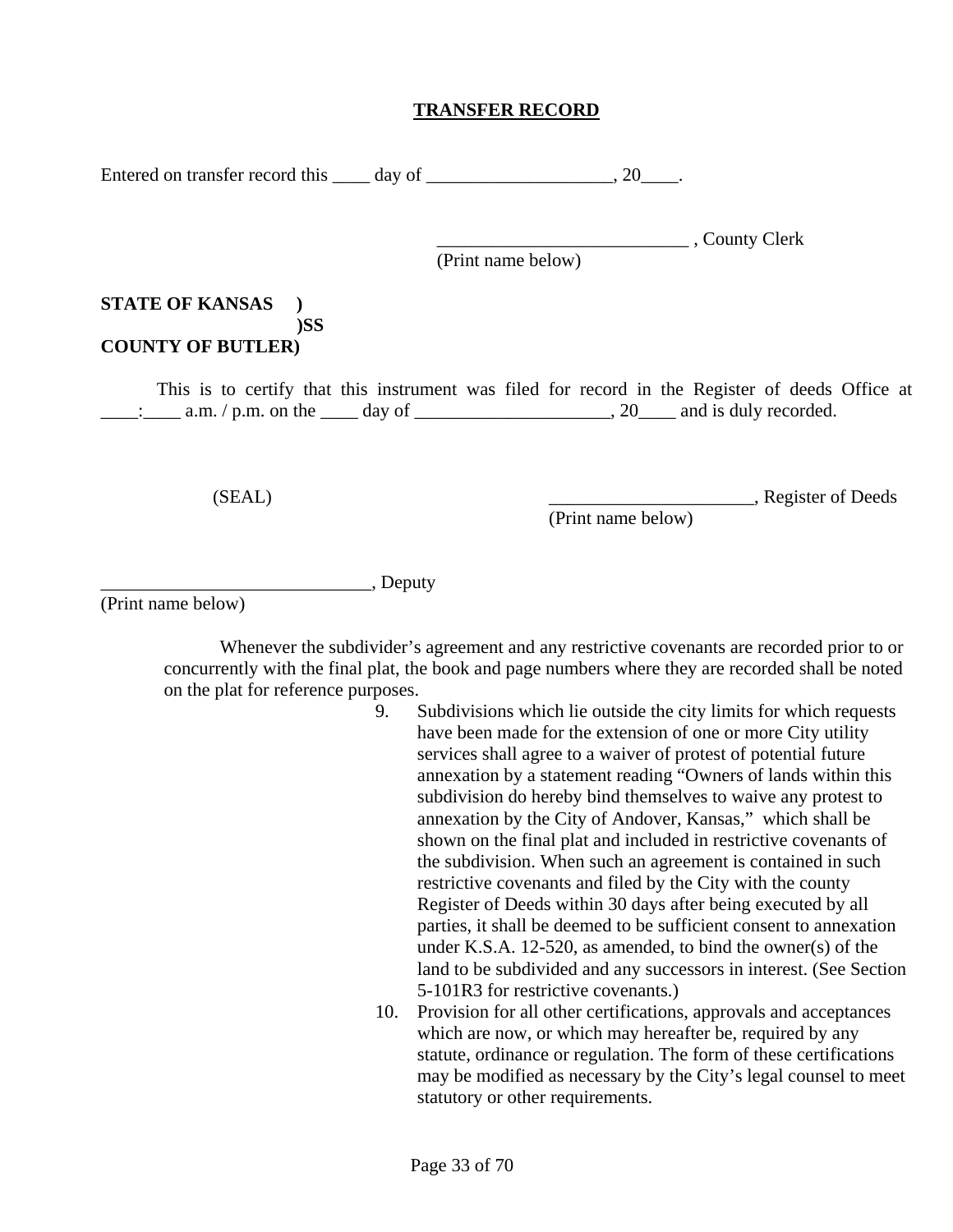#### **TRANSFER RECORD**

Entered on transfer record this day of the same conduction of the same conduction of  $\sim 20$ .

\_\_\_\_\_\_\_\_\_\_\_\_\_\_\_\_\_\_\_\_\_\_\_\_\_\_\_ , County Clerk

(Print name below)

#### **STATE OF KANSAS ) )SS COUNTY OF BUTLER)**

 This is to certify that this instrument was filed for record in the Register of deeds Office at  $\frac{1}{\cdot}$  a.m. / p.m. on the \_\_\_\_ day of \_\_\_\_\_\_\_\_\_\_\_\_\_\_\_\_\_\_\_, 20\_\_\_\_ and is duly recorded.

(Print name below)

(SEAL) \_\_\_\_\_\_\_\_\_\_\_\_\_\_\_\_\_\_\_\_\_\_, Register of Deeds

 $\_\_\_\_\_$  Deputy

(Print name below)

 Whenever the subdivider's agreement and any restrictive covenants are recorded prior to or concurrently with the final plat, the book and page numbers where they are recorded shall be noted on the plat for reference purposes.

- 9. Subdivisions which lie outside the city limits for which requests have been made for the extension of one or more City utility services shall agree to a waiver of protest of potential future annexation by a statement reading "Owners of lands within this subdivision do hereby bind themselves to waive any protest to annexation by the City of Andover, Kansas," which shall be shown on the final plat and included in restrictive covenants of the subdivision. When such an agreement is contained in such restrictive covenants and filed by the City with the county Register of Deeds within 30 days after being executed by all parties, it shall be deemed to be sufficient consent to annexation under K.S.A. 12-520, as amended, to bind the owner(s) of the land to be subdivided and any successors in interest. (See Section 5-101R3 for restrictive covenants.)
- 10. Provision for all other certifications, approvals and acceptances which are now, or which may hereafter be, required by any statute, ordinance or regulation. The form of these certifications may be modified as necessary by the City's legal counsel to meet statutory or other requirements.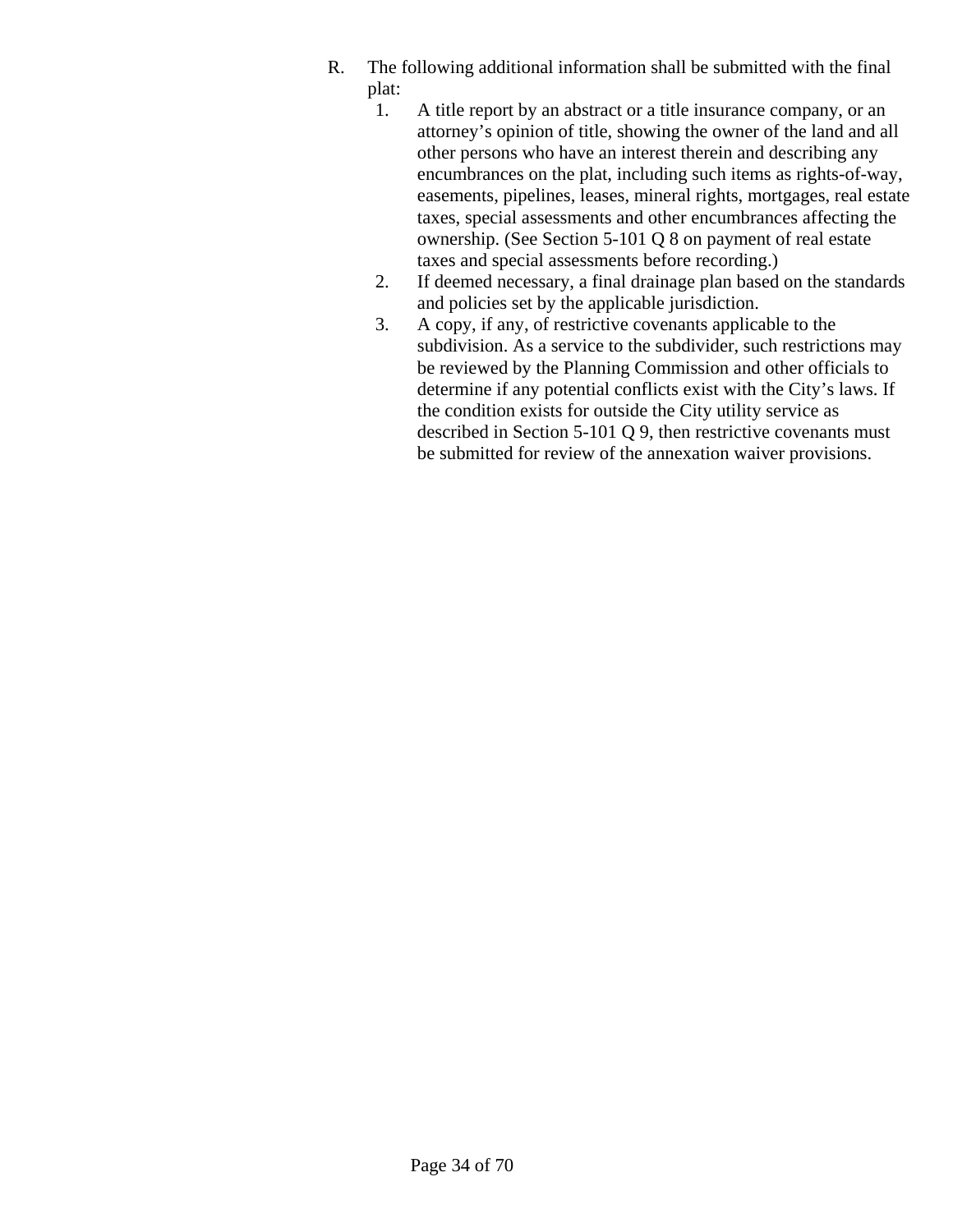- R. The following additional information shall be submitted with the final plat:
	- 1. A title report by an abstract or a title insurance company, or an attorney's opinion of title, showing the owner of the land and all other persons who have an interest therein and describing any encumbrances on the plat, including such items as rights-of-way, easements, pipelines, leases, mineral rights, mortgages, real estate taxes, special assessments and other encumbrances affecting the ownership. (See Section 5-101 Q 8 on payment of real estate taxes and special assessments before recording.)
	- 2. If deemed necessary, a final drainage plan based on the standards and policies set by the applicable jurisdiction.
	- 3. A copy, if any, of restrictive covenants applicable to the subdivision. As a service to the subdivider, such restrictions may be reviewed by the Planning Commission and other officials to determine if any potential conflicts exist with the City's laws. If the condition exists for outside the City utility service as described in Section 5-101 Q 9, then restrictive covenants must be submitted for review of the annexation waiver provisions.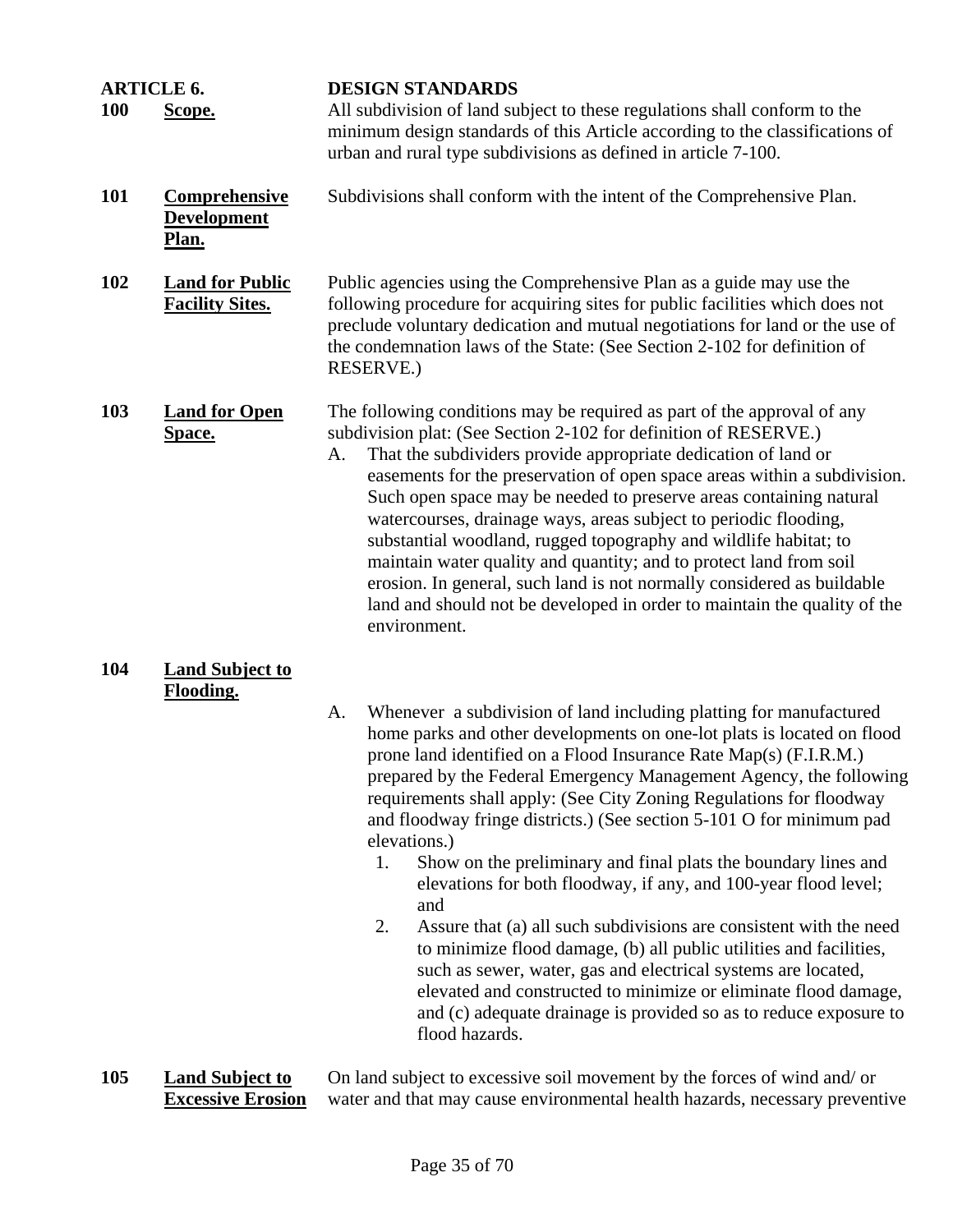| <b>ARTICLE 6.</b><br><b>100</b> | Scope.                                              |    | <b>DESIGN STANDARDS</b><br>All subdivision of land subject to these regulations shall conform to the<br>minimum design standards of this Article according to the classifications of<br>urban and rural type subdivisions as defined in article 7-100.                                                                                                                                                                                                                                                                                                                                                                                                                                                                                                                                                                                                                                                                                                                                |
|---------------------------------|-----------------------------------------------------|----|---------------------------------------------------------------------------------------------------------------------------------------------------------------------------------------------------------------------------------------------------------------------------------------------------------------------------------------------------------------------------------------------------------------------------------------------------------------------------------------------------------------------------------------------------------------------------------------------------------------------------------------------------------------------------------------------------------------------------------------------------------------------------------------------------------------------------------------------------------------------------------------------------------------------------------------------------------------------------------------|
| <b>101</b>                      | <b>Comprehensive</b><br><b>Development</b><br>Plan. |    | Subdivisions shall conform with the intent of the Comprehensive Plan.                                                                                                                                                                                                                                                                                                                                                                                                                                                                                                                                                                                                                                                                                                                                                                                                                                                                                                                 |
| 102                             | <b>Land for Public</b><br><b>Facility Sites.</b>    |    | Public agencies using the Comprehensive Plan as a guide may use the<br>following procedure for acquiring sites for public facilities which does not<br>preclude voluntary dedication and mutual negotiations for land or the use of<br>the condemnation laws of the State: (See Section 2-102 for definition of<br><b>RESERVE.)</b>                                                                                                                                                                                                                                                                                                                                                                                                                                                                                                                                                                                                                                                   |
| 103                             | <b>Land for Open</b><br><b>Space.</b>               | A. | The following conditions may be required as part of the approval of any<br>subdivision plat: (See Section 2-102 for definition of RESERVE.)<br>That the subdividers provide appropriate dedication of land or<br>easements for the preservation of open space areas within a subdivision.<br>Such open space may be needed to preserve areas containing natural<br>watercourses, drainage ways, areas subject to periodic flooding,<br>substantial woodland, rugged topography and wildlife habitat; to<br>maintain water quality and quantity; and to protect land from soil<br>erosion. In general, such land is not normally considered as buildable<br>land and should not be developed in order to maintain the quality of the<br>environment.                                                                                                                                                                                                                                   |
| 104                             | <b>Land Subject to</b><br><b>Flooding.</b>          | A. | Whenever a subdivision of land including platting for manufactured<br>home parks and other developments on one-lot plats is located on flood<br>prone land identified on a Flood Insurance Rate Map(s) (F.I.R.M.)<br>prepared by the Federal Emergency Management Agency, the following<br>requirements shall apply: (See City Zoning Regulations for floodway<br>and floodway fringe districts.) (See section 5-101 O for minimum pad<br>elevations.)<br>Show on the preliminary and final plats the boundary lines and<br>1.<br>elevations for both floodway, if any, and 100-year flood level;<br>and<br>Assure that (a) all such subdivisions are consistent with the need<br>2.<br>to minimize flood damage, (b) all public utilities and facilities,<br>such as sewer, water, gas and electrical systems are located,<br>elevated and constructed to minimize or eliminate flood damage,<br>and (c) adequate drainage is provided so as to reduce exposure to<br>flood hazards. |

**105 Land Subject to Excessive Erosion** 

On land subject to excessive soil movement by the forces of wind and/ or water and that may cause environmental health hazards, necessary preventive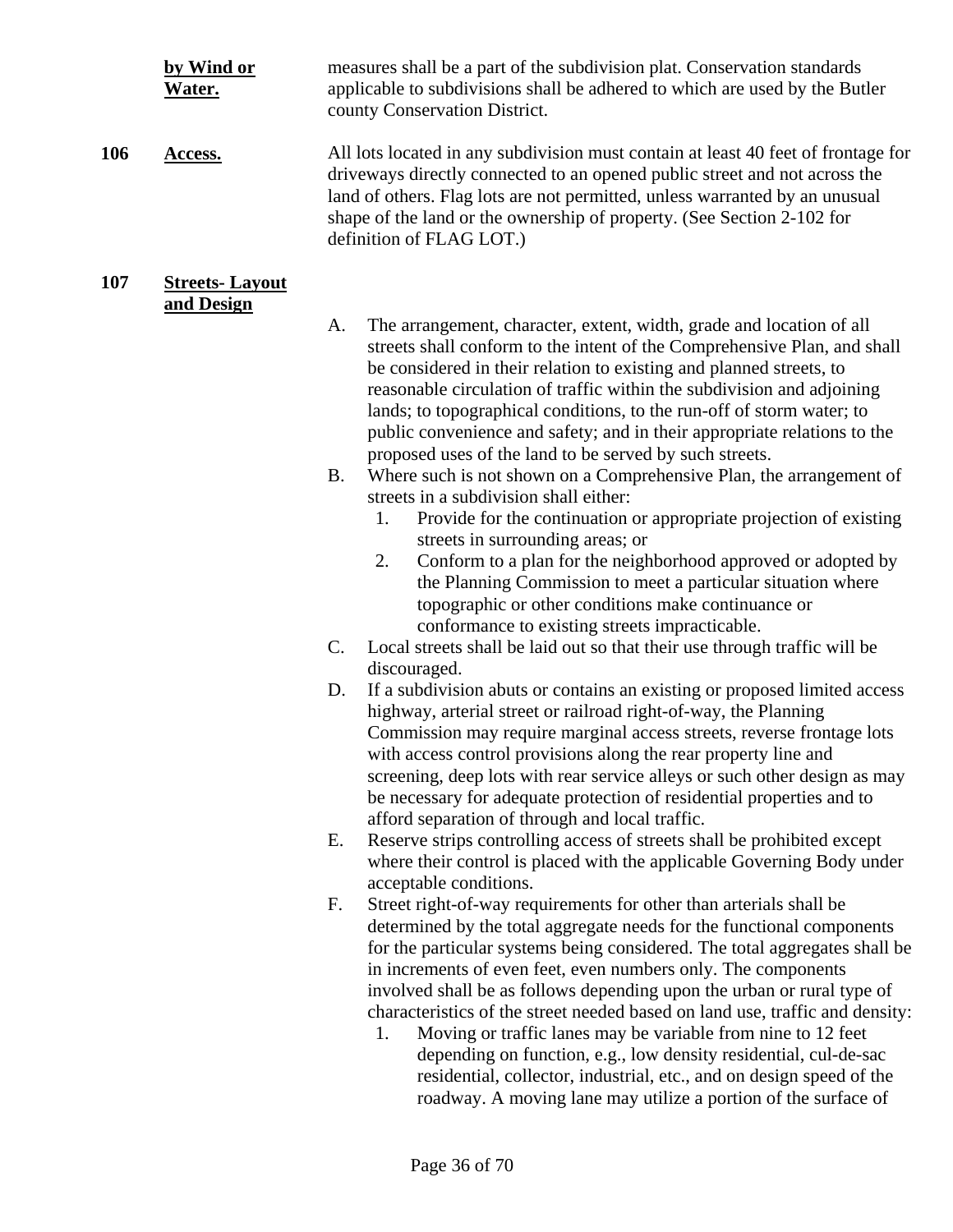|     | by Wind or<br>Water.  |           | measures shall be a part of the subdivision plat. Conservation standards<br>applicable to subdivisions shall be adhered to which are used by the Butler<br>county Conservation District.                                                                                                                                                                                                                                                                                                                                                                                                                                                                                                                                                                           |
|-----|-----------------------|-----------|--------------------------------------------------------------------------------------------------------------------------------------------------------------------------------------------------------------------------------------------------------------------------------------------------------------------------------------------------------------------------------------------------------------------------------------------------------------------------------------------------------------------------------------------------------------------------------------------------------------------------------------------------------------------------------------------------------------------------------------------------------------------|
| 106 | Access.               |           | All lots located in any subdivision must contain at least 40 feet of frontage for<br>driveways directly connected to an opened public street and not across the<br>land of others. Flag lots are not permitted, unless warranted by an unusual<br>shape of the land or the ownership of property. (See Section 2-102 for<br>definition of FLAG LOT.)                                                                                                                                                                                                                                                                                                                                                                                                               |
| 107 | <b>Streets-Layout</b> |           |                                                                                                                                                                                                                                                                                                                                                                                                                                                                                                                                                                                                                                                                                                                                                                    |
|     | and Design            | A.        | The arrangement, character, extent, width, grade and location of all<br>streets shall conform to the intent of the Comprehensive Plan, and shall<br>be considered in their relation to existing and planned streets, to<br>reasonable circulation of traffic within the subdivision and adjoining<br>lands; to topographical conditions, to the run-off of storm water; to<br>public convenience and safety; and in their appropriate relations to the                                                                                                                                                                                                                                                                                                             |
|     |                       | <b>B.</b> | proposed uses of the land to be served by such streets.<br>Where such is not shown on a Comprehensive Plan, the arrangement of<br>streets in a subdivision shall either:<br>Provide for the continuation or appropriate projection of existing<br>1.<br>streets in surrounding areas; or<br>2.<br>Conform to a plan for the neighborhood approved or adopted by<br>the Planning Commission to meet a particular situation where<br>topographic or other conditions make continuance or<br>conformance to existing streets impracticable.                                                                                                                                                                                                                           |
|     |                       | C.        | Local streets shall be laid out so that their use through traffic will be<br>discouraged.                                                                                                                                                                                                                                                                                                                                                                                                                                                                                                                                                                                                                                                                          |
|     |                       | D.        | If a subdivision abuts or contains an existing or proposed limited access<br>highway, arterial street or railroad right-of-way, the Planning<br>Commission may require marginal access streets, reverse frontage lots<br>with access control provisions along the rear property line and<br>screening, deep lots with rear service alleys or such other design as may<br>be necessary for adequate protection of residential properties and to<br>afford separation of through and local traffic.                                                                                                                                                                                                                                                                  |
|     |                       | Е.        | Reserve strips controlling access of streets shall be prohibited except<br>where their control is placed with the applicable Governing Body under                                                                                                                                                                                                                                                                                                                                                                                                                                                                                                                                                                                                                  |
|     |                       | F.        | acceptable conditions.<br>Street right-of-way requirements for other than arterials shall be<br>determined by the total aggregate needs for the functional components<br>for the particular systems being considered. The total aggregates shall be<br>in increments of even feet, even numbers only. The components<br>involved shall be as follows depending upon the urban or rural type of<br>characteristics of the street needed based on land use, traffic and density:<br>Moving or traffic lanes may be variable from nine to 12 feet<br>1.<br>depending on function, e.g., low density residential, cul-de-sac<br>residential, collector, industrial, etc., and on design speed of the<br>roadway. A moving lane may utilize a portion of the surface of |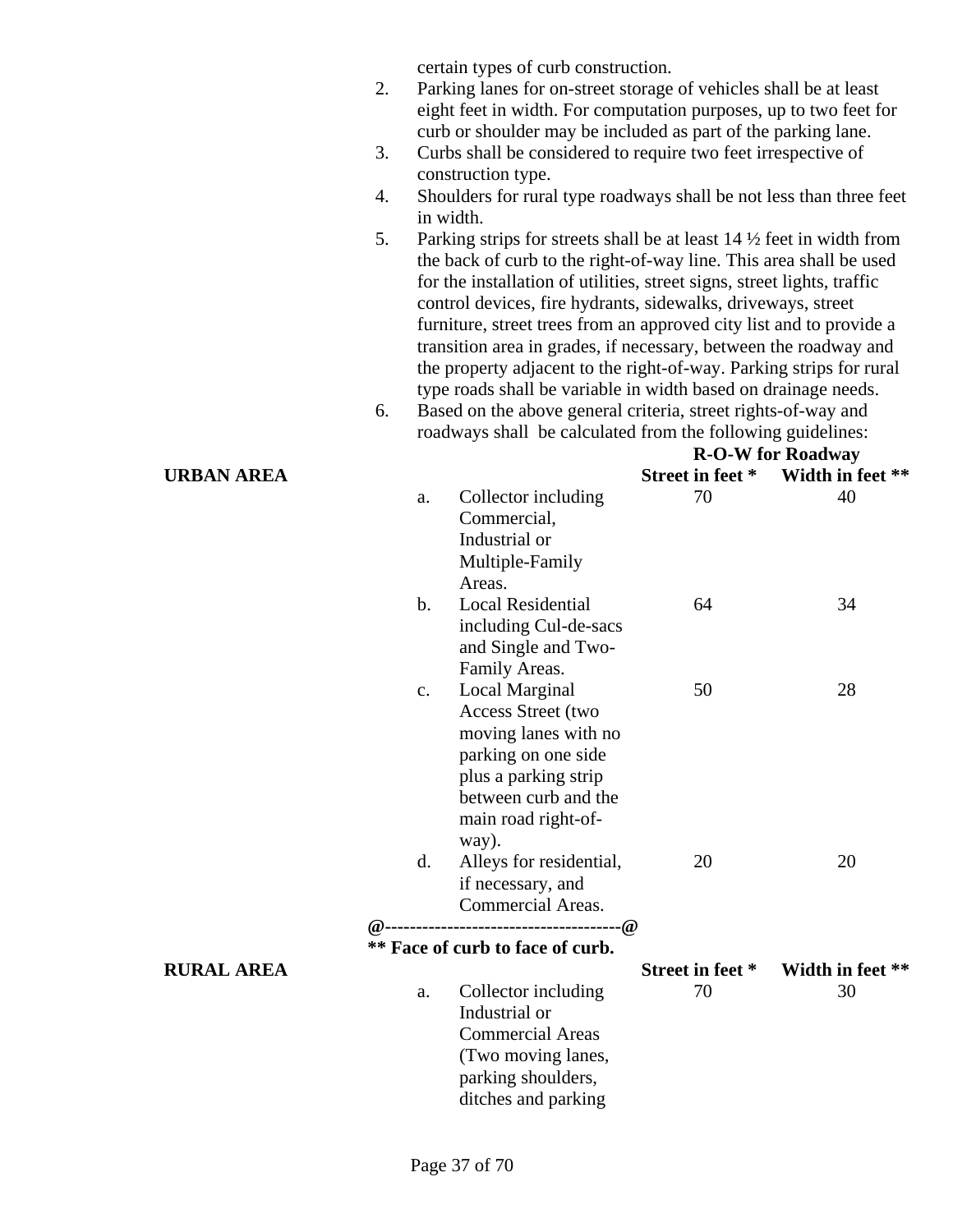certain types of curb construction.

- 2. Parking lanes for on-street storage of vehicles shall be at least eight feet in width. For computation purposes, up to two feet for curb or shoulder may be included as part of the parking lane.
- 3. Curbs shall be considered to require two feet irrespective of construction type.
- 4. Shoulders for rural type roadways shall be not less than three feet in width.
- 5. Parking strips for streets shall be at least  $14\frac{1}{2}$  feet in width from the back of curb to the right-of-way line. This area shall be used for the installation of utilities, street signs, street lights, traffic control devices, fire hydrants, sidewalks, driveways, street furniture, street trees from an approved city list and to provide a transition area in grades, if necessary, between the roadway and the property adjacent to the right-of-way. Parking strips for rural type roads shall be variable in width based on drainage needs.
- 6. Based on the above general criteria, street rights-of-way and roadways shall be calculated from the following guidelines: **R-O-W for Roadway**

| URBAN AREA        |                |                                                                                                                                                                                           |                  | Street in feet * Width in feet ** |
|-------------------|----------------|-------------------------------------------------------------------------------------------------------------------------------------------------------------------------------------------|------------------|-----------------------------------|
|                   | a.             | Collector including<br>Commercial,<br>Industrial or<br>Multiple-Family<br>Areas.                                                                                                          | 70               | 40                                |
|                   | $\mathbf{b}$ . | <b>Local Residential</b><br>including Cul-de-sacs<br>and Single and Two-<br>Family Areas.                                                                                                 | 64               | 34                                |
|                   | c.             | Local Marginal<br><b>Access Street (two</b><br>moving lanes with no<br>parking on one side<br>plus a parking strip<br>between curb and the<br>main road right-of-<br>way).                | 50               | 28                                |
|                   | d.             | Alleys for residential,<br>if necessary, and<br>Commercial Areas.<br>$@{\dots}{\dots}{\dots}{\dots}{\dots}{\dots}{\dots}{\dots}{\dots}{\dots}{\dots}$<br>** Face of curb to face of curb. | 20               | 20                                |
| <b>RURAL AREA</b> |                |                                                                                                                                                                                           | Street in feet * | Width in feet **                  |
|                   | a.             | Collector including<br>Industrial or<br><b>Commercial Areas</b><br>(Two moving lanes,<br>parking shoulders,<br>ditches and parking                                                        | 70               | 30                                |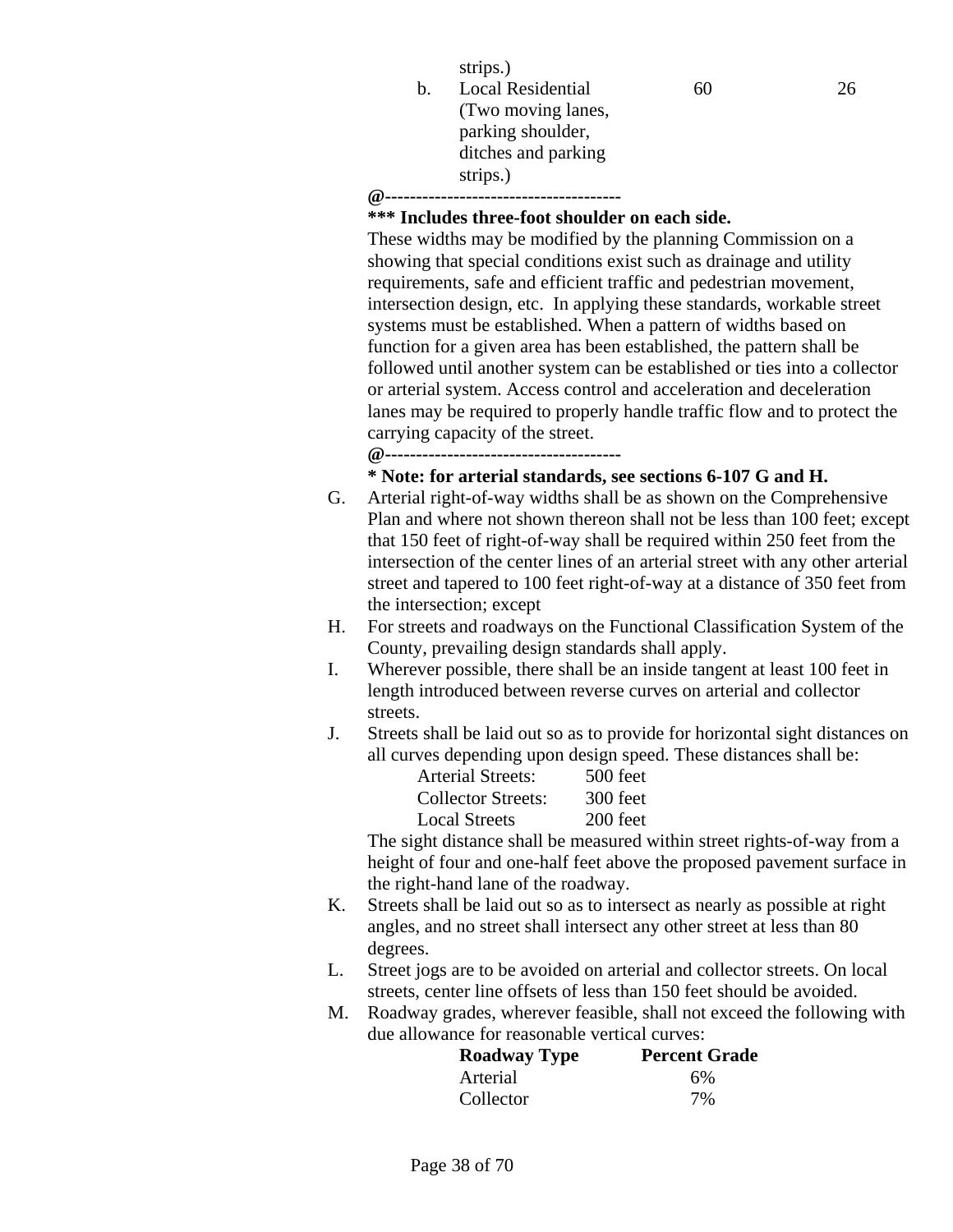|    | strips.)            |
|----|---------------------|
| h. | Local Residential   |
|    | (Two moving lanes,  |
|    | parking shoulder,   |
|    | ditches and parking |
|    | strips.)            |
|    |                     |

#### **\*\*\* Includes three-foot shoulder on each side.**

These widths may be modified by the planning Commission on a showing that special conditions exist such as drainage and utility requirements, safe and efficient traffic and pedestrian movement, intersection design, etc. In applying these standards, workable street systems must be established. When a pattern of widths based on function for a given area has been established, the pattern shall be followed until another system can be established or ties into a collector or arterial system. Access control and acceleration and deceleration lanes may be required to properly handle traffic flow and to protect the carrying capacity of the street.

60 26

**@--------------------------------------** 

#### **\* Note: for arterial standards, see sections 6-107 G and H.**

- G. Arterial right-of-way widths shall be as shown on the Comprehensive Plan and where not shown thereon shall not be less than 100 feet; except that 150 feet of right-of-way shall be required within 250 feet from the intersection of the center lines of an arterial street with any other arterial street and tapered to 100 feet right-of-way at a distance of 350 feet from the intersection; except
- H. For streets and roadways on the Functional Classification System of the County, prevailing design standards shall apply.
- I. Wherever possible, there shall be an inside tangent at least 100 feet in length introduced between reverse curves on arterial and collector streets.
- J. Streets shall be laid out so as to provide for horizontal sight distances on all curves depending upon design speed. These distances shall be:

| <b>Arterial Streets:</b> | 500 feet |
|--------------------------|----------|
| Collector Streets:       | 300 feet |
| Local Streets            | 200 feet |
|                          |          |

The sight distance shall be measured within street rights-of-way from a height of four and one-half feet above the proposed pavement surface in the right-hand lane of the roadway.

- K. Streets shall be laid out so as to intersect as nearly as possible at right angles, and no street shall intersect any other street at less than 80 degrees.
- L. Street jogs are to be avoided on arterial and collector streets. On local streets, center line offsets of less than 150 feet should be avoided.
- M. Roadway grades, wherever feasible, shall not exceed the following with due allowance for reasonable vertical curves:

| <b>Roadway Type</b> | <b>Percent Grade</b> |
|---------------------|----------------------|
| Arterial            | 6%                   |
| Collector           | 7%                   |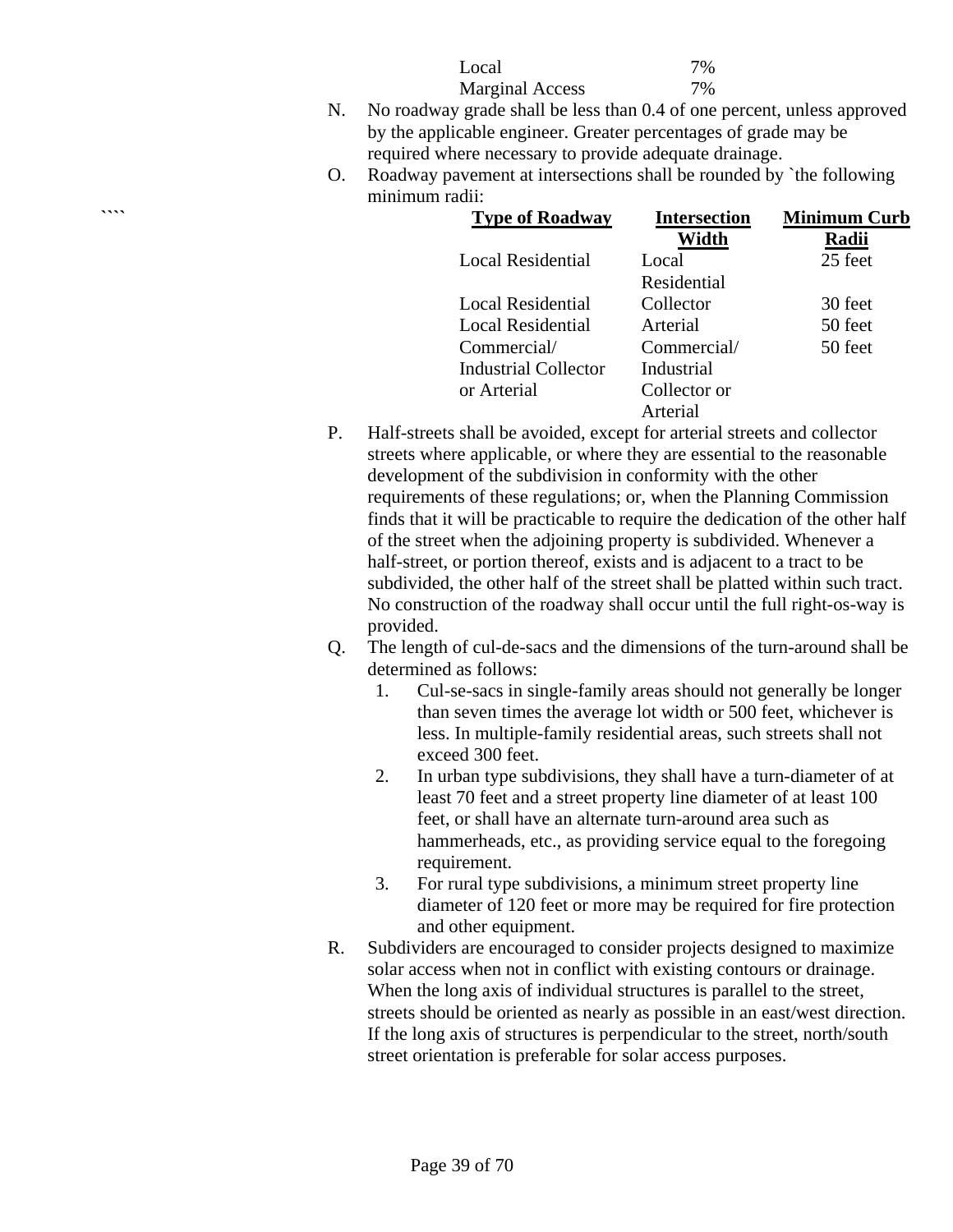| Local                                                  | 7% |
|--------------------------------------------------------|----|
| <b>Marginal Access</b>                                 | 7% |
| $\alpha$ and $\alpha$ shall be loss than 0.4 of ang no |    |

- N. No roadway grade shall be less than 0.4 of one percent, unless approved by the applicable engineer. Greater percentages of grade may be required where necessary to provide adequate drainage.
- O. Roadway pavement at intersections shall be rounded by `the following minimum radii:

| $\cdots$ | <b>Type of Roadway</b>   | <b>Intersection</b> | <b>Minimum Curb</b> |
|----------|--------------------------|---------------------|---------------------|
|          |                          | Width               | Radii               |
|          | <b>Local Residential</b> | Local               | 25 feet             |
|          |                          | Residential         |                     |
|          | <b>Local Residential</b> | Collector           | 30 feet             |
|          | <b>Local Residential</b> | Arterial            | 50 feet             |
|          | Commercial/              | Commercial/         | 50 feet             |
|          | Industrial Collector     | Industrial          |                     |
|          | or Arterial              | Collector or        |                     |
|          |                          | Arterial            |                     |

- P. Half-streets shall be avoided, except for arterial streets and collector streets where applicable, or where they are essential to the reasonable development of the subdivision in conformity with the other requirements of these regulations; or, when the Planning Commission finds that it will be practicable to require the dedication of the other half of the street when the adjoining property is subdivided. Whenever a half-street, or portion thereof, exists and is adjacent to a tract to be subdivided, the other half of the street shall be platted within such tract. No construction of the roadway shall occur until the full right-os-way is provided.
- Q. The length of cul-de-sacs and the dimensions of the turn-around shall be determined as follows:
	- 1. Cul-se-sacs in single-family areas should not generally be longer than seven times the average lot width or 500 feet, whichever is less. In multiple-family residential areas, such streets shall not exceed 300 feet.
	- 2. In urban type subdivisions, they shall have a turn-diameter of at least 70 feet and a street property line diameter of at least 100 feet, or shall have an alternate turn-around area such as hammerheads, etc., as providing service equal to the foregoing requirement.
	- 3. For rural type subdivisions, a minimum street property line diameter of 120 feet or more may be required for fire protection and other equipment.
- R. Subdividers are encouraged to consider projects designed to maximize solar access when not in conflict with existing contours or drainage. When the long axis of individual structures is parallel to the street, streets should be oriented as nearly as possible in an east/west direction. If the long axis of structures is perpendicular to the street, north/south street orientation is preferable for solar access purposes.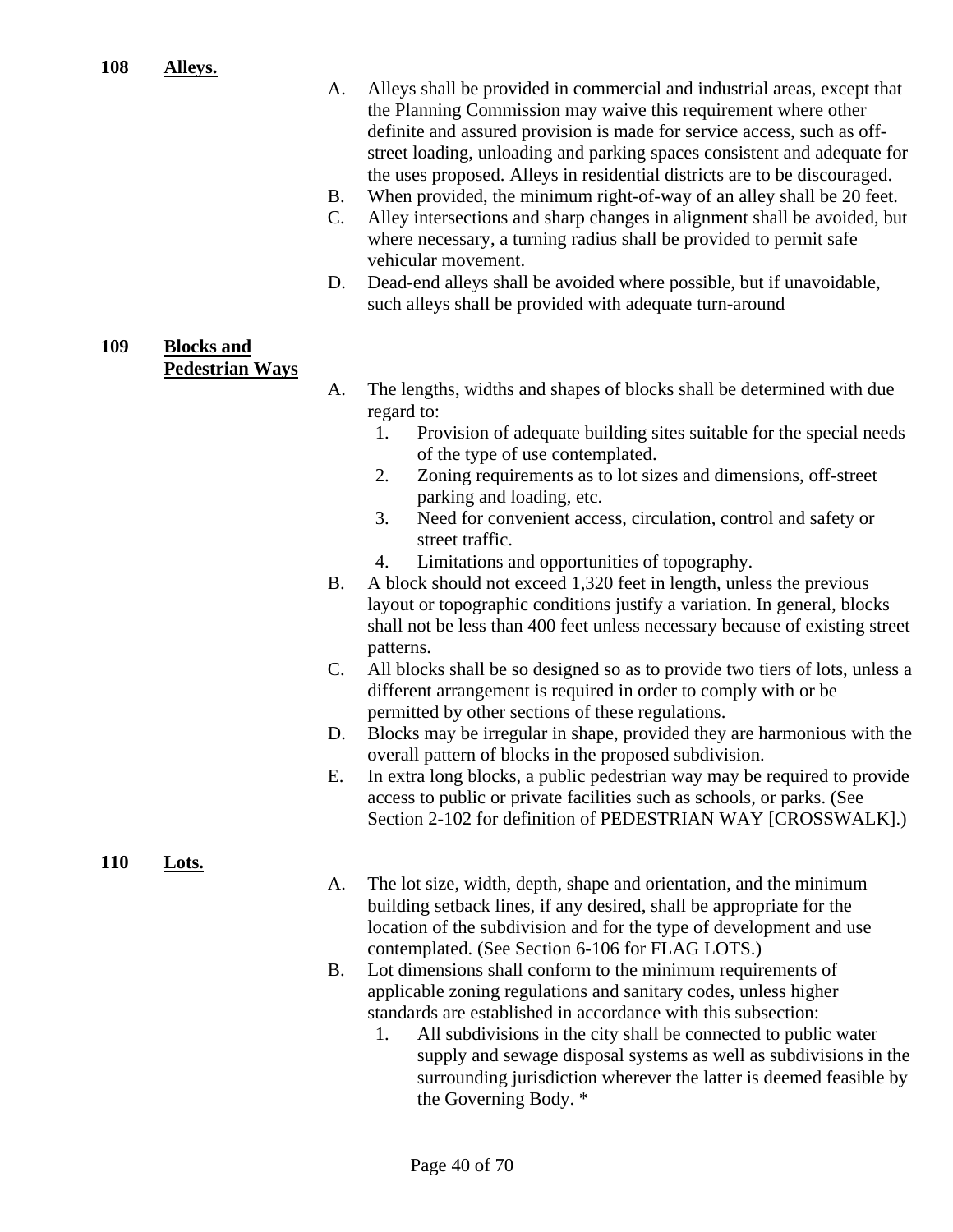- A. Alleys shall be provided in commercial and industrial areas, except that the Planning Commission may waive this requirement where other definite and assured provision is made for service access, such as offstreet loading, unloading and parking spaces consistent and adequate for the uses proposed. Alleys in residential districts are to be discouraged.
- B. When provided, the minimum right-of-way of an alley shall be 20 feet.
- C. Alley intersections and sharp changes in alignment shall be avoided, but where necessary, a turning radius shall be provided to permit safe vehicular movement.
- D. Dead-end alleys shall be avoided where possible, but if unavoidable, such alleys shall be provided with adequate turn-around

#### **109 Blocks and Pedestrian Ways**

- A. The lengths, widths and shapes of blocks shall be determined with due regard to:
	- 1. Provision of adequate building sites suitable for the special needs of the type of use contemplated.
	- 2. Zoning requirements as to lot sizes and dimensions, off-street parking and loading, etc.
	- 3. Need for convenient access, circulation, control and safety or street traffic.
	- 4. Limitations and opportunities of topography.
- B. A block should not exceed 1,320 feet in length, unless the previous layout or topographic conditions justify a variation. In general, blocks shall not be less than 400 feet unless necessary because of existing street patterns.
- C. All blocks shall be so designed so as to provide two tiers of lots, unless a different arrangement is required in order to comply with or be permitted by other sections of these regulations.
- D. Blocks may be irregular in shape, provided they are harmonious with the overall pattern of blocks in the proposed subdivision.
- E. In extra long blocks, a public pedestrian way may be required to provide access to public or private facilities such as schools, or parks. (See Section 2-102 for definition of PEDESTRIAN WAY [CROSSWALK].)

#### **110 Lots.**

- A. The lot size, width, depth, shape and orientation, and the minimum building setback lines, if any desired, shall be appropriate for the location of the subdivision and for the type of development and use contemplated. (See Section 6-106 for FLAG LOTS.)
- B. Lot dimensions shall conform to the minimum requirements of applicable zoning regulations and sanitary codes, unless higher standards are established in accordance with this subsection:
	- 1. All subdivisions in the city shall be connected to public water supply and sewage disposal systems as well as subdivisions in the surrounding jurisdiction wherever the latter is deemed feasible by the Governing Body. \*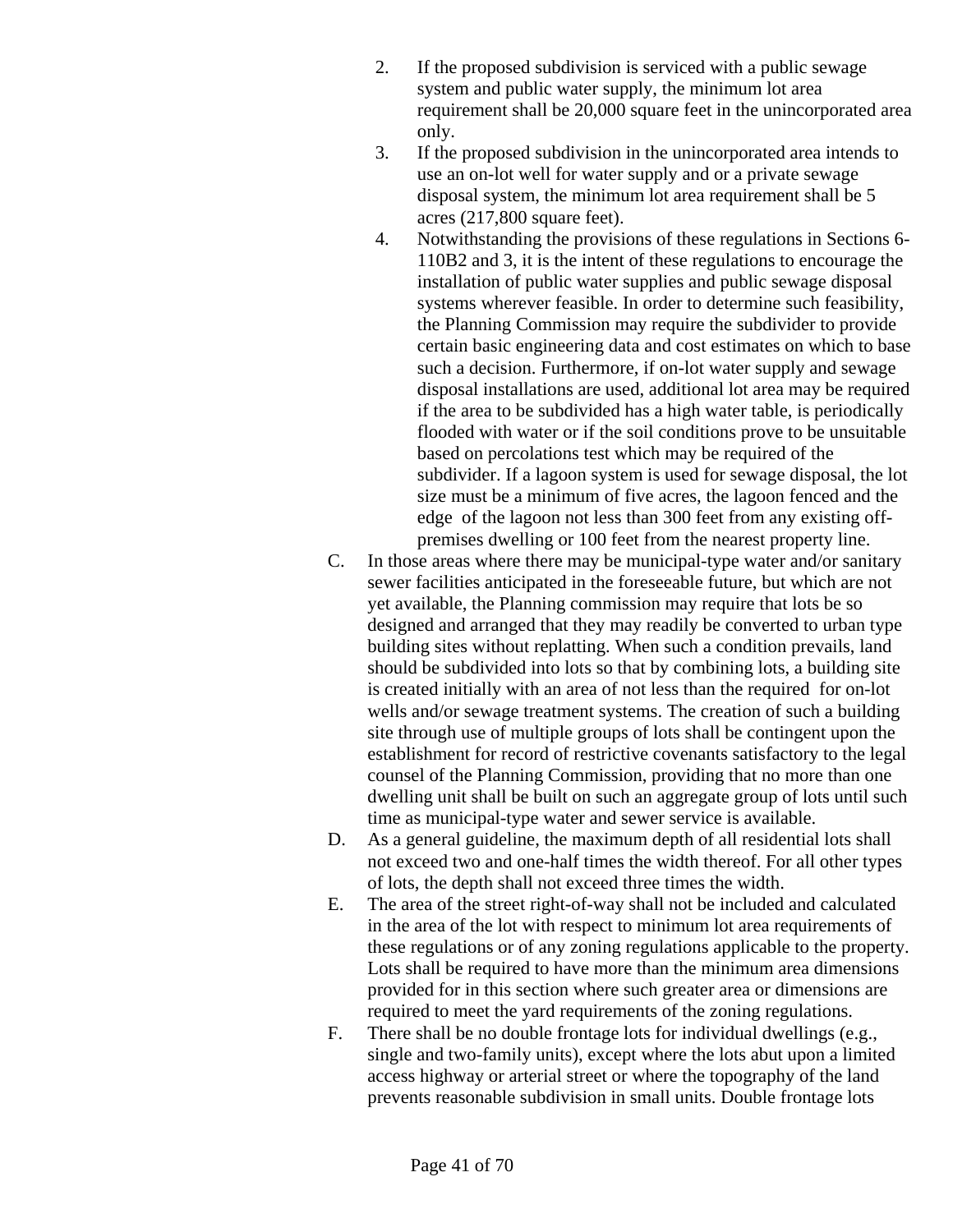- 2. If the proposed subdivision is serviced with a public sewage system and public water supply, the minimum lot area requirement shall be 20,000 square feet in the unincorporated area only.
- 3. If the proposed subdivision in the unincorporated area intends to use an on-lot well for water supply and or a private sewage disposal system, the minimum lot area requirement shall be 5 acres (217,800 square feet).
- 4. Notwithstanding the provisions of these regulations in Sections 6- 110B2 and 3, it is the intent of these regulations to encourage the installation of public water supplies and public sewage disposal systems wherever feasible. In order to determine such feasibility, the Planning Commission may require the subdivider to provide certain basic engineering data and cost estimates on which to base such a decision. Furthermore, if on-lot water supply and sewage disposal installations are used, additional lot area may be required if the area to be subdivided has a high water table, is periodically flooded with water or if the soil conditions prove to be unsuitable based on percolations test which may be required of the subdivider. If a lagoon system is used for sewage disposal, the lot size must be a minimum of five acres, the lagoon fenced and the edge of the lagoon not less than 300 feet from any existing offpremises dwelling or 100 feet from the nearest property line.
- C. In those areas where there may be municipal-type water and/or sanitary sewer facilities anticipated in the foreseeable future, but which are not yet available, the Planning commission may require that lots be so designed and arranged that they may readily be converted to urban type building sites without replatting. When such a condition prevails, land should be subdivided into lots so that by combining lots, a building site is created initially with an area of not less than the required for on-lot wells and/or sewage treatment systems. The creation of such a building site through use of multiple groups of lots shall be contingent upon the establishment for record of restrictive covenants satisfactory to the legal counsel of the Planning Commission, providing that no more than one dwelling unit shall be built on such an aggregate group of lots until such time as municipal-type water and sewer service is available.
- D. As a general guideline, the maximum depth of all residential lots shall not exceed two and one-half times the width thereof. For all other types of lots, the depth shall not exceed three times the width.
- E. The area of the street right-of-way shall not be included and calculated in the area of the lot with respect to minimum lot area requirements of these regulations or of any zoning regulations applicable to the property. Lots shall be required to have more than the minimum area dimensions provided for in this section where such greater area or dimensions are required to meet the yard requirements of the zoning regulations.
- F. There shall be no double frontage lots for individual dwellings (e.g., single and two-family units), except where the lots abut upon a limited access highway or arterial street or where the topography of the land prevents reasonable subdivision in small units. Double frontage lots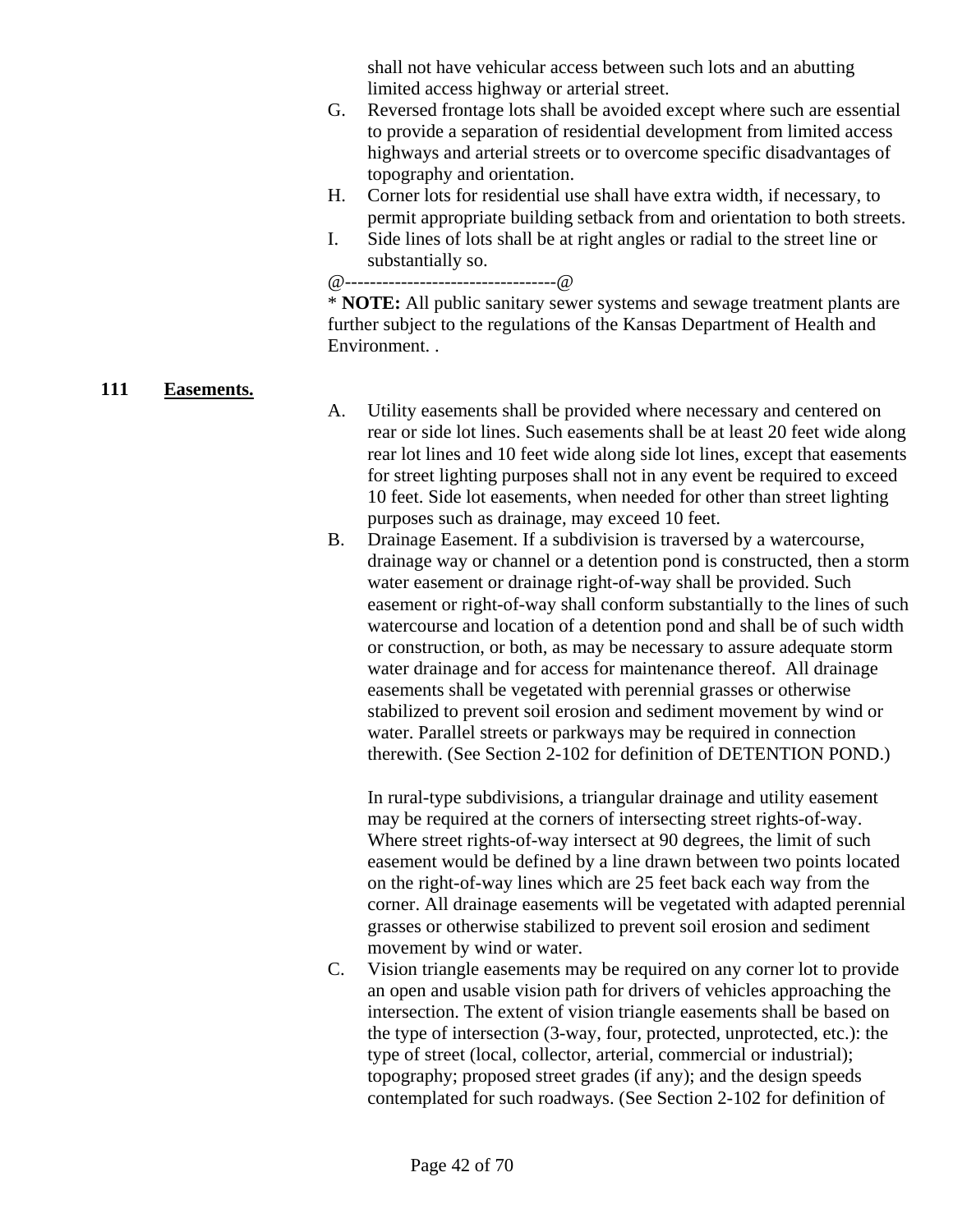shall not have vehicular access between such lots and an abutting limited access highway or arterial street.

- G. Reversed frontage lots shall be avoided except where such are essential to provide a separation of residential development from limited access highways and arterial streets or to overcome specific disadvantages of topography and orientation.
- H. Corner lots for residential use shall have extra width, if necessary, to permit appropriate building setback from and orientation to both streets.
- I. Side lines of lots shall be at right angles or radial to the street line or substantially so.

@----------------------------------@

\* **NOTE:** All public sanitary sewer systems and sewage treatment plants are further subject to the regulations of the Kansas Department of Health and Environment. .

#### **111 Easements.**

- A. Utility easements shall be provided where necessary and centered on rear or side lot lines. Such easements shall be at least 20 feet wide along rear lot lines and 10 feet wide along side lot lines, except that easements for street lighting purposes shall not in any event be required to exceed 10 feet. Side lot easements, when needed for other than street lighting purposes such as drainage, may exceed 10 feet.
- B. Drainage Easement. If a subdivision is traversed by a watercourse, drainage way or channel or a detention pond is constructed, then a storm water easement or drainage right-of-way shall be provided. Such easement or right-of-way shall conform substantially to the lines of such watercourse and location of a detention pond and shall be of such width or construction, or both, as may be necessary to assure adequate storm water drainage and for access for maintenance thereof. All drainage easements shall be vegetated with perennial grasses or otherwise stabilized to prevent soil erosion and sediment movement by wind or water. Parallel streets or parkways may be required in connection therewith. (See Section 2-102 for definition of DETENTION POND.)

In rural-type subdivisions, a triangular drainage and utility easement may be required at the corners of intersecting street rights-of-way. Where street rights-of-way intersect at 90 degrees, the limit of such easement would be defined by a line drawn between two points located on the right-of-way lines which are 25 feet back each way from the corner. All drainage easements will be vegetated with adapted perennial grasses or otherwise stabilized to prevent soil erosion and sediment movement by wind or water.

C. Vision triangle easements may be required on any corner lot to provide an open and usable vision path for drivers of vehicles approaching the intersection. The extent of vision triangle easements shall be based on the type of intersection (3-way, four, protected, unprotected, etc.): the type of street (local, collector, arterial, commercial or industrial); topography; proposed street grades (if any); and the design speeds contemplated for such roadways. (See Section 2-102 for definition of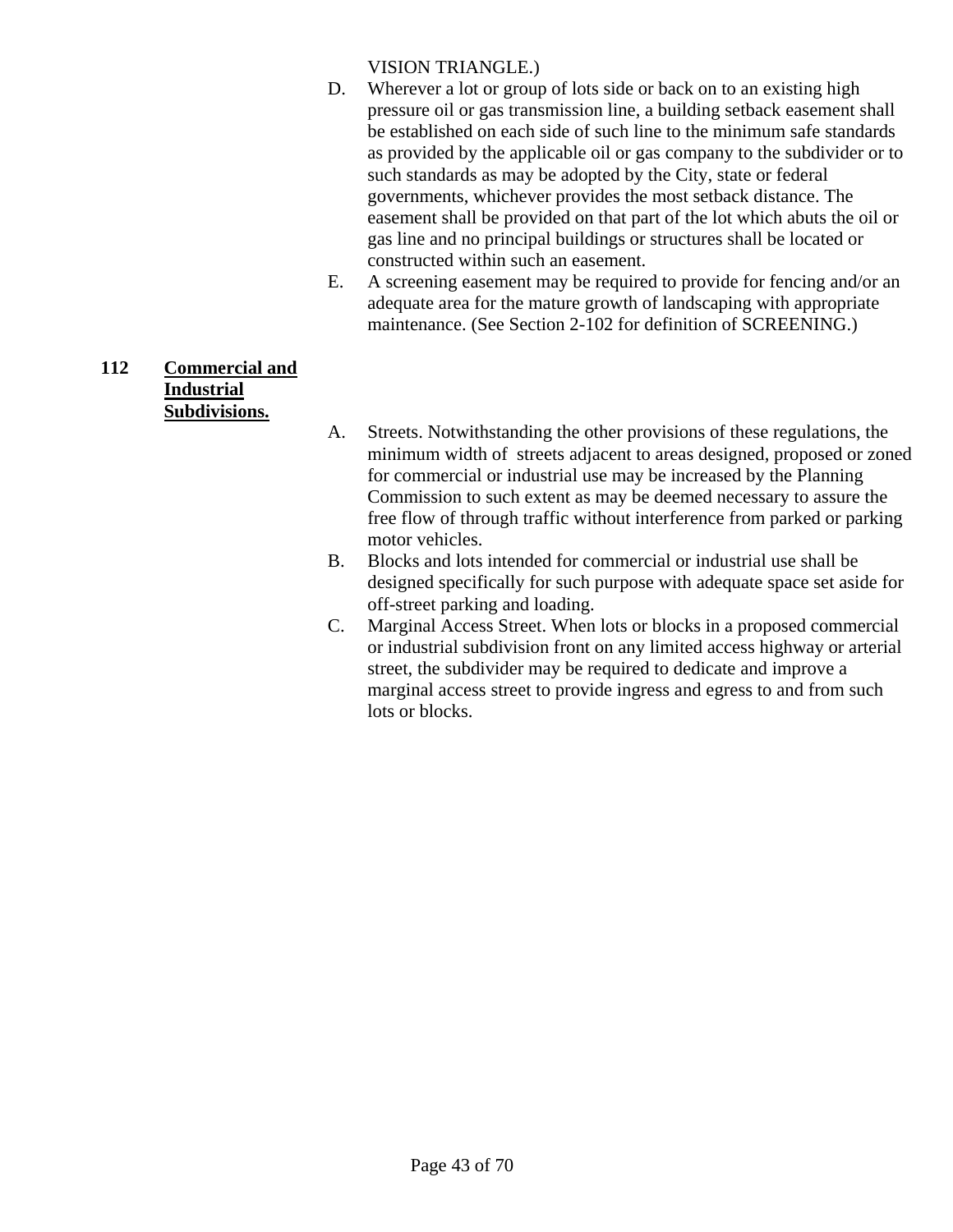VISION TRIANGLE.)

- D. Wherever a lot or group of lots side or back on to an existing high pressure oil or gas transmission line, a building setback easement shall be established on each side of such line to the minimum safe standards as provided by the applicable oil or gas company to the subdivider or to such standards as may be adopted by the City, state or federal governments, whichever provides the most setback distance. The easement shall be provided on that part of the lot which abuts the oil or gas line and no principal buildings or structures shall be located or constructed within such an easement.
- E. A screening easement may be required to provide for fencing and/or an adequate area for the mature growth of landscaping with appropriate maintenance. (See Section 2-102 for definition of SCREENING.)

## **112 Commercial and Industrial Subdivisions.**

- A. Streets. Notwithstanding the other provisions of these regulations, the minimum width of streets adjacent to areas designed, proposed or zoned for commercial or industrial use may be increased by the Planning Commission to such extent as may be deemed necessary to assure the free flow of through traffic without interference from parked or parking motor vehicles.
- B. Blocks and lots intended for commercial or industrial use shall be designed specifically for such purpose with adequate space set aside for off-street parking and loading.
- C. Marginal Access Street. When lots or blocks in a proposed commercial or industrial subdivision front on any limited access highway or arterial street, the subdivider may be required to dedicate and improve a marginal access street to provide ingress and egress to and from such lots or blocks.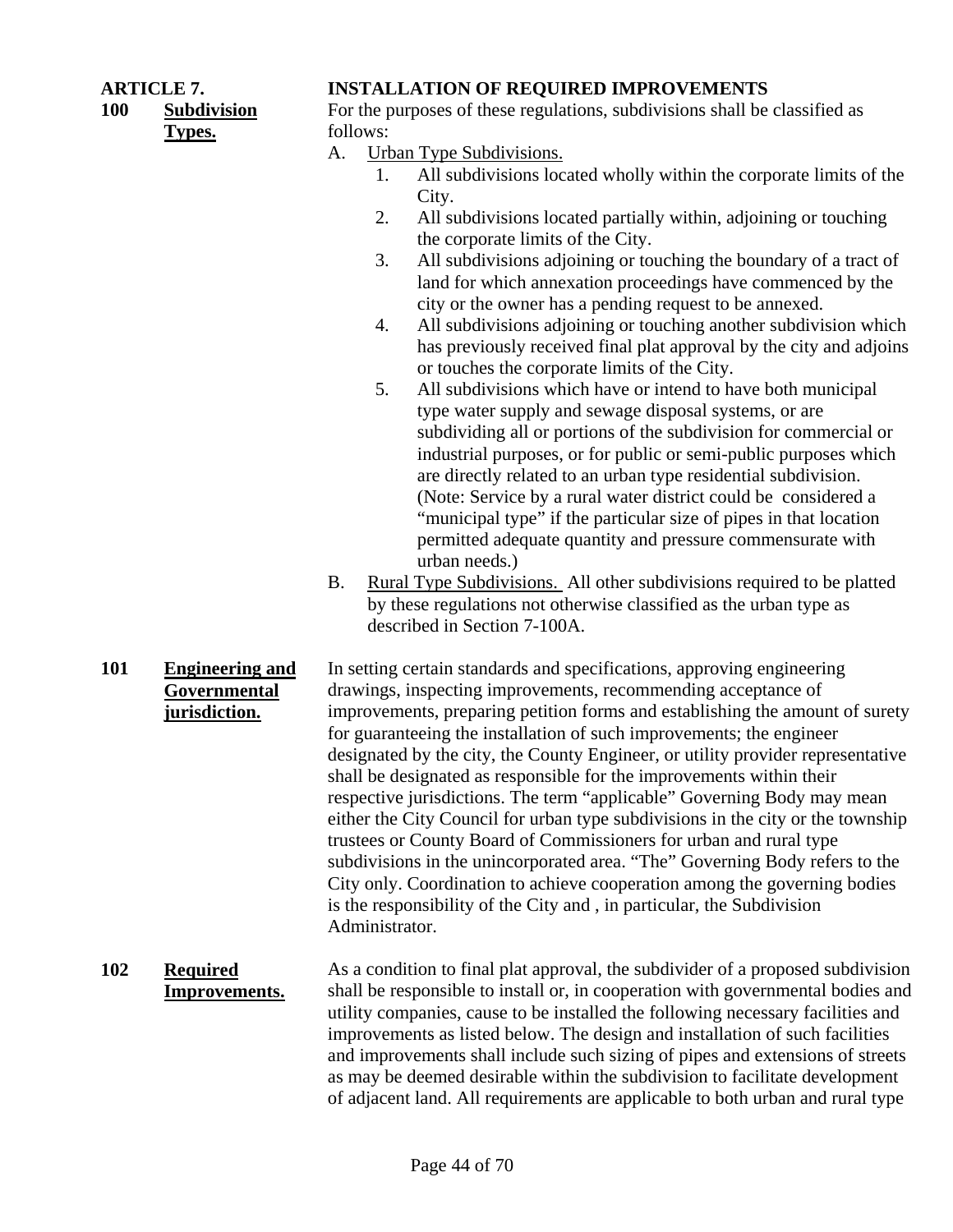## **100 Subdivision**

**Types.**

## **ARTICLE 7. INSTALLATION OF REQUIRED IMPROVEMENTS**

For the purposes of these regulations, subdivisions shall be classified as follows:

- A. Urban Type Subdivisions.
	- 1. All subdivisions located wholly within the corporate limits of the City.
	- 2. All subdivisions located partially within, adjoining or touching the corporate limits of the City.
	- 3. All subdivisions adjoining or touching the boundary of a tract of land for which annexation proceedings have commenced by the city or the owner has a pending request to be annexed.
	- 4. All subdivisions adjoining or touching another subdivision which has previously received final plat approval by the city and adjoins or touches the corporate limits of the City.
	- 5. All subdivisions which have or intend to have both municipal type water supply and sewage disposal systems, or are subdividing all or portions of the subdivision for commercial or industrial purposes, or for public or semi-public purposes which are directly related to an urban type residential subdivision. (Note: Service by a rural water district could be considered a "municipal type" if the particular size of pipes in that location permitted adequate quantity and pressure commensurate with urban needs.)
- B. Rural Type Subdivisions. All other subdivisions required to be platted by these regulations not otherwise classified as the urban type as described in Section 7-100A.
- **101 Engineering and Governmental jurisdiction.** In setting certain standards and specifications, approving engineering drawings, inspecting improvements, recommending acceptance of improvements, preparing petition forms and establishing the amount of surety for guaranteeing the installation of such improvements; the engineer designated by the city, the County Engineer, or utility provider representative shall be designated as responsible for the improvements within their respective jurisdictions. The term "applicable" Governing Body may mean either the City Council for urban type subdivisions in the city or the township trustees or County Board of Commissioners for urban and rural type subdivisions in the unincorporated area. "The" Governing Body refers to the City only. Coordination to achieve cooperation among the governing bodies is the responsibility of the City and , in particular, the Subdivision Administrator.
- **102 Required Improvements.** As a condition to final plat approval, the subdivider of a proposed subdivision shall be responsible to install or, in cooperation with governmental bodies and utility companies, cause to be installed the following necessary facilities and improvements as listed below. The design and installation of such facilities and improvements shall include such sizing of pipes and extensions of streets as may be deemed desirable within the subdivision to facilitate development of adjacent land. All requirements are applicable to both urban and rural type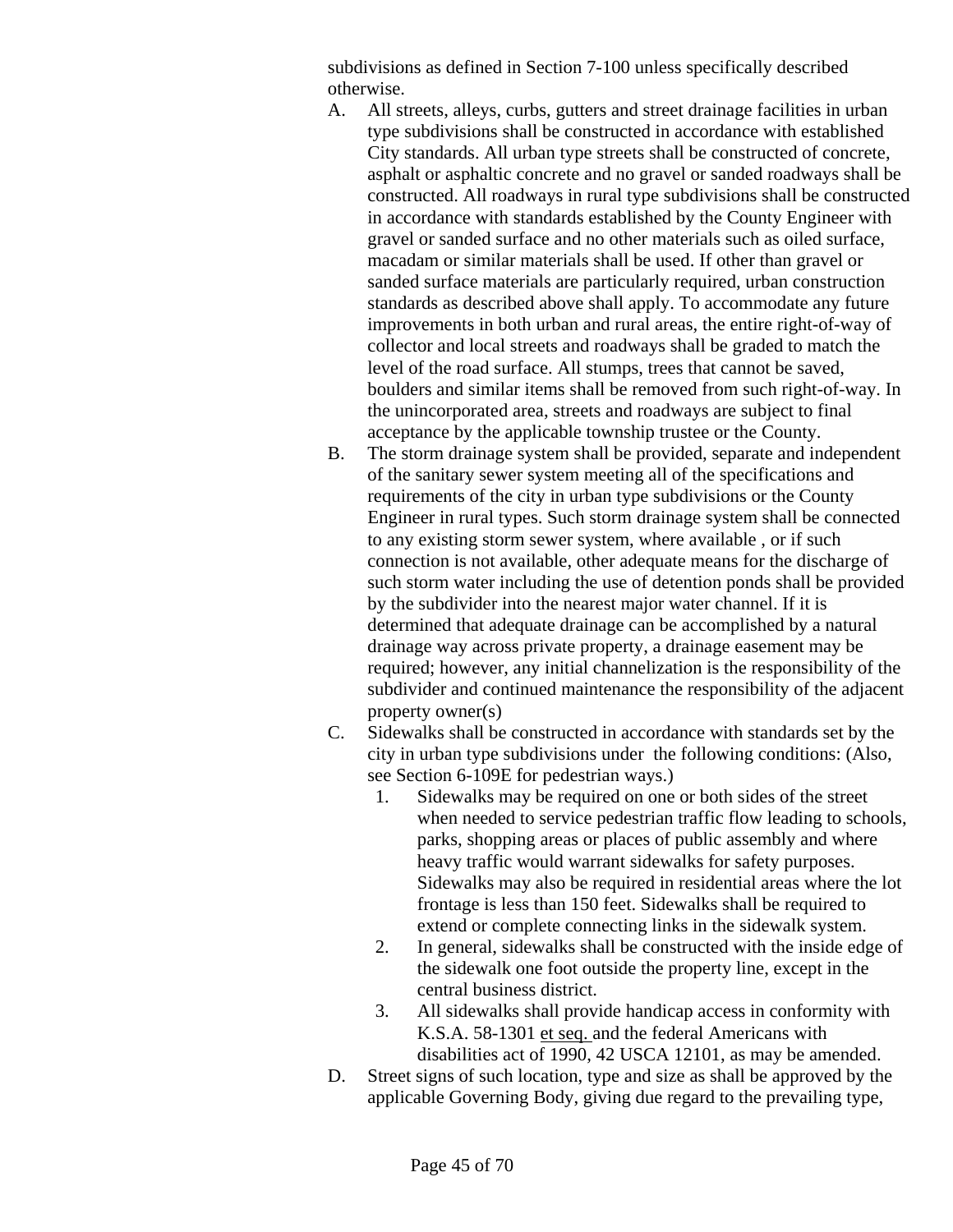subdivisions as defined in Section 7-100 unless specifically described otherwise.

- A. All streets, alleys, curbs, gutters and street drainage facilities in urban type subdivisions shall be constructed in accordance with established City standards. All urban type streets shall be constructed of concrete, asphalt or asphaltic concrete and no gravel or sanded roadways shall be constructed. All roadways in rural type subdivisions shall be constructed in accordance with standards established by the County Engineer with gravel or sanded surface and no other materials such as oiled surface, macadam or similar materials shall be used. If other than gravel or sanded surface materials are particularly required, urban construction standards as described above shall apply. To accommodate any future improvements in both urban and rural areas, the entire right-of-way of collector and local streets and roadways shall be graded to match the level of the road surface. All stumps, trees that cannot be saved, boulders and similar items shall be removed from such right-of-way. In the unincorporated area, streets and roadways are subject to final acceptance by the applicable township trustee or the County.
- B. The storm drainage system shall be provided, separate and independent of the sanitary sewer system meeting all of the specifications and requirements of the city in urban type subdivisions or the County Engineer in rural types. Such storm drainage system shall be connected to any existing storm sewer system, where available , or if such connection is not available, other adequate means for the discharge of such storm water including the use of detention ponds shall be provided by the subdivider into the nearest major water channel. If it is determined that adequate drainage can be accomplished by a natural drainage way across private property, a drainage easement may be required; however, any initial channelization is the responsibility of the subdivider and continued maintenance the responsibility of the adjacent property owner(s)
- C. Sidewalks shall be constructed in accordance with standards set by the city in urban type subdivisions under the following conditions: (Also, see Section 6-109E for pedestrian ways.)
	- 1. Sidewalks may be required on one or both sides of the street when needed to service pedestrian traffic flow leading to schools, parks, shopping areas or places of public assembly and where heavy traffic would warrant sidewalks for safety purposes. Sidewalks may also be required in residential areas where the lot frontage is less than 150 feet. Sidewalks shall be required to extend or complete connecting links in the sidewalk system.
	- 2. In general, sidewalks shall be constructed with the inside edge of the sidewalk one foot outside the property line, except in the central business district.
	- 3. All sidewalks shall provide handicap access in conformity with K.S.A. 58-1301 et seq. and the federal Americans with disabilities act of 1990, 42 USCA 12101, as may be amended.
- D. Street signs of such location, type and size as shall be approved by the applicable Governing Body, giving due regard to the prevailing type,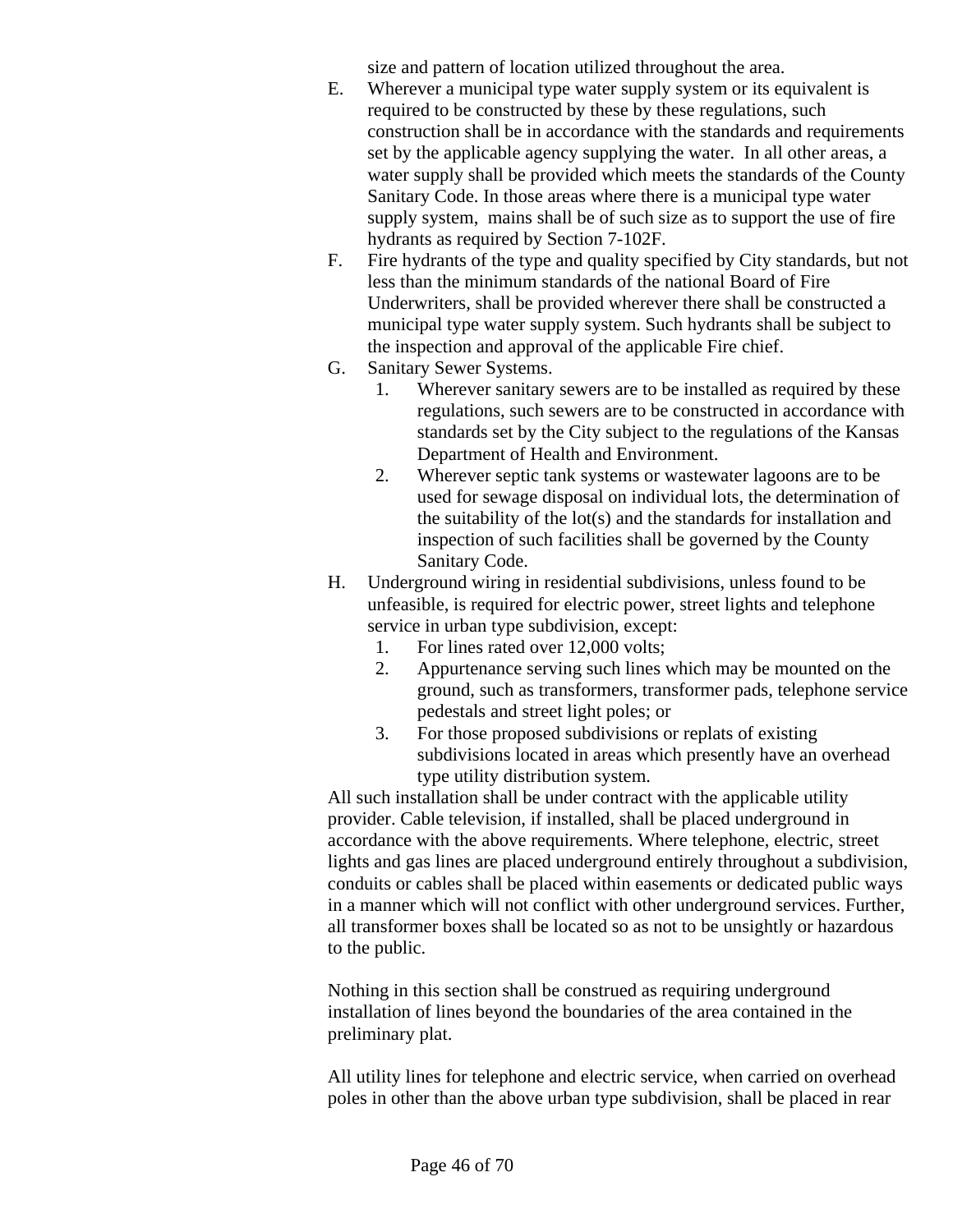size and pattern of location utilized throughout the area.

- E. Wherever a municipal type water supply system or its equivalent is required to be constructed by these by these regulations, such construction shall be in accordance with the standards and requirements set by the applicable agency supplying the water. In all other areas, a water supply shall be provided which meets the standards of the County Sanitary Code. In those areas where there is a municipal type water supply system, mains shall be of such size as to support the use of fire hydrants as required by Section 7-102F.
- F. Fire hydrants of the type and quality specified by City standards, but not less than the minimum standards of the national Board of Fire Underwriters, shall be provided wherever there shall be constructed a municipal type water supply system. Such hydrants shall be subject to the inspection and approval of the applicable Fire chief.
- G. Sanitary Sewer Systems.
	- 1. Wherever sanitary sewers are to be installed as required by these regulations, such sewers are to be constructed in accordance with standards set by the City subject to the regulations of the Kansas Department of Health and Environment.
	- 2. Wherever septic tank systems or wastewater lagoons are to be used for sewage disposal on individual lots, the determination of the suitability of the lot(s) and the standards for installation and inspection of such facilities shall be governed by the County Sanitary Code.
- H. Underground wiring in residential subdivisions, unless found to be unfeasible, is required for electric power, street lights and telephone service in urban type subdivision, except:
	- 1. For lines rated over 12,000 volts;
	- 2. Appurtenance serving such lines which may be mounted on the ground, such as transformers, transformer pads, telephone service pedestals and street light poles; or
	- 3. For those proposed subdivisions or replats of existing subdivisions located in areas which presently have an overhead type utility distribution system.

All such installation shall be under contract with the applicable utility provider. Cable television, if installed, shall be placed underground in accordance with the above requirements. Where telephone, electric, street lights and gas lines are placed underground entirely throughout a subdivision, conduits or cables shall be placed within easements or dedicated public ways in a manner which will not conflict with other underground services. Further, all transformer boxes shall be located so as not to be unsightly or hazardous to the public.

Nothing in this section shall be construed as requiring underground installation of lines beyond the boundaries of the area contained in the preliminary plat.

All utility lines for telephone and electric service, when carried on overhead poles in other than the above urban type subdivision, shall be placed in rear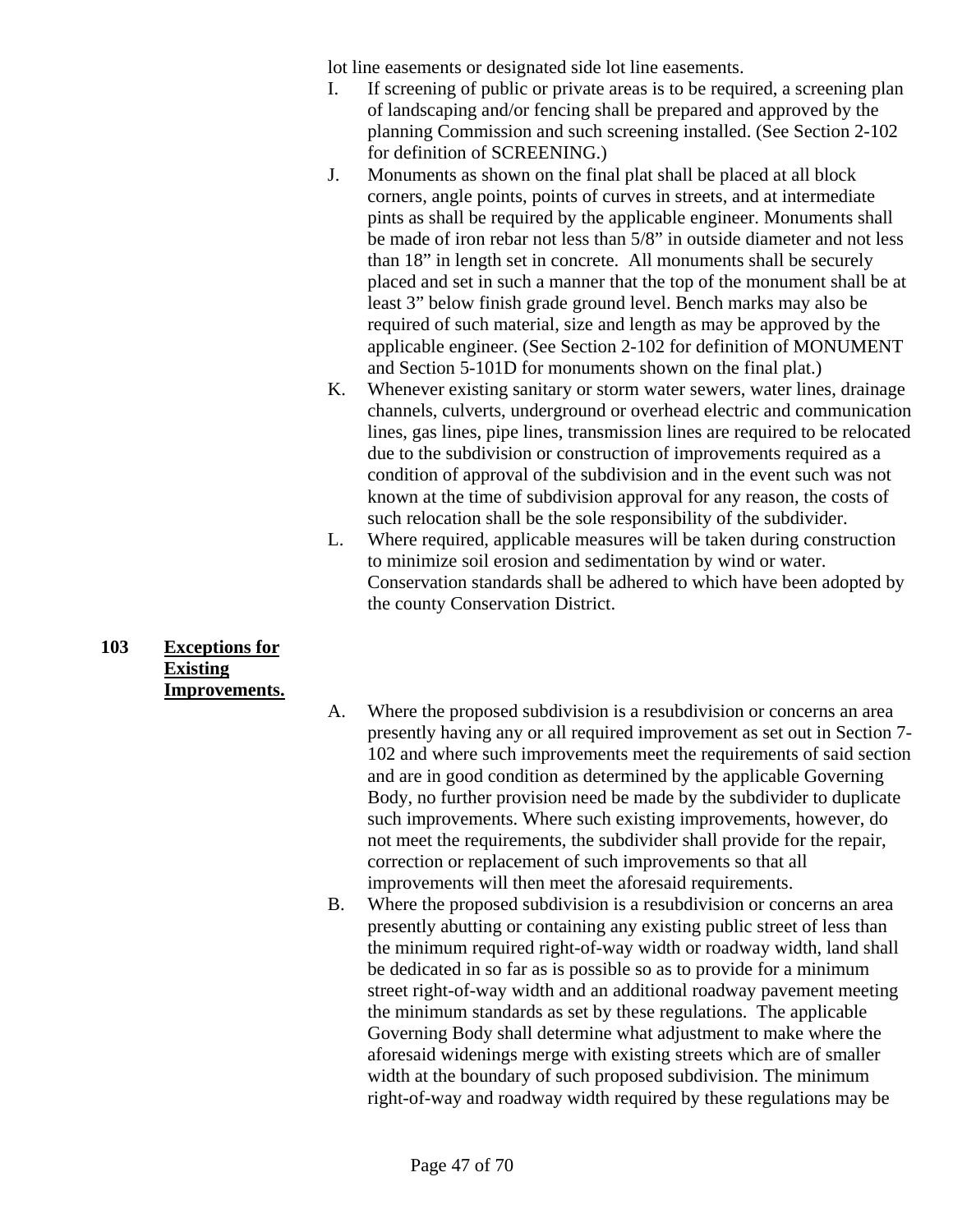lot line easements or designated side lot line easements.

- I. If screening of public or private areas is to be required, a screening plan of landscaping and/or fencing shall be prepared and approved by the planning Commission and such screening installed. (See Section 2-102 for definition of SCREENING.)
- J. Monuments as shown on the final plat shall be placed at all block corners, angle points, points of curves in streets, and at intermediate pints as shall be required by the applicable engineer. Monuments shall be made of iron rebar not less than 5/8" in outside diameter and not less than 18" in length set in concrete. All monuments shall be securely placed and set in such a manner that the top of the monument shall be at least 3" below finish grade ground level. Bench marks may also be required of such material, size and length as may be approved by the applicable engineer. (See Section 2-102 for definition of MONUMENT and Section 5-101D for monuments shown on the final plat.)
- K. Whenever existing sanitary or storm water sewers, water lines, drainage channels, culverts, underground or overhead electric and communication lines, gas lines, pipe lines, transmission lines are required to be relocated due to the subdivision or construction of improvements required as a condition of approval of the subdivision and in the event such was not known at the time of subdivision approval for any reason, the costs of such relocation shall be the sole responsibility of the subdivider.
- L. Where required, applicable measures will be taken during construction to minimize soil erosion and sedimentation by wind or water. Conservation standards shall be adhered to which have been adopted by the county Conservation District.

#### **103 Exceptions for Existing Improvements.**

- A. Where the proposed subdivision is a resubdivision or concerns an area presently having any or all required improvement as set out in Section 7- 102 and where such improvements meet the requirements of said section and are in good condition as determined by the applicable Governing Body, no further provision need be made by the subdivider to duplicate such improvements. Where such existing improvements, however, do not meet the requirements, the subdivider shall provide for the repair, correction or replacement of such improvements so that all improvements will then meet the aforesaid requirements.
- B. Where the proposed subdivision is a resubdivision or concerns an area presently abutting or containing any existing public street of less than the minimum required right-of-way width or roadway width, land shall be dedicated in so far as is possible so as to provide for a minimum street right-of-way width and an additional roadway pavement meeting the minimum standards as set by these regulations. The applicable Governing Body shall determine what adjustment to make where the aforesaid widenings merge with existing streets which are of smaller width at the boundary of such proposed subdivision. The minimum right-of-way and roadway width required by these regulations may be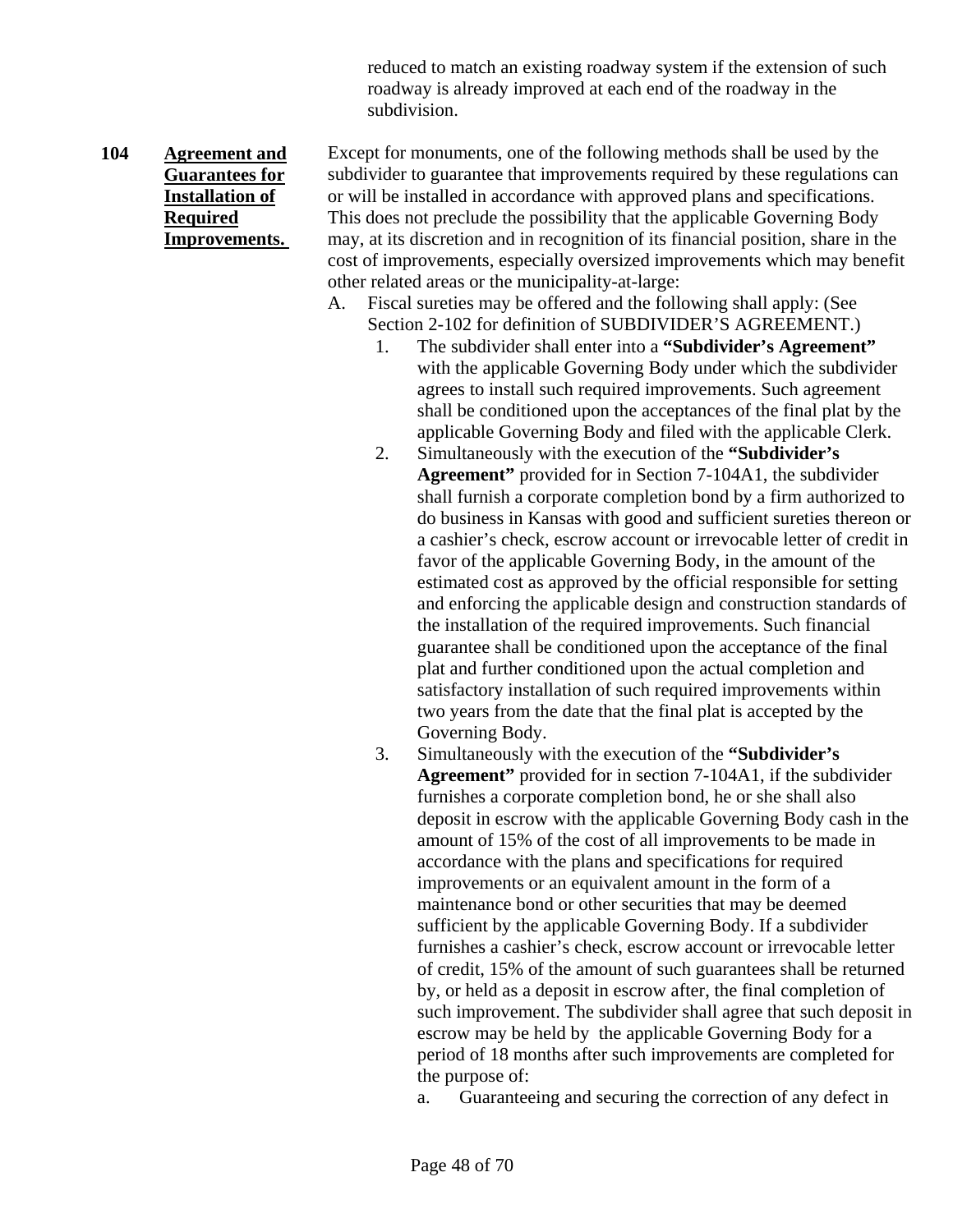reduced to match an existing roadway system if the extension of such roadway is already improved at each end of the roadway in the subdivision.

#### **104 Agreement and Guarantees for Installation of Required Improvements.**

Except for monuments, one of the following methods shall be used by the subdivider to guarantee that improvements required by these regulations can or will be installed in accordance with approved plans and specifications. This does not preclude the possibility that the applicable Governing Body may, at its discretion and in recognition of its financial position, share in the cost of improvements, especially oversized improvements which may benefit other related areas or the municipality-at-large:

- A. Fiscal sureties may be offered and the following shall apply: (See Section 2-102 for definition of SUBDIVIDER'S AGREEMENT.)
	- 1. The subdivider shall enter into a **"Subdivider's Agreement"** with the applicable Governing Body under which the subdivider agrees to install such required improvements. Such agreement shall be conditioned upon the acceptances of the final plat by the applicable Governing Body and filed with the applicable Clerk.
	- 2. Simultaneously with the execution of the **"Subdivider's Agreement"** provided for in Section 7-104A1, the subdivider shall furnish a corporate completion bond by a firm authorized to do business in Kansas with good and sufficient sureties thereon or a cashier's check, escrow account or irrevocable letter of credit in favor of the applicable Governing Body, in the amount of the estimated cost as approved by the official responsible for setting and enforcing the applicable design and construction standards of the installation of the required improvements. Such financial guarantee shall be conditioned upon the acceptance of the final plat and further conditioned upon the actual completion and satisfactory installation of such required improvements within two years from the date that the final plat is accepted by the Governing Body.
	- 3. Simultaneously with the execution of the **"Subdivider's Agreement"** provided for in section 7-104A1, if the subdivider furnishes a corporate completion bond, he or she shall also deposit in escrow with the applicable Governing Body cash in the amount of 15% of the cost of all improvements to be made in accordance with the plans and specifications for required improvements or an equivalent amount in the form of a maintenance bond or other securities that may be deemed sufficient by the applicable Governing Body. If a subdivider furnishes a cashier's check, escrow account or irrevocable letter of credit, 15% of the amount of such guarantees shall be returned by, or held as a deposit in escrow after, the final completion of such improvement. The subdivider shall agree that such deposit in escrow may be held by the applicable Governing Body for a period of 18 months after such improvements are completed for the purpose of:

a. Guaranteeing and securing the correction of any defect in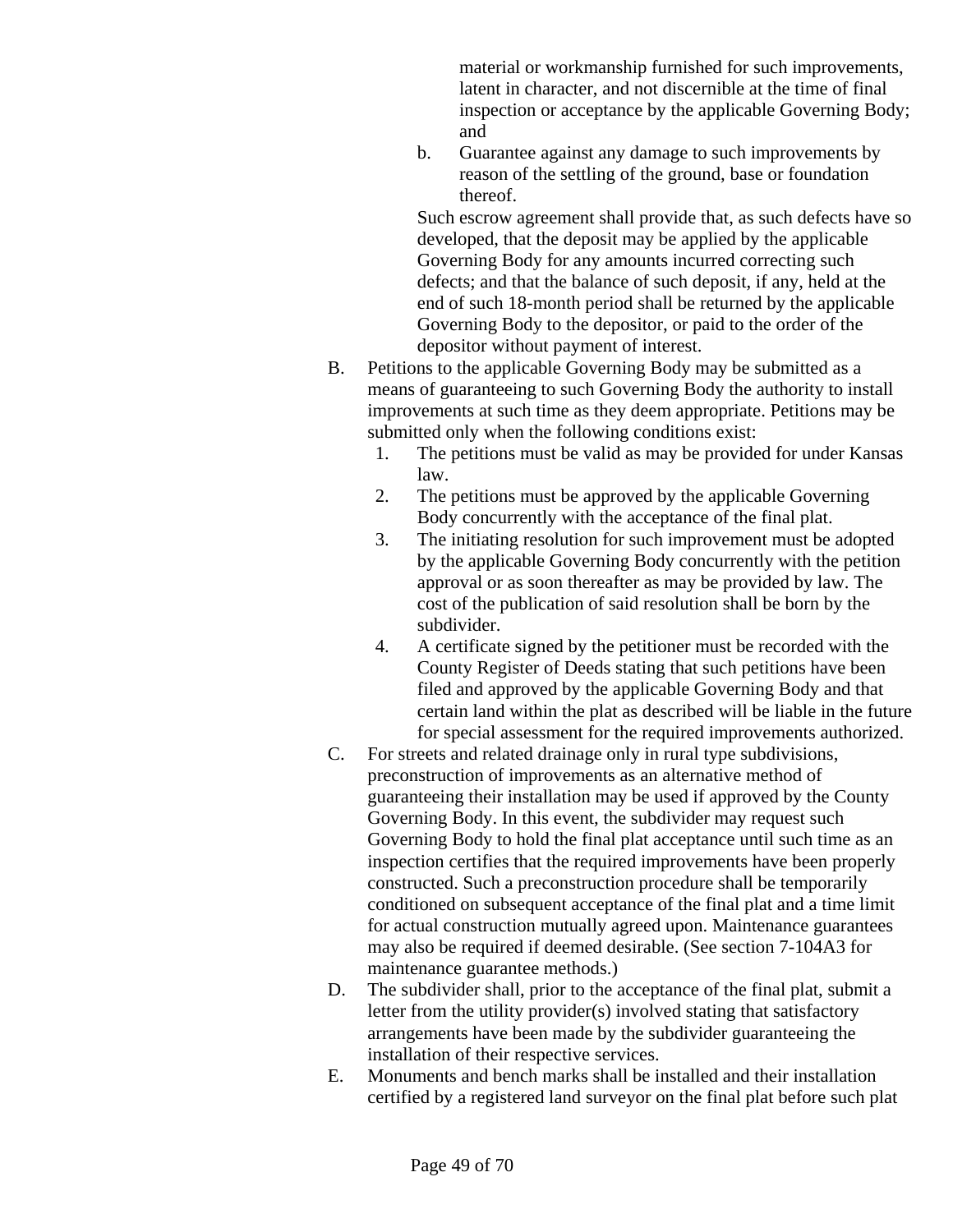material or workmanship furnished for such improvements, latent in character, and not discernible at the time of final inspection or acceptance by the applicable Governing Body; and

b. Guarantee against any damage to such improvements by reason of the settling of the ground, base or foundation thereof.

Such escrow agreement shall provide that, as such defects have so developed, that the deposit may be applied by the applicable Governing Body for any amounts incurred correcting such defects; and that the balance of such deposit, if any, held at the end of such 18-month period shall be returned by the applicable Governing Body to the depositor, or paid to the order of the depositor without payment of interest.

- B. Petitions to the applicable Governing Body may be submitted as a means of guaranteeing to such Governing Body the authority to install improvements at such time as they deem appropriate. Petitions may be submitted only when the following conditions exist:
	- 1. The petitions must be valid as may be provided for under Kansas law.
	- 2. The petitions must be approved by the applicable Governing Body concurrently with the acceptance of the final plat.
	- 3. The initiating resolution for such improvement must be adopted by the applicable Governing Body concurrently with the petition approval or as soon thereafter as may be provided by law. The cost of the publication of said resolution shall be born by the subdivider.
	- 4. A certificate signed by the petitioner must be recorded with the County Register of Deeds stating that such petitions have been filed and approved by the applicable Governing Body and that certain land within the plat as described will be liable in the future for special assessment for the required improvements authorized.
- C. For streets and related drainage only in rural type subdivisions, preconstruction of improvements as an alternative method of guaranteeing their installation may be used if approved by the County Governing Body. In this event, the subdivider may request such Governing Body to hold the final plat acceptance until such time as an inspection certifies that the required improvements have been properly constructed. Such a preconstruction procedure shall be temporarily conditioned on subsequent acceptance of the final plat and a time limit for actual construction mutually agreed upon. Maintenance guarantees may also be required if deemed desirable. (See section 7-104A3 for maintenance guarantee methods.)
- D. The subdivider shall, prior to the acceptance of the final plat, submit a letter from the utility provider(s) involved stating that satisfactory arrangements have been made by the subdivider guaranteeing the installation of their respective services.
- E. Monuments and bench marks shall be installed and their installation certified by a registered land surveyor on the final plat before such plat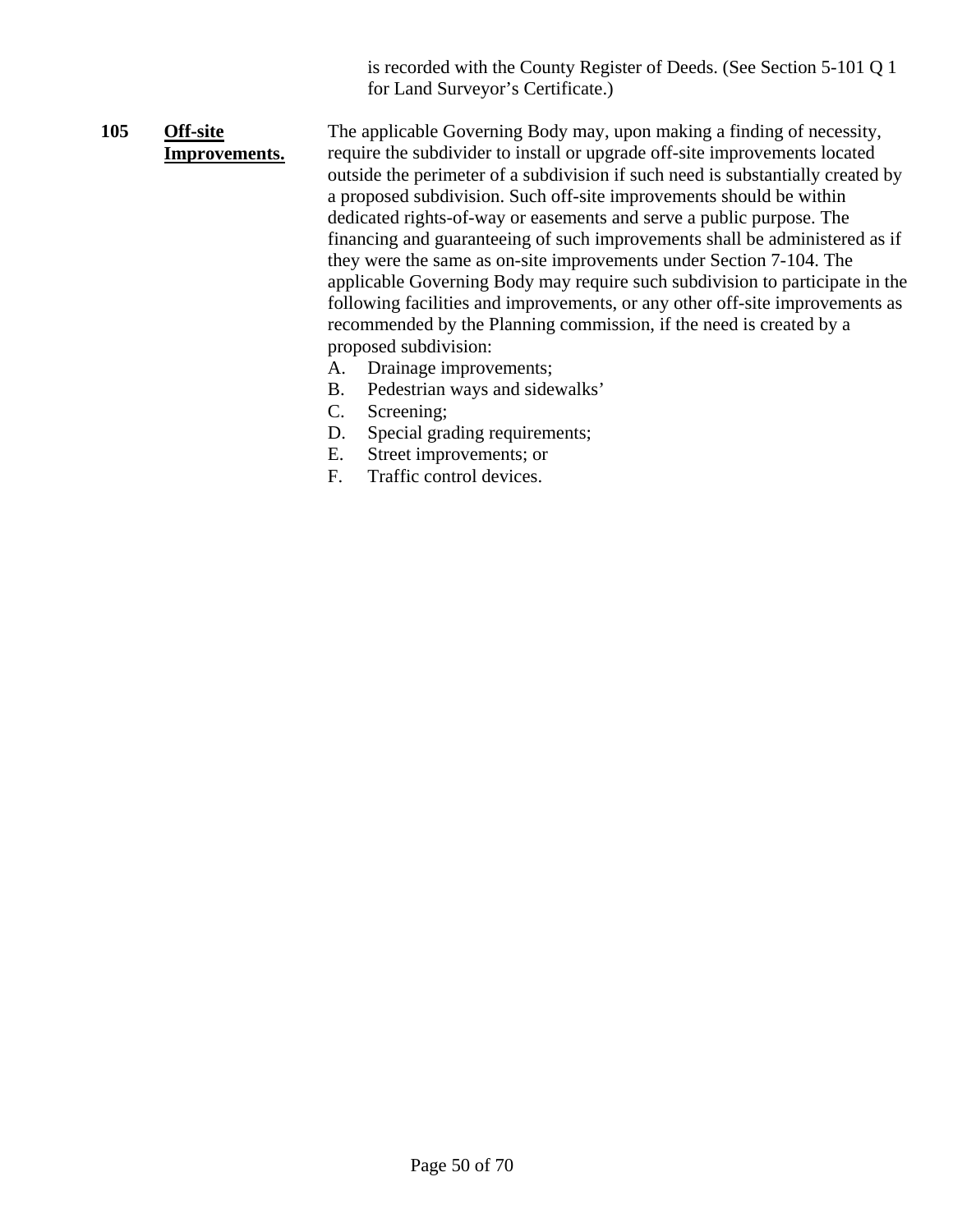is recorded with the County Register of Deeds. (See Section 5-101 Q 1 for Land Surveyor's Certificate.)

#### **105 Off-site Improvements.** The applicable Governing Body may, upon making a finding of necessity, require the subdivider to install or upgrade off-site improvements located outside the perimeter of a subdivision if such need is substantially created by a proposed subdivision. Such off-site improvements should be within dedicated rights-of-way or easements and serve a public purpose. The financing and guaranteeing of such improvements shall be administered as if they were the same as on-site improvements under Section 7-104. The applicable Governing Body may require such subdivision to participate in the following facilities and improvements, or any other off-site improvements as recommended by the Planning commission, if the need is created by a

A. Drainage improvements;

proposed subdivision:

- B. Pedestrian ways and sidewalks'
- C. Screening;
- D. Special grading requirements;
- E. Street improvements; or
- F. Traffic control devices.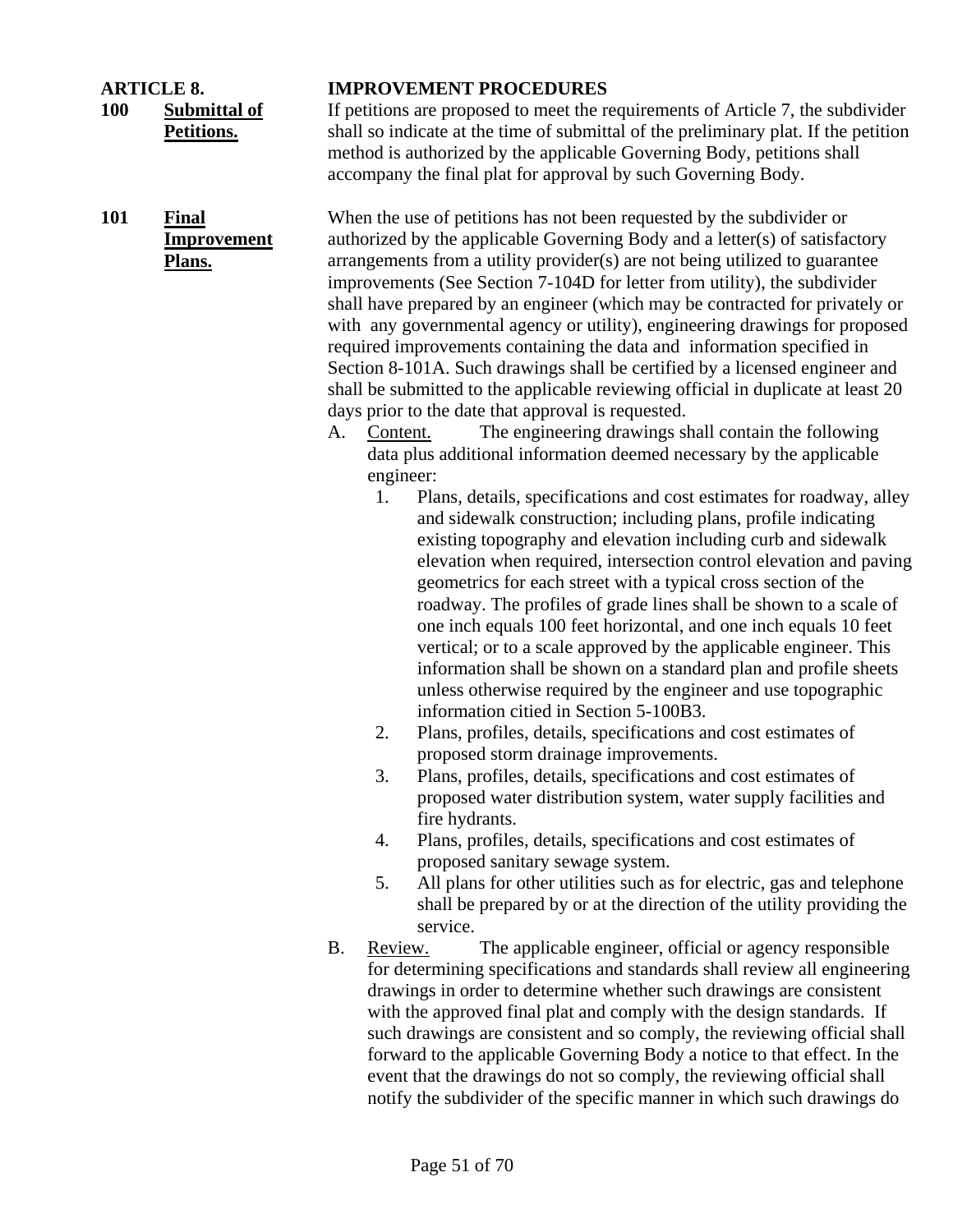**100 Submittal of Petitions.**

**101 Final Improvement Plans.**

#### **ARTICLE 8. IMPROVEMENT PROCEDURES**

If petitions are proposed to meet the requirements of Article 7, the subdivider shall so indicate at the time of submittal of the preliminary plat. If the petition method is authorized by the applicable Governing Body, petitions shall accompany the final plat for approval by such Governing Body.

When the use of petitions has not been requested by the subdivider or authorized by the applicable Governing Body and a letter(s) of satisfactory arrangements from a utility provider(s) are not being utilized to guarantee improvements (See Section 7-104D for letter from utility), the subdivider shall have prepared by an engineer (which may be contracted for privately or with any governmental agency or utility), engineering drawings for proposed required improvements containing the data and information specified in Section 8-101A. Such drawings shall be certified by a licensed engineer and shall be submitted to the applicable reviewing official in duplicate at least 20 days prior to the date that approval is requested.

- A. Content. The engineering drawings shall contain the following data plus additional information deemed necessary by the applicable engineer:
	- 1. Plans, details, specifications and cost estimates for roadway, alley and sidewalk construction; including plans, profile indicating existing topography and elevation including curb and sidewalk elevation when required, intersection control elevation and paving geometrics for each street with a typical cross section of the roadway. The profiles of grade lines shall be shown to a scale of one inch equals 100 feet horizontal, and one inch equals 10 feet vertical; or to a scale approved by the applicable engineer. This information shall be shown on a standard plan and profile sheets unless otherwise required by the engineer and use topographic information citied in Section 5-100B3.
	- 2. Plans, profiles, details, specifications and cost estimates of proposed storm drainage improvements.
	- 3. Plans, profiles, details, specifications and cost estimates of proposed water distribution system, water supply facilities and fire hydrants.
	- 4. Plans, profiles, details, specifications and cost estimates of proposed sanitary sewage system.
	- 5. All plans for other utilities such as for electric, gas and telephone shall be prepared by or at the direction of the utility providing the service.
- B. Review. The applicable engineer, official or agency responsible for determining specifications and standards shall review all engineering drawings in order to determine whether such drawings are consistent with the approved final plat and comply with the design standards. If such drawings are consistent and so comply, the reviewing official shall forward to the applicable Governing Body a notice to that effect. In the event that the drawings do not so comply, the reviewing official shall notify the subdivider of the specific manner in which such drawings do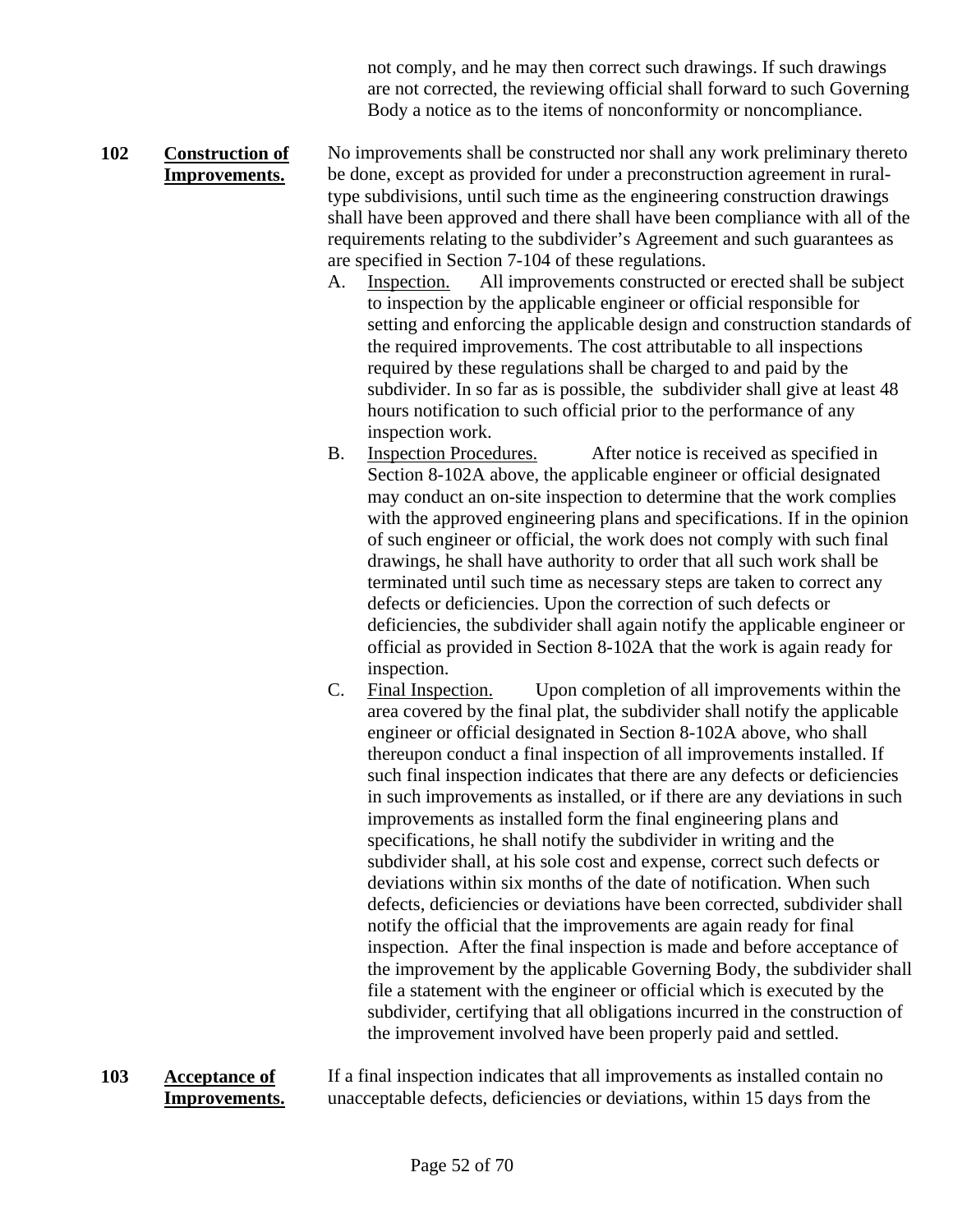not comply, and he may then correct such drawings. If such drawings are not corrected, the reviewing official shall forward to such Governing Body a notice as to the items of nonconformity or noncompliance.

#### **102 Construction of Improvements.** No improvements shall be constructed nor shall any work preliminary thereto be done, except as provided for under a preconstruction agreement in ruraltype subdivisions, until such time as the engineering construction drawings shall have been approved and there shall have been compliance with all of the requirements relating to the subdivider's Agreement and such guarantees as are specified in Section 7-104 of these regulations.

- A. Inspection. All improvements constructed or erected shall be subject to inspection by the applicable engineer or official responsible for setting and enforcing the applicable design and construction standards of the required improvements. The cost attributable to all inspections required by these regulations shall be charged to and paid by the subdivider. In so far as is possible, the subdivider shall give at least 48 hours notification to such official prior to the performance of any inspection work.
- B. Inspection Procedures. After notice is received as specified in Section 8-102A above, the applicable engineer or official designated may conduct an on-site inspection to determine that the work complies with the approved engineering plans and specifications. If in the opinion of such engineer or official, the work does not comply with such final drawings, he shall have authority to order that all such work shall be terminated until such time as necessary steps are taken to correct any defects or deficiencies. Upon the correction of such defects or deficiencies, the subdivider shall again notify the applicable engineer or official as provided in Section 8-102A that the work is again ready for inspection.
- C. Final Inspection. Upon completion of all improvements within the area covered by the final plat, the subdivider shall notify the applicable engineer or official designated in Section 8-102A above, who shall thereupon conduct a final inspection of all improvements installed. If such final inspection indicates that there are any defects or deficiencies in such improvements as installed, or if there are any deviations in such improvements as installed form the final engineering plans and specifications, he shall notify the subdivider in writing and the subdivider shall, at his sole cost and expense, correct such defects or deviations within six months of the date of notification. When such defects, deficiencies or deviations have been corrected, subdivider shall notify the official that the improvements are again ready for final inspection. After the final inspection is made and before acceptance of the improvement by the applicable Governing Body, the subdivider shall file a statement with the engineer or official which is executed by the subdivider, certifying that all obligations incurred in the construction of the improvement involved have been properly paid and settled.
- **103 Acceptance of Improvements.** If a final inspection indicates that all improvements as installed contain no unacceptable defects, deficiencies or deviations, within 15 days from the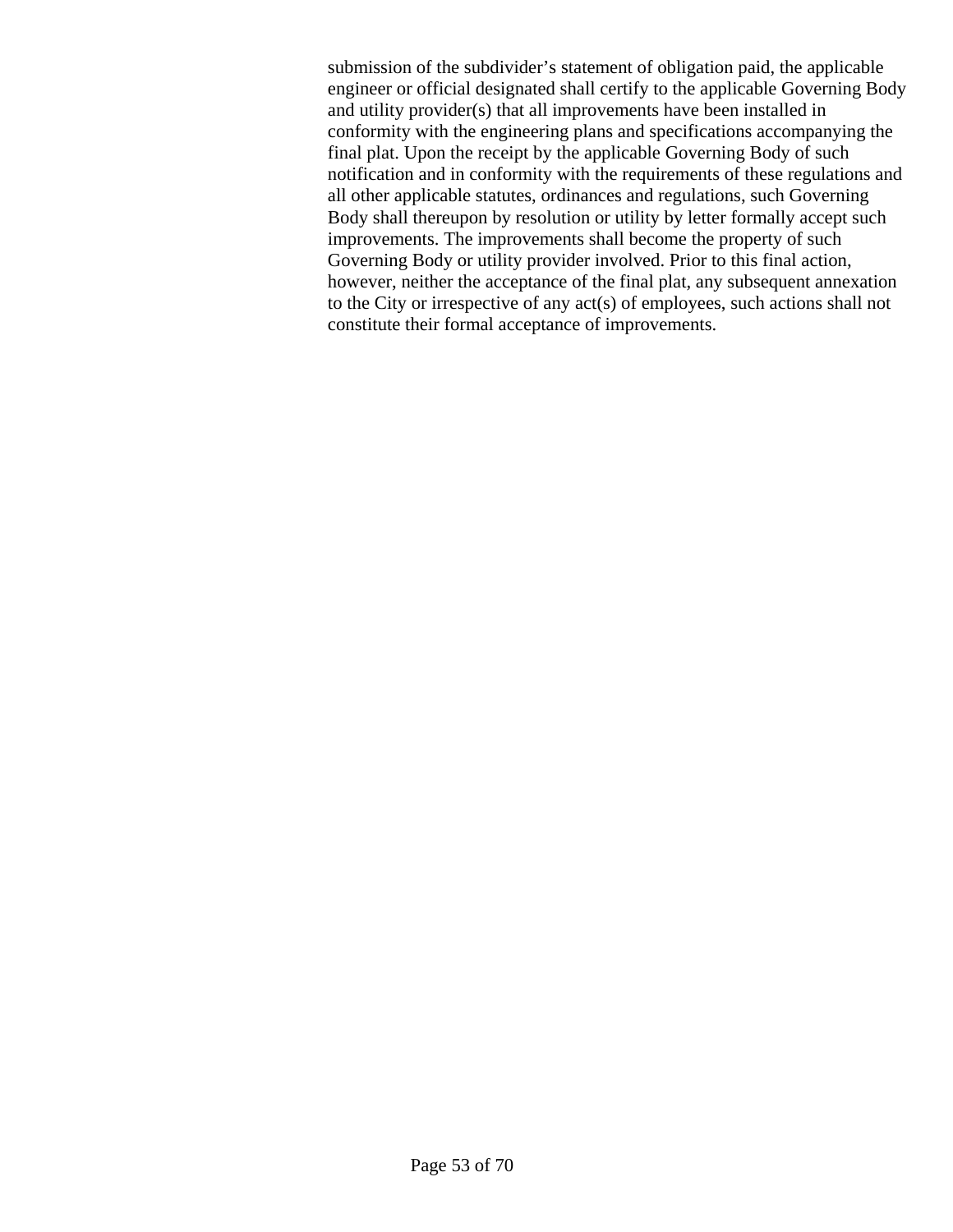submission of the subdivider's statement of obligation paid, the applicable engineer or official designated shall certify to the applicable Governing Body and utility provider(s) that all improvements have been installed in conformity with the engineering plans and specifications accompanying the final plat. Upon the receipt by the applicable Governing Body of such notification and in conformity with the requirements of these regulations and all other applicable statutes, ordinances and regulations, such Governing Body shall thereupon by resolution or utility by letter formally accept such improvements. The improvements shall become the property of such Governing Body or utility provider involved. Prior to this final action, however, neither the acceptance of the final plat, any subsequent annexation to the City or irrespective of any act(s) of employees, such actions shall not constitute their formal acceptance of improvements.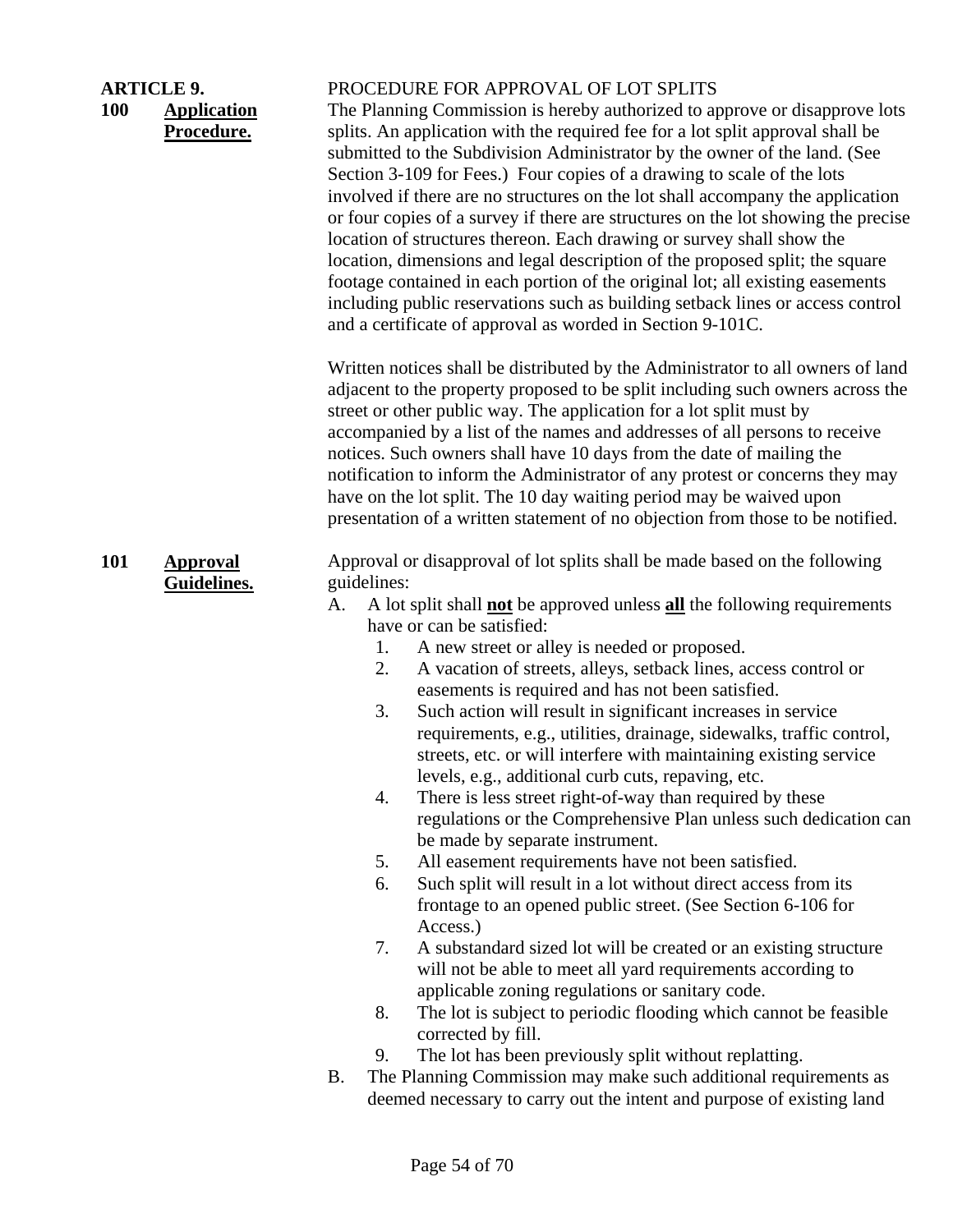| <b>ARTICLE 9.</b><br><b>100</b> | <b>Application</b><br>Procedure. | PROCEDURE FOR APPROVAL OF LOT SPLITS<br>The Planning Commission is hereby authorized to approve or disapprove lots<br>splits. An application with the required fee for a lot split approval shall be<br>submitted to the Subdivision Administrator by the owner of the land. (See<br>Section 3-109 for Fees.) Four copies of a drawing to scale of the lots<br>involved if there are no structures on the lot shall accompany the application<br>or four copies of a survey if there are structures on the lot showing the precise<br>location of structures thereon. Each drawing or survey shall show the<br>location, dimensions and legal description of the proposed split; the square<br>footage contained in each portion of the original lot; all existing easements<br>including public reservations such as building setback lines or access control<br>and a certificate of approval as worded in Section 9-101C.<br>Written notices shall be distributed by the Administrator to all owners of land<br>adjacent to the property proposed to be split including such owners across the<br>street or other public way. The application for a lot split must by<br>accompanied by a list of the names and addresses of all persons to receive<br>notices. Such owners shall have 10 days from the date of mailing the<br>notification to inform the Administrator of any protest or concerns they may<br>have on the lot split. The 10 day waiting period may be waived upon<br>presentation of a written statement of no objection from those to be notified.                 |
|---------------------------------|----------------------------------|-----------------------------------------------------------------------------------------------------------------------------------------------------------------------------------------------------------------------------------------------------------------------------------------------------------------------------------------------------------------------------------------------------------------------------------------------------------------------------------------------------------------------------------------------------------------------------------------------------------------------------------------------------------------------------------------------------------------------------------------------------------------------------------------------------------------------------------------------------------------------------------------------------------------------------------------------------------------------------------------------------------------------------------------------------------------------------------------------------------------------------------------------------------------------------------------------------------------------------------------------------------------------------------------------------------------------------------------------------------------------------------------------------------------------------------------------------------------------------------------------------------------------------------------------------------------------------------------|
| <b>101</b>                      | <b>Approval</b><br>Guidelines.   | Approval or disapproval of lot splits shall be made based on the following<br>guidelines:<br>A lot split shall <b>not</b> be approved unless <b>all</b> the following requirements<br>A.<br>have or can be satisfied:<br>A new street or alley is needed or proposed.<br>1.<br>A vacation of streets, alleys, setback lines, access control or<br>2.<br>easements is required and has not been satisfied.<br>Such action will result in significant increases in service<br>3.<br>requirements, e.g., utilities, drainage, sidewalks, traffic control,<br>streets, etc. or will interfere with maintaining existing service<br>levels, e.g., additional curb cuts, repaving, etc.<br>There is less street right-of-way than required by these<br>4.<br>regulations or the Comprehensive Plan unless such dedication can<br>be made by separate instrument.<br>All easement requirements have not been satisfied.<br>5.<br>6.<br>Such split will result in a lot without direct access from its<br>frontage to an opened public street. (See Section 6-106 for<br>Access.)<br>7.<br>A substandard sized lot will be created or an existing structure<br>will not be able to meet all yard requirements according to<br>applicable zoning regulations or sanitary code.<br>The lot is subject to periodic flooding which cannot be feasible<br>8.<br>corrected by fill.<br>The lot has been previously split without replatting.<br>9.<br>The Planning Commission may make such additional requirements as<br>Β.<br>deemed necessary to carry out the intent and purpose of existing land |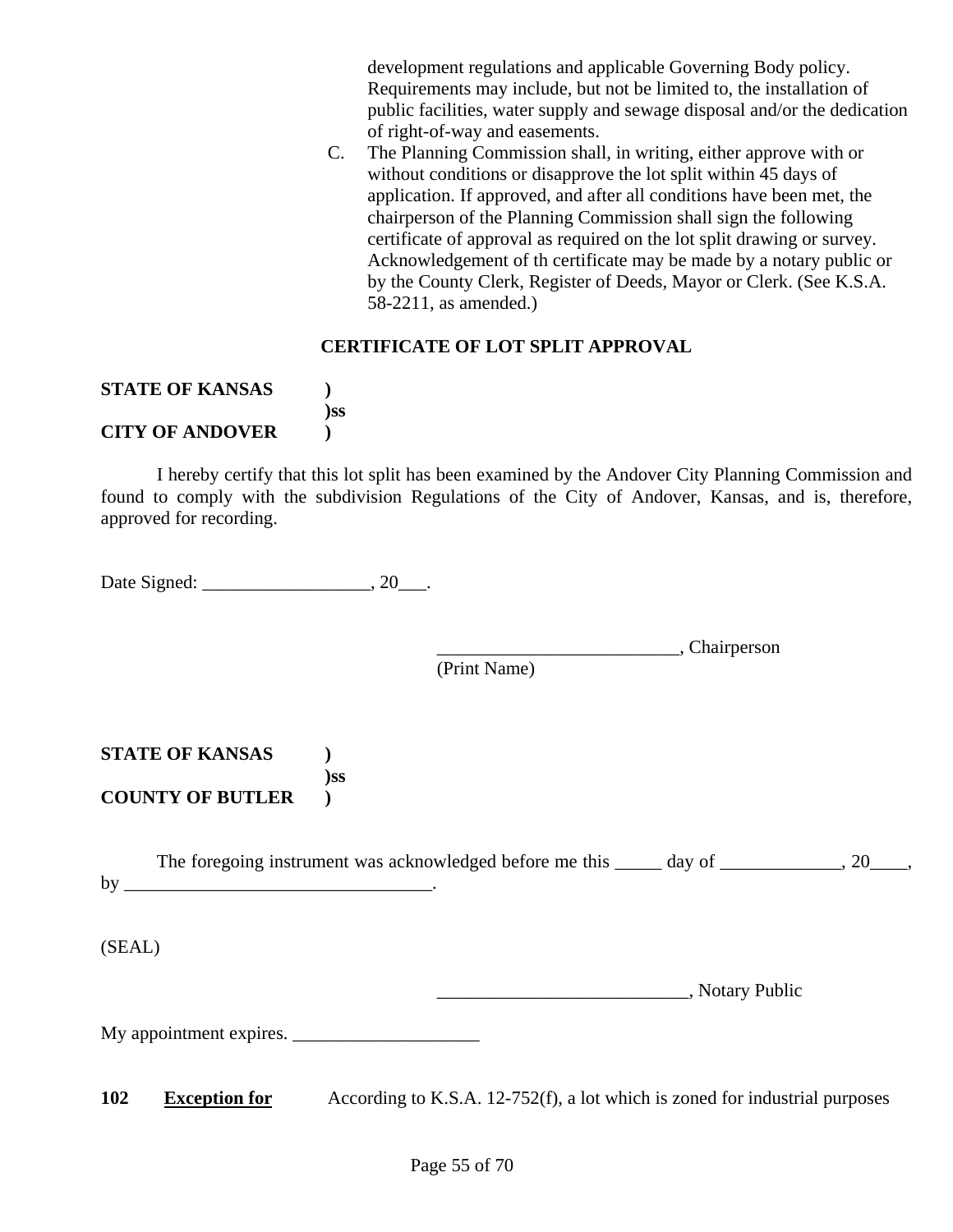development regulations and applicable Governing Body policy. Requirements may include, but not be limited to, the installation of public facilities, water supply and sewage disposal and/or the dedication of right-of-way and easements.

C. The Planning Commission shall, in writing, either approve with or without conditions or disapprove the lot split within 45 days of application. If approved, and after all conditions have been met, the chairperson of the Planning Commission shall sign the following certificate of approval as required on the lot split drawing or survey. Acknowledgement of th certificate may be made by a notary public or by the County Clerk, Register of Deeds, Mayor or Clerk. (See K.S.A. 58-2211, as amended.)

#### **CERTIFICATE OF LOT SPLIT APPROVAL**

#### **STATE OF KANSAS ) )ss CITY OF ANDOVER )**

I hereby certify that this lot split has been examined by the Andover City Planning Commission and found to comply with the subdivision Regulations of the City of Andover, Kansas, and is, therefore, approved for recording.

Date Signed: 20 \_\_\_\_\_\_\_\_\_\_\_\_\_\_\_\_\_\_\_\_\_\_\_, 20 \_\_\_\_.

\_\_\_\_\_\_\_\_\_\_\_\_\_\_\_\_\_\_\_\_\_\_\_\_\_\_, Chairperson

(Print Name)

**STATE OF KANSAS ) )ss COUNTY OF BUTLER )** 

The foregoing instrument was acknowledged before me this \_\_\_\_\_ day of \_\_\_\_\_\_\_\_\_\_\_, 20\_\_\_\_, by \_\_\_\_\_\_\_\_\_\_\_\_\_\_\_\_\_\_\_\_\_\_\_\_\_\_\_\_\_\_\_\_\_.

(SEAL)

\_\_\_\_\_\_\_\_\_\_\_\_\_\_\_\_\_\_\_\_\_\_\_\_\_\_\_, Notary Public

My appointment expires. \_\_\_\_\_\_\_\_\_\_\_\_\_\_\_\_\_\_\_\_

**102** Exception for According to K.S.A. 12-752(f), a lot which is zoned for industrial purposes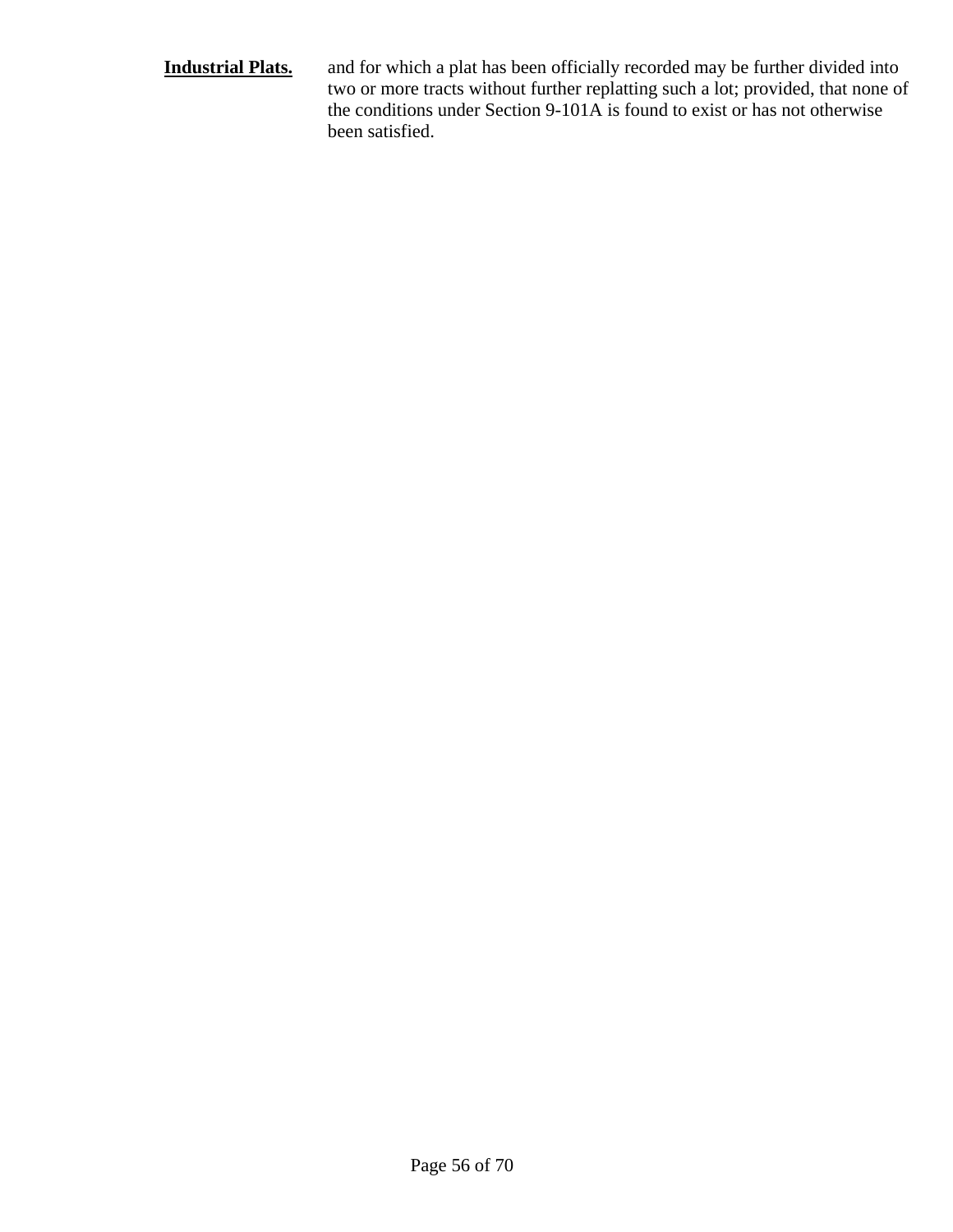#### **Industrial Plats.** and for which a plat has been officially recorded may be further divided into two or more tracts without further replatting such a lot; provided, that none of the conditions under Section 9-101A is found to exist or has not otherwise been satisfied.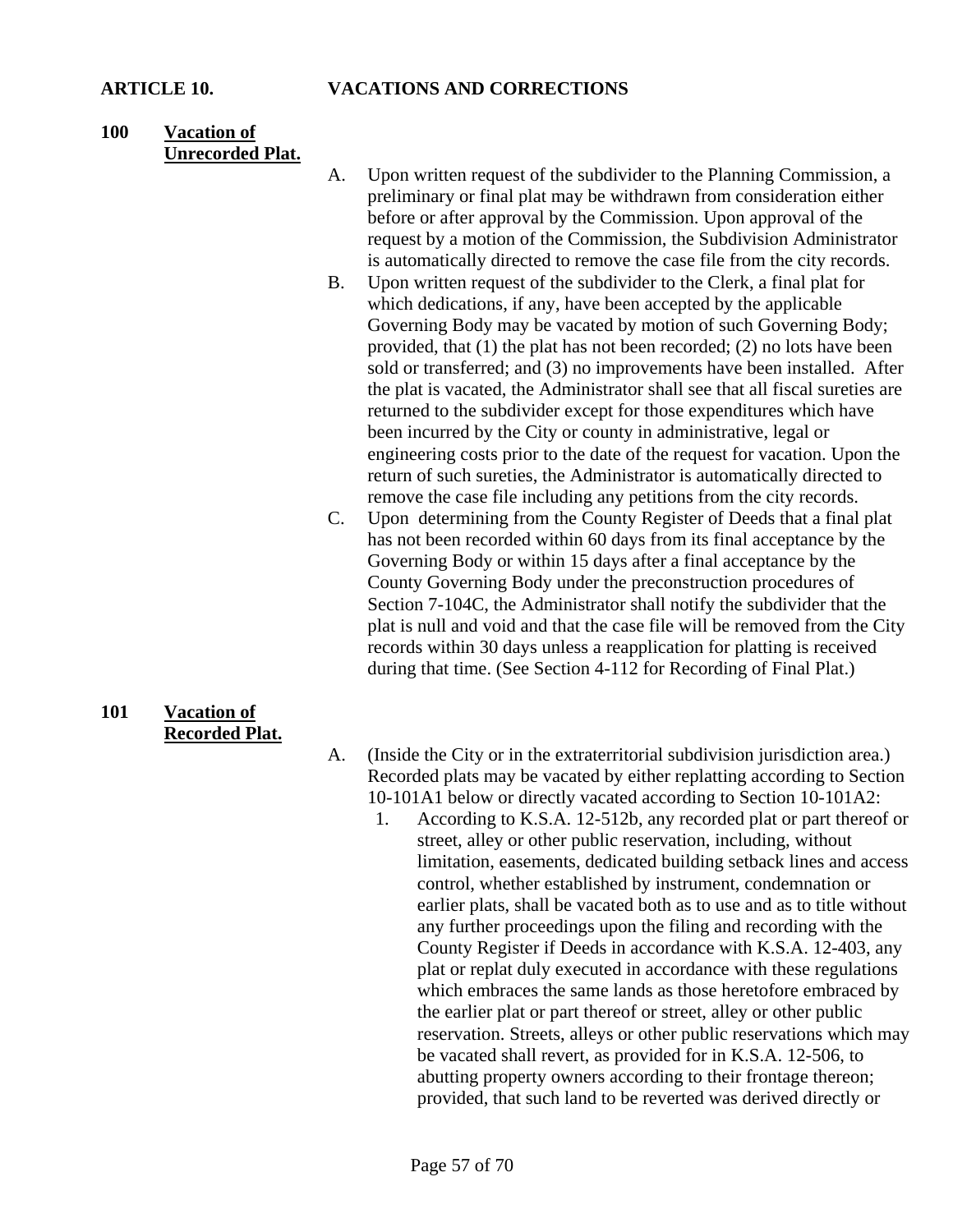#### **100 Vacation of Unrecorded Plat.**

- A. Upon written request of the subdivider to the Planning Commission, a preliminary or final plat may be withdrawn from consideration either before or after approval by the Commission. Upon approval of the request by a motion of the Commission, the Subdivision Administrator is automatically directed to remove the case file from the city records.
- B. Upon written request of the subdivider to the Clerk, a final plat for which dedications, if any, have been accepted by the applicable Governing Body may be vacated by motion of such Governing Body; provided, that (1) the plat has not been recorded; (2) no lots have been sold or transferred; and (3) no improvements have been installed. After the plat is vacated, the Administrator shall see that all fiscal sureties are returned to the subdivider except for those expenditures which have been incurred by the City or county in administrative, legal or engineering costs prior to the date of the request for vacation. Upon the return of such sureties, the Administrator is automatically directed to remove the case file including any petitions from the city records.
- C. Upon determining from the County Register of Deeds that a final plat has not been recorded within 60 days from its final acceptance by the Governing Body or within 15 days after a final acceptance by the County Governing Body under the preconstruction procedures of Section 7-104C, the Administrator shall notify the subdivider that the plat is null and void and that the case file will be removed from the City records within 30 days unless a reapplication for platting is received during that time. (See Section 4-112 for Recording of Final Plat.)

#### **101 Vacation of Recorded Plat.**

- A. (Inside the City or in the extraterritorial subdivision jurisdiction area.) Recorded plats may be vacated by either replatting according to Section 10-101A1 below or directly vacated according to Section 10-101A2:
	- 1. According to K.S.A. 12-512b, any recorded plat or part thereof or street, alley or other public reservation, including, without limitation, easements, dedicated building setback lines and access control, whether established by instrument, condemnation or earlier plats, shall be vacated both as to use and as to title without any further proceedings upon the filing and recording with the County Register if Deeds in accordance with K.S.A. 12-403, any plat or replat duly executed in accordance with these regulations which embraces the same lands as those heretofore embraced by the earlier plat or part thereof or street, alley or other public reservation. Streets, alleys or other public reservations which may be vacated shall revert, as provided for in K.S.A. 12-506, to abutting property owners according to their frontage thereon; provided, that such land to be reverted was derived directly or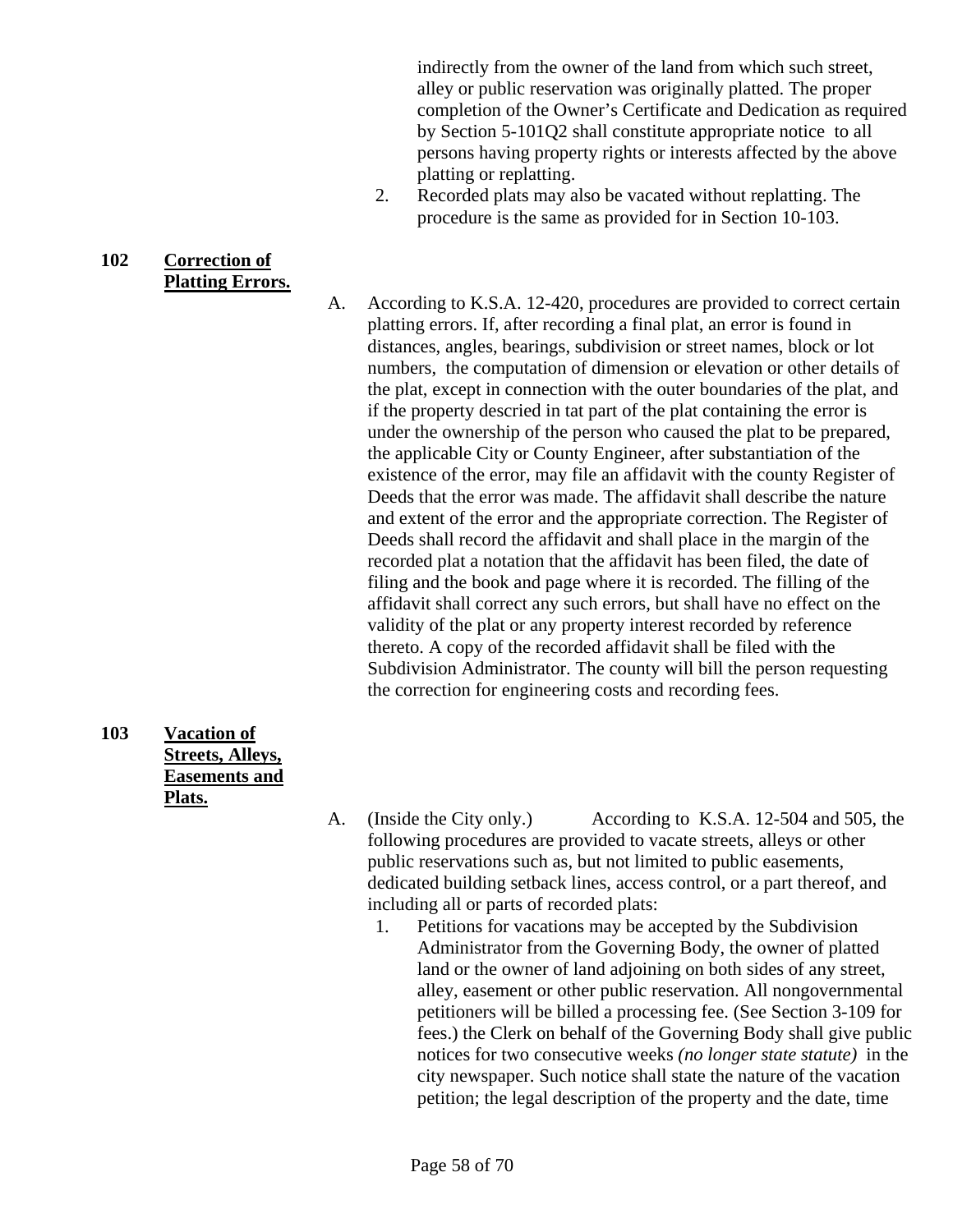indirectly from the owner of the land from which such street, alley or public reservation was originally platted. The proper completion of the Owner's Certificate and Dedication as required by Section 5-101Q2 shall constitute appropriate notice to all persons having property rights or interests affected by the above platting or replatting.

- 2. Recorded plats may also be vacated without replatting. The procedure is the same as provided for in Section 10-103.
- **102 Correction of Platting Errors.**

A. According to K.S.A. 12-420, procedures are provided to correct certain platting errors. If, after recording a final plat, an error is found in distances, angles, bearings, subdivision or street names, block or lot numbers, the computation of dimension or elevation or other details of the plat, except in connection with the outer boundaries of the plat, and if the property descried in tat part of the plat containing the error is under the ownership of the person who caused the plat to be prepared, the applicable City or County Engineer, after substantiation of the existence of the error, may file an affidavit with the county Register of Deeds that the error was made. The affidavit shall describe the nature and extent of the error and the appropriate correction. The Register of Deeds shall record the affidavit and shall place in the margin of the recorded plat a notation that the affidavit has been filed, the date of filing and the book and page where it is recorded. The filling of the affidavit shall correct any such errors, but shall have no effect on the validity of the plat or any property interest recorded by reference thereto. A copy of the recorded affidavit shall be filed with the Subdivision Administrator. The county will bill the person requesting the correction for engineering costs and recording fees.

**103 Vacation of Streets, Alleys, Easements and Plats.**

A. (Inside the City only.) According to K.S.A. 12-504 and 505, the following procedures are provided to vacate streets, alleys or other public reservations such as, but not limited to public easements, dedicated building setback lines, access control, or a part thereof, and including all or parts of recorded plats:

1. Petitions for vacations may be accepted by the Subdivision Administrator from the Governing Body, the owner of platted land or the owner of land adjoining on both sides of any street. alley, easement or other public reservation. All nongovernmental petitioners will be billed a processing fee. (See Section 3-109 for fees.) the Clerk on behalf of the Governing Body shall give public notices for two consecutive weeks *(no longer state statute)* in the city newspaper. Such notice shall state the nature of the vacation petition; the legal description of the property and the date, time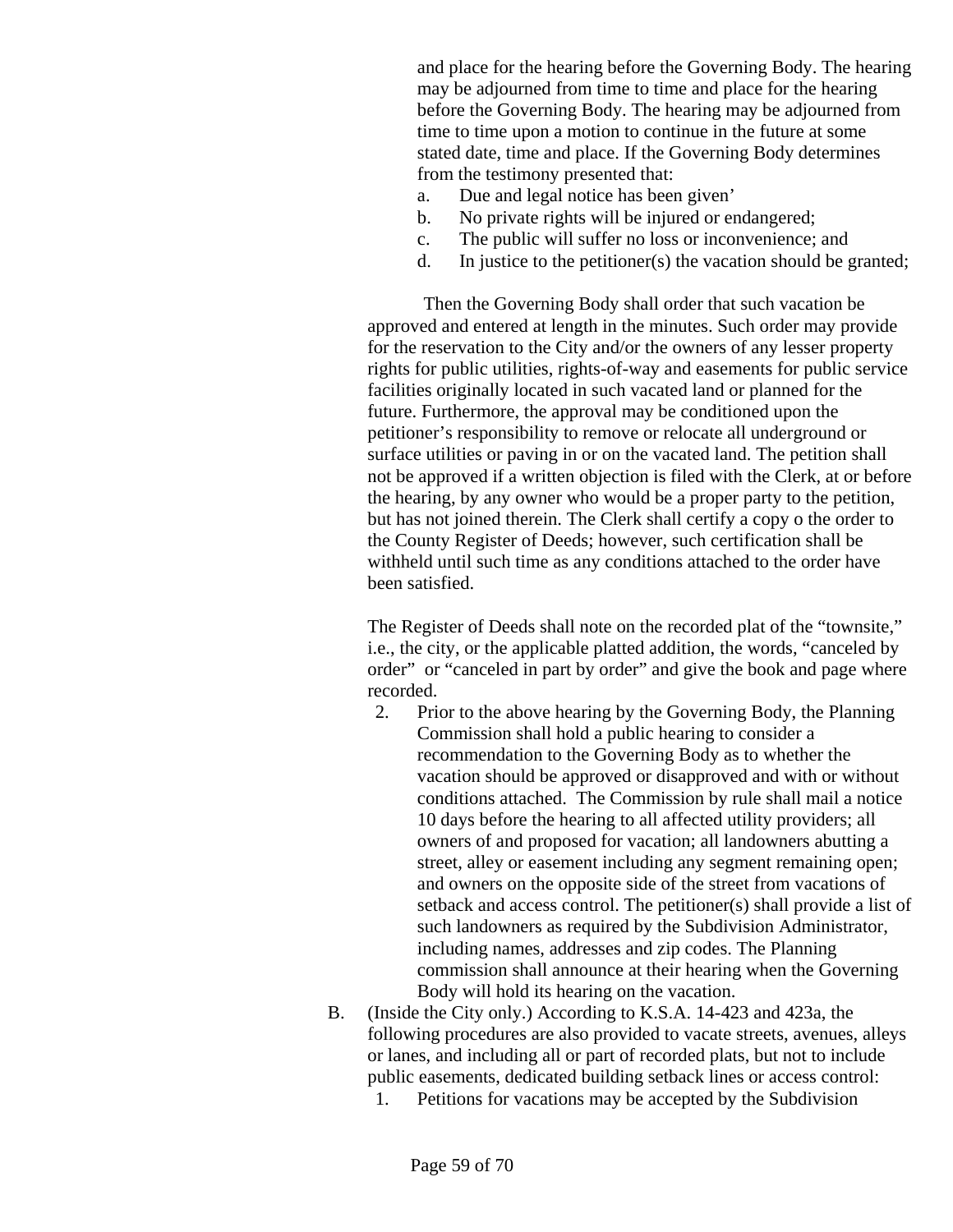and place for the hearing before the Governing Body. The hearing may be adjourned from time to time and place for the hearing before the Governing Body. The hearing may be adjourned from time to time upon a motion to continue in the future at some stated date, time and place. If the Governing Body determines from the testimony presented that:

- a. Due and legal notice has been given'
- b. No private rights will be injured or endangered;
- c. The public will suffer no loss or inconvenience; and
- d. In justice to the petitioner(s) the vacation should be granted;

 Then the Governing Body shall order that such vacation be approved and entered at length in the minutes. Such order may provide for the reservation to the City and/or the owners of any lesser property rights for public utilities, rights-of-way and easements for public service facilities originally located in such vacated land or planned for the future. Furthermore, the approval may be conditioned upon the petitioner's responsibility to remove or relocate all underground or surface utilities or paving in or on the vacated land. The petition shall not be approved if a written objection is filed with the Clerk, at or before the hearing, by any owner who would be a proper party to the petition, but has not joined therein. The Clerk shall certify a copy o the order to the County Register of Deeds; however, such certification shall be withheld until such time as any conditions attached to the order have been satisfied.

The Register of Deeds shall note on the recorded plat of the "townsite," i.e., the city, or the applicable platted addition, the words, "canceled by order" or "canceled in part by order" and give the book and page where recorded.

- 2. Prior to the above hearing by the Governing Body, the Planning Commission shall hold a public hearing to consider a recommendation to the Governing Body as to whether the vacation should be approved or disapproved and with or without conditions attached. The Commission by rule shall mail a notice 10 days before the hearing to all affected utility providers; all owners of and proposed for vacation; all landowners abutting a street, alley or easement including any segment remaining open; and owners on the opposite side of the street from vacations of setback and access control. The petitioner(s) shall provide a list of such landowners as required by the Subdivision Administrator, including names, addresses and zip codes. The Planning commission shall announce at their hearing when the Governing Body will hold its hearing on the vacation.
- B. (Inside the City only.) According to K.S.A. 14-423 and 423a, the following procedures are also provided to vacate streets, avenues, alleys or lanes, and including all or part of recorded plats, but not to include public easements, dedicated building setback lines or access control:
	- 1. Petitions for vacations may be accepted by the Subdivision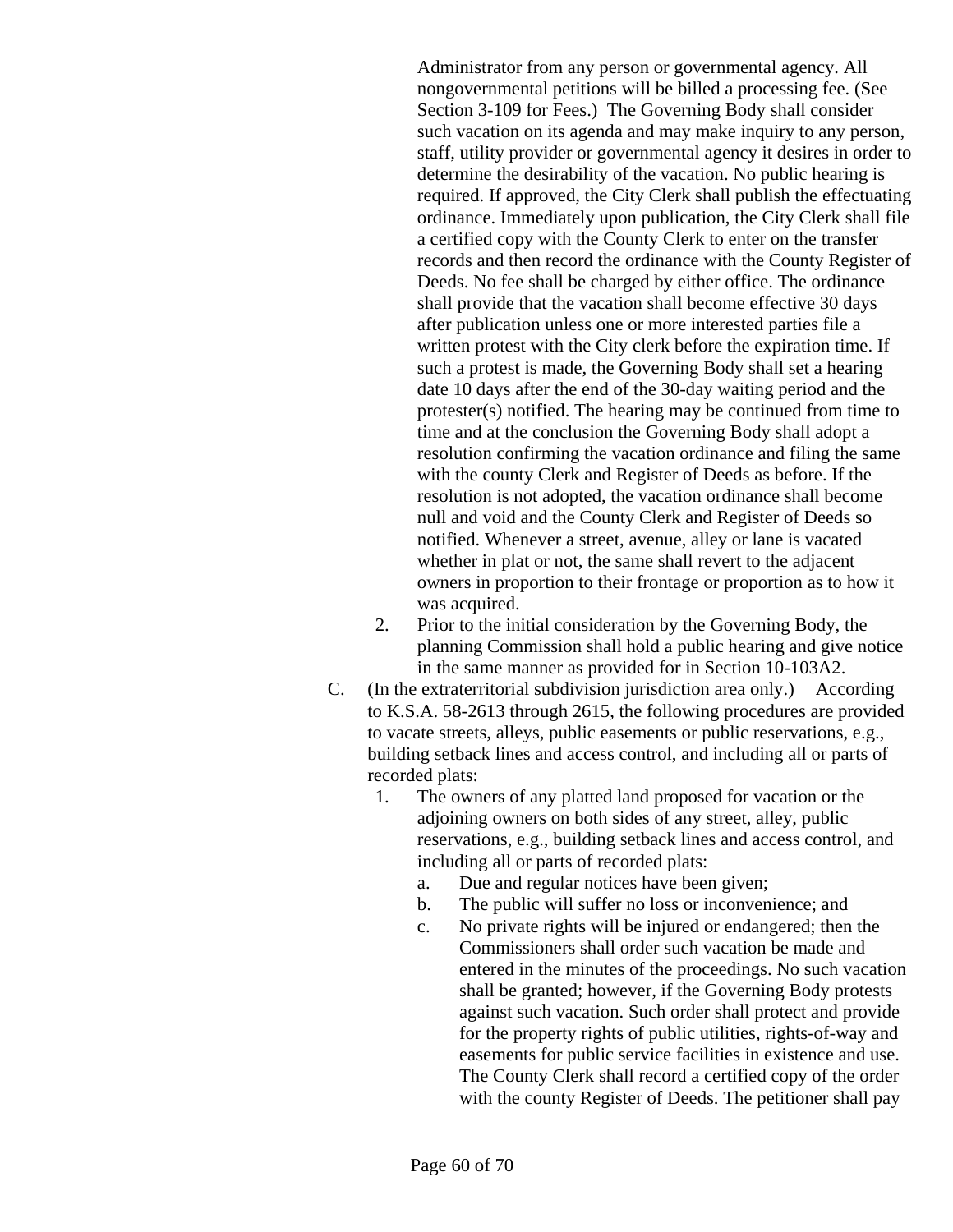Administrator from any person or governmental agency. All nongovernmental petitions will be billed a processing fee. (See Section 3-109 for Fees.) The Governing Body shall consider such vacation on its agenda and may make inquiry to any person, staff, utility provider or governmental agency it desires in order to determine the desirability of the vacation. No public hearing is required. If approved, the City Clerk shall publish the effectuating ordinance. Immediately upon publication, the City Clerk shall file a certified copy with the County Clerk to enter on the transfer records and then record the ordinance with the County Register of Deeds. No fee shall be charged by either office. The ordinance shall provide that the vacation shall become effective 30 days after publication unless one or more interested parties file a written protest with the City clerk before the expiration time. If such a protest is made, the Governing Body shall set a hearing date 10 days after the end of the 30-day waiting period and the protester(s) notified. The hearing may be continued from time to time and at the conclusion the Governing Body shall adopt a resolution confirming the vacation ordinance and filing the same with the county Clerk and Register of Deeds as before. If the resolution is not adopted, the vacation ordinance shall become null and void and the County Clerk and Register of Deeds so notified. Whenever a street, avenue, alley or lane is vacated whether in plat or not, the same shall revert to the adjacent owners in proportion to their frontage or proportion as to how it was acquired.

- 2. Prior to the initial consideration by the Governing Body, the planning Commission shall hold a public hearing and give notice in the same manner as provided for in Section 10-103A2.
- C. (In the extraterritorial subdivision jurisdiction area only.) According to K.S.A. 58-2613 through 2615, the following procedures are provided to vacate streets, alleys, public easements or public reservations, e.g., building setback lines and access control, and including all or parts of recorded plats:
	- 1. The owners of any platted land proposed for vacation or the adjoining owners on both sides of any street, alley, public reservations, e.g., building setback lines and access control, and including all or parts of recorded plats:
		- a. Due and regular notices have been given;
		- b. The public will suffer no loss or inconvenience; and
		- c. No private rights will be injured or endangered; then the Commissioners shall order such vacation be made and entered in the minutes of the proceedings. No such vacation shall be granted; however, if the Governing Body protests against such vacation. Such order shall protect and provide for the property rights of public utilities, rights-of-way and easements for public service facilities in existence and use. The County Clerk shall record a certified copy of the order with the county Register of Deeds. The petitioner shall pay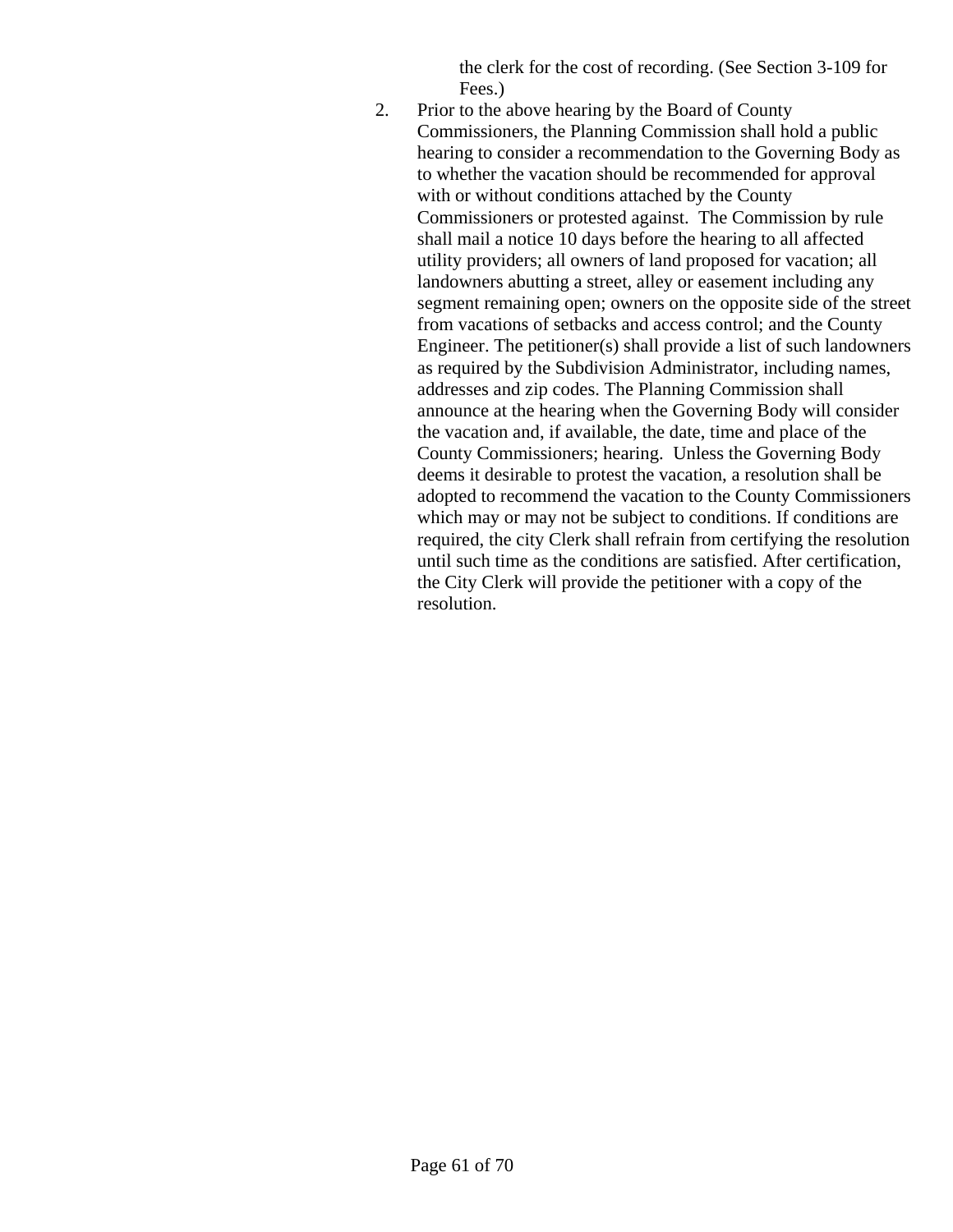the clerk for the cost of recording. (See Section 3-109 for Fees.)

2. Prior to the above hearing by the Board of County Commissioners, the Planning Commission shall hold a public hearing to consider a recommendation to the Governing Body as to whether the vacation should be recommended for approval with or without conditions attached by the County Commissioners or protested against. The Commission by rule shall mail a notice 10 days before the hearing to all affected utility providers; all owners of land proposed for vacation; all landowners abutting a street, alley or easement including any segment remaining open; owners on the opposite side of the street from vacations of setbacks and access control; and the County Engineer. The petitioner(s) shall provide a list of such landowners as required by the Subdivision Administrator, including names, addresses and zip codes. The Planning Commission shall announce at the hearing when the Governing Body will consider the vacation and, if available, the date, time and place of the County Commissioners; hearing. Unless the Governing Body deems it desirable to protest the vacation, a resolution shall be adopted to recommend the vacation to the County Commissioners which may or may not be subject to conditions. If conditions are required, the city Clerk shall refrain from certifying the resolution until such time as the conditions are satisfied. After certification, the City Clerk will provide the petitioner with a copy of the resolution.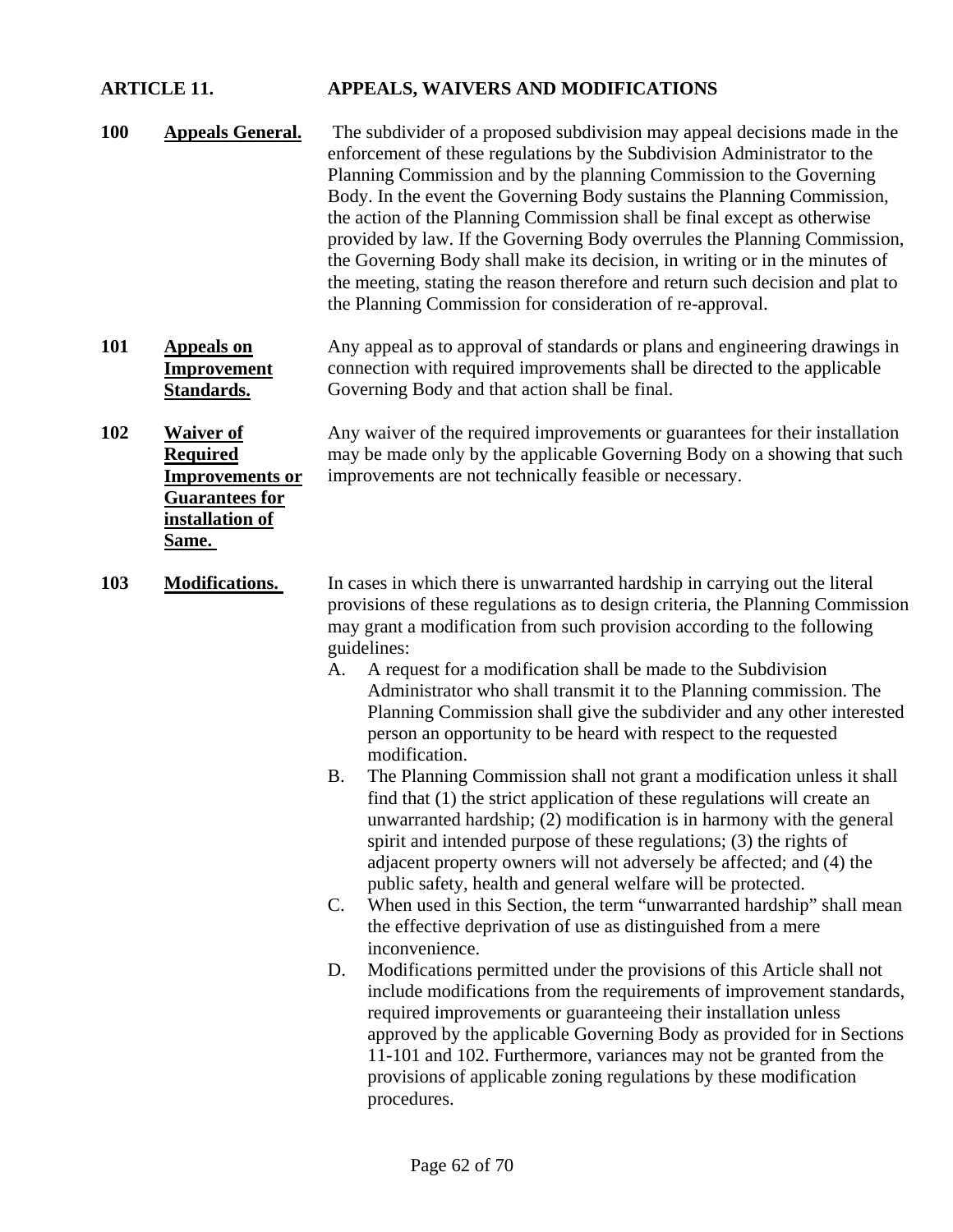## **ARTICLE 11. APPEALS, WAIVERS AND MODIFICATIONS**

- **100 Appeals General.** The subdivider of a proposed subdivision may appeal decisions made in the enforcement of these regulations by the Subdivision Administrator to the Planning Commission and by the planning Commission to the Governing Body. In the event the Governing Body sustains the Planning Commission, the action of the Planning Commission shall be final except as otherwise provided by law. If the Governing Body overrules the Planning Commission, the Governing Body shall make its decision, in writing or in the minutes of the meeting, stating the reason therefore and return such decision and plat to the Planning Commission for consideration of re-approval.
- **101 Appeals on Improvement Standards.** Any appeal as to approval of standards or plans and engineering drawings in connection with required improvements shall be directed to the applicable Governing Body and that action shall be final.

**102 Waiver of Required Improvements or Guarantees for installation of Same.** 

Any waiver of the required improvements or guarantees for their installation may be made only by the applicable Governing Body on a showing that such improvements are not technically feasible or necessary.

- **103 Modifications.** In cases in which there is unwarranted hardship in carrying out the literal provisions of these regulations as to design criteria, the Planning Commission may grant a modification from such provision according to the following guidelines:
	- A. A request for a modification shall be made to the Subdivision Administrator who shall transmit it to the Planning commission. The Planning Commission shall give the subdivider and any other interested person an opportunity to be heard with respect to the requested modification.
	- B. The Planning Commission shall not grant a modification unless it shall find that (1) the strict application of these regulations will create an unwarranted hardship; (2) modification is in harmony with the general spirit and intended purpose of these regulations; (3) the rights of adjacent property owners will not adversely be affected; and (4) the public safety, health and general welfare will be protected.
	- C. When used in this Section, the term "unwarranted hardship" shall mean the effective deprivation of use as distinguished from a mere inconvenience.
	- D. Modifications permitted under the provisions of this Article shall not include modifications from the requirements of improvement standards, required improvements or guaranteeing their installation unless approved by the applicable Governing Body as provided for in Sections 11-101 and 102. Furthermore, variances may not be granted from the provisions of applicable zoning regulations by these modification procedures.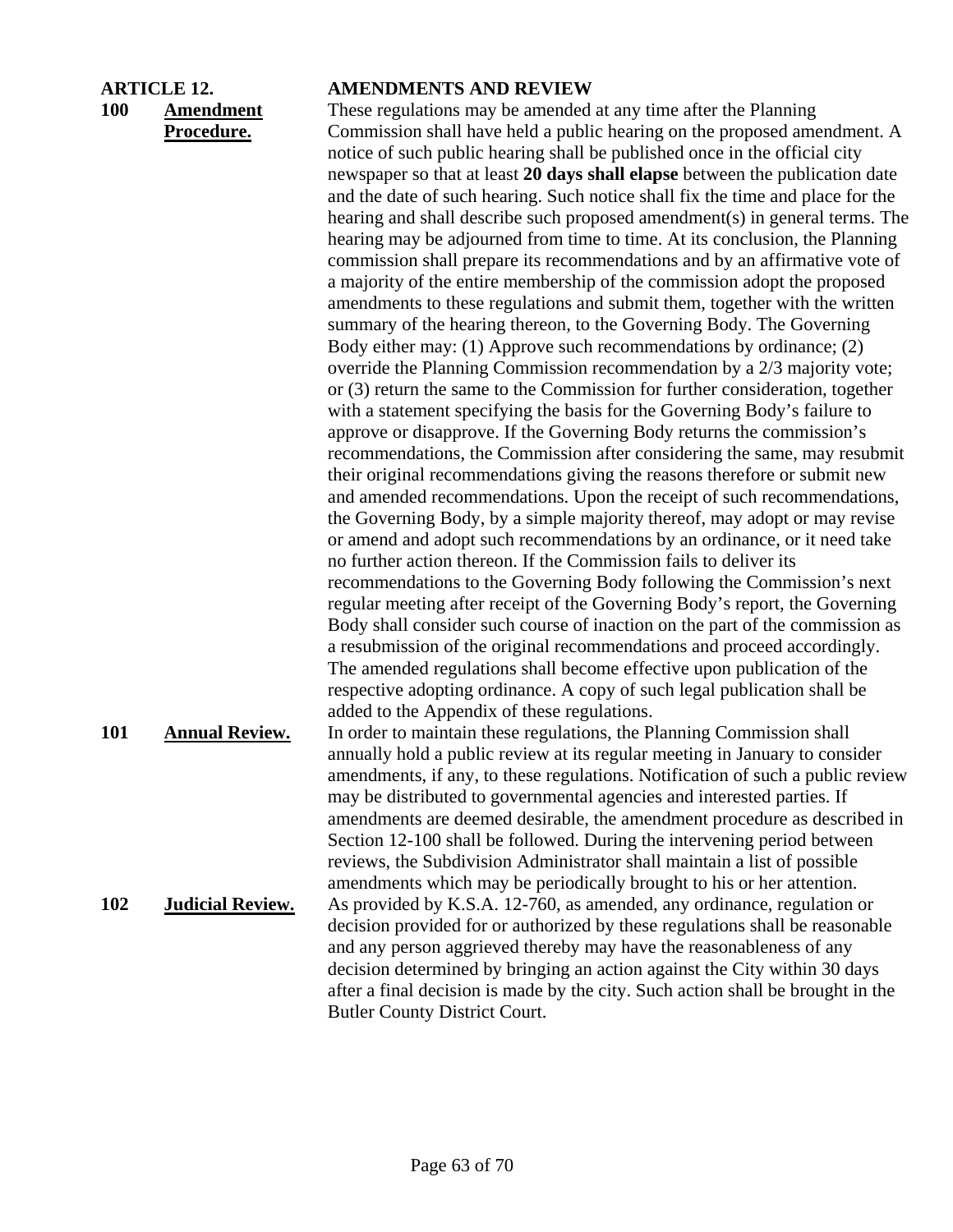## **100 Amendment Procedure.**

#### **ARTICLE 12. AMENDMENTS AND REVIEW**

These regulations may be amended at any time after the Planning Commission shall have held a public hearing on the proposed amendment. A notice of such public hearing shall be published once in the official city newspaper so that at least **20 days shall elapse** between the publication date and the date of such hearing. Such notice shall fix the time and place for the hearing and shall describe such proposed amendment(s) in general terms. The hearing may be adjourned from time to time. At its conclusion, the Planning commission shall prepare its recommendations and by an affirmative vote of a majority of the entire membership of the commission adopt the proposed amendments to these regulations and submit them, together with the written summary of the hearing thereon, to the Governing Body. The Governing Body either may: (1) Approve such recommendations by ordinance; (2) override the Planning Commission recommendation by a 2/3 majority vote; or (3) return the same to the Commission for further consideration, together with a statement specifying the basis for the Governing Body's failure to approve or disapprove. If the Governing Body returns the commission's recommendations, the Commission after considering the same, may resubmit their original recommendations giving the reasons therefore or submit new and amended recommendations. Upon the receipt of such recommendations, the Governing Body, by a simple majority thereof, may adopt or may revise or amend and adopt such recommendations by an ordinance, or it need take no further action thereon. If the Commission fails to deliver its recommendations to the Governing Body following the Commission's next regular meeting after receipt of the Governing Body's report, the Governing Body shall consider such course of inaction on the part of the commission as a resubmission of the original recommendations and proceed accordingly. The amended regulations shall become effective upon publication of the respective adopting ordinance. A copy of such legal publication shall be added to the Appendix of these regulations.

**101 Annual Review.** In order to maintain these regulations, the Planning Commission shall annually hold a public review at its regular meeting in January to consider amendments, if any, to these regulations. Notification of such a public review may be distributed to governmental agencies and interested parties. If amendments are deemed desirable, the amendment procedure as described in Section 12-100 shall be followed. During the intervening period between reviews, the Subdivision Administrator shall maintain a list of possible amendments which may be periodically brought to his or her attention. **102 Judicial Review.** As provided by K.S.A. 12-760, as amended, any ordinance, regulation or decision provided for or authorized by these regulations shall be reasonable and any person aggrieved thereby may have the reasonableness of any decision determined by bringing an action against the City within 30 days after a final decision is made by the city. Such action shall be brought in the Butler County District Court.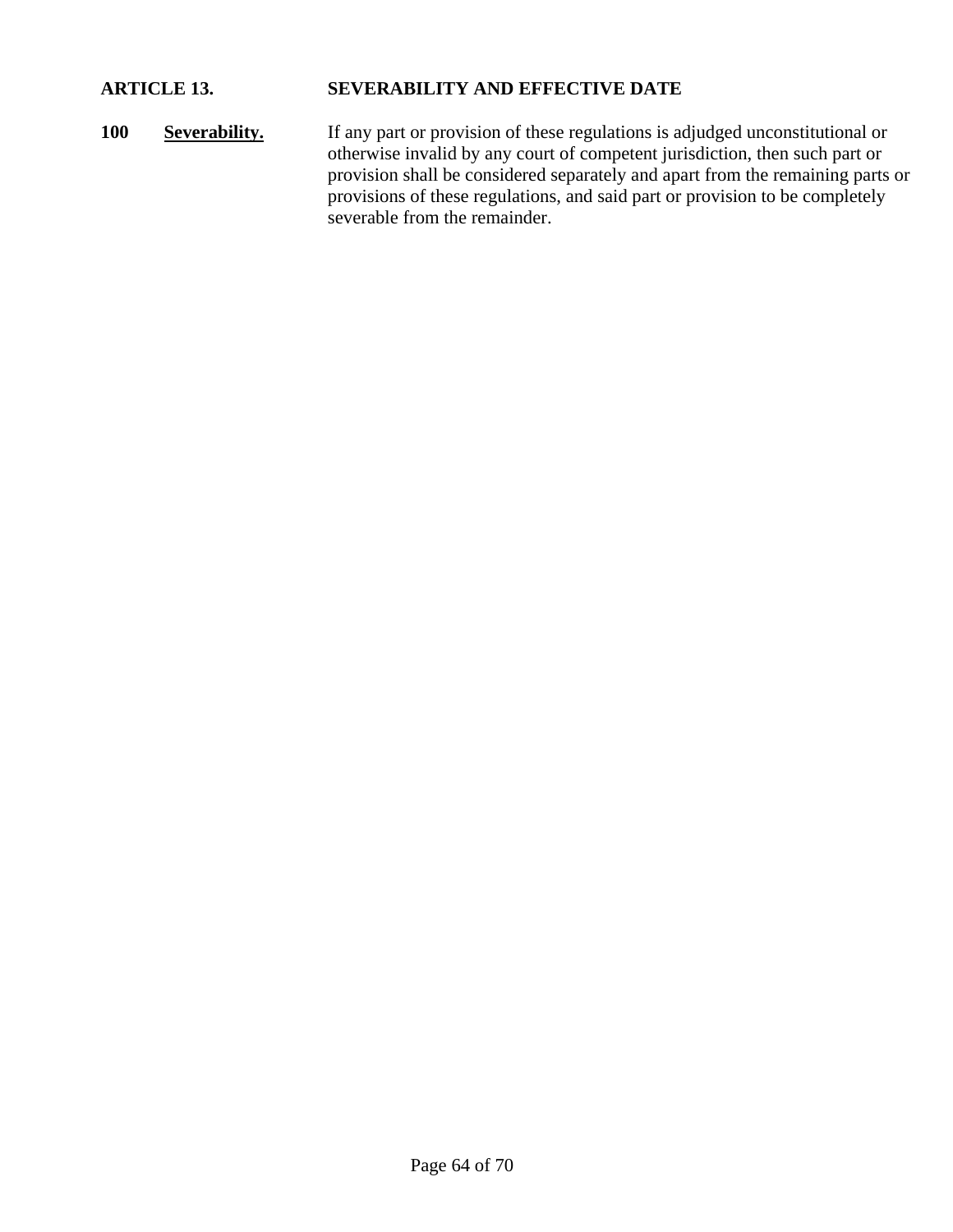## **ARTICLE 13. SEVERABILITY AND EFFECTIVE DATE**

100 **Severability.** If any part or provision of these regulations is adjudged unconstitutional or otherwise invalid by any court of competent jurisdiction, then such part or provision shall be considered separately and apart from the remaining parts or provisions of these regulations, and said part or provision to be completely severable from the remainder.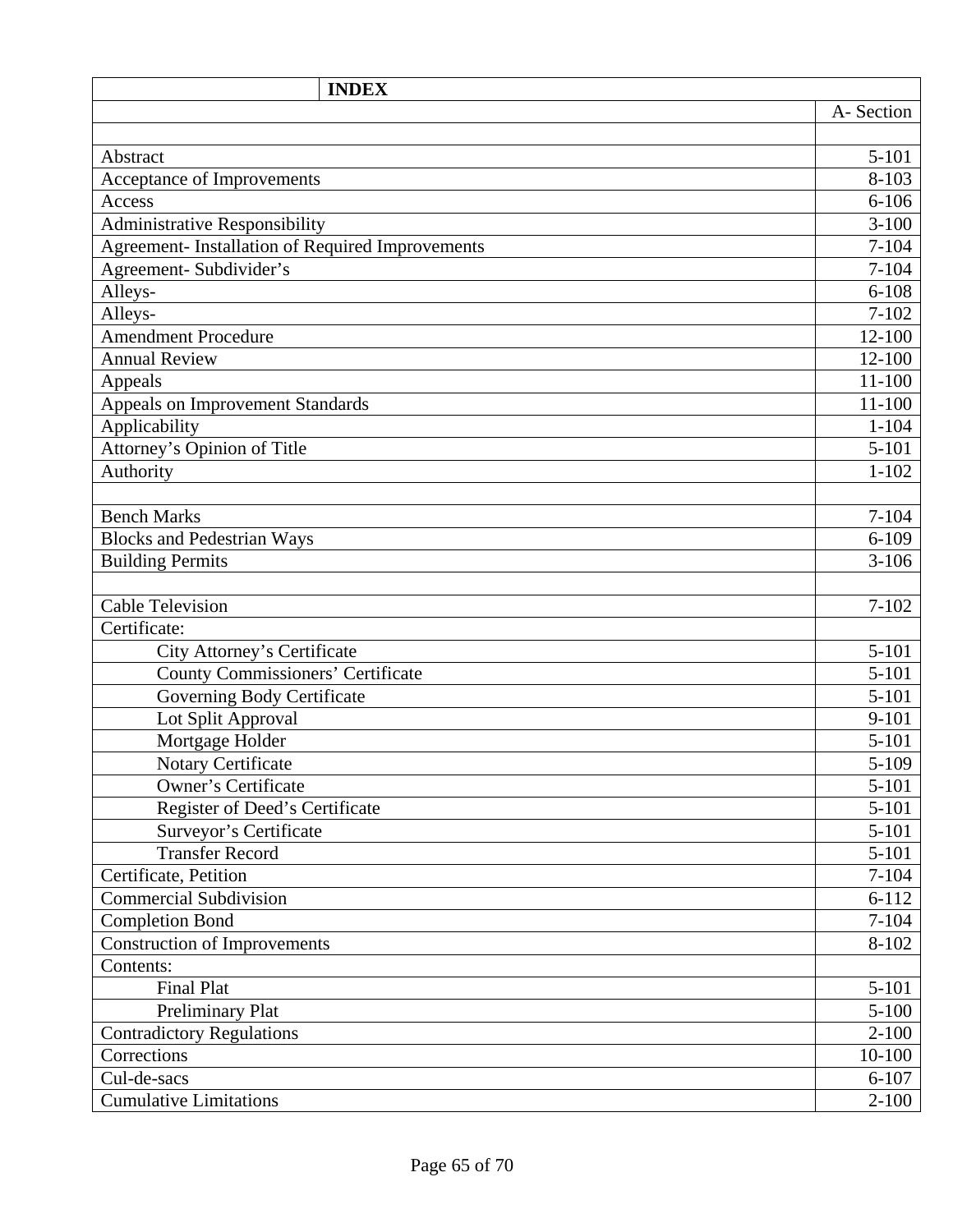| <b>INDEX</b>                                     |            |
|--------------------------------------------------|------------|
|                                                  | A-Section  |
|                                                  |            |
| Abstract                                         | $5 - 101$  |
| Acceptance of Improvements                       | $8 - 103$  |
| Access                                           | $6 - 106$  |
| Administrative Responsibility                    | $3 - 100$  |
| Agreement- Installation of Required Improvements | $7 - 104$  |
| Agreement- Subdivider's                          | $7 - 104$  |
| Alleys-                                          | $6 - 108$  |
| Alleys-                                          | $7 - 102$  |
| <b>Amendment Procedure</b>                       | 12-100     |
| <b>Annual Review</b>                             | 12-100     |
| Appeals                                          | 11-100     |
| Appeals on Improvement Standards                 | $11 - 100$ |
| Applicability                                    | $1 - 104$  |
| Attorney's Opinion of Title                      | $5 - 101$  |
| Authority                                        | $1 - 102$  |
|                                                  |            |
| <b>Bench Marks</b>                               | $7 - 104$  |
| <b>Blocks and Pedestrian Ways</b>                | $6 - 109$  |
| <b>Building Permits</b>                          | $3 - 106$  |
|                                                  |            |
| <b>Cable Television</b>                          | $7 - 102$  |
| Certificate:                                     |            |
| City Attorney's Certificate                      | $5 - 101$  |
| <b>County Commissioners' Certificate</b>         | $5 - 101$  |
| Governing Body Certificate                       | $5 - 101$  |
| Lot Split Approval                               | $9 - 101$  |
| Mortgage Holder                                  | $5 - 101$  |
| Notary Certificate                               | $5 - 109$  |
| <b>Owner's Certificate</b>                       | $5 - 101$  |
| Register of Deed's Certificate                   | $5 - 101$  |
| Surveyor's Certificate                           | $5 - 101$  |
| <b>Transfer Record</b>                           | $5 - 101$  |
| Certificate, Petition                            | $7 - 104$  |
| <b>Commercial Subdivision</b>                    | $6 - 112$  |
| <b>Completion Bond</b>                           | $7 - 104$  |
| Construction of Improvements                     | 8-102      |
| Contents:                                        |            |
| <b>Final Plat</b>                                | $5 - 101$  |
| Preliminary Plat                                 | $5 - 100$  |
| <b>Contradictory Regulations</b>                 | $2 - 100$  |
| Corrections                                      | 10-100     |
| Cul-de-sacs                                      | $6 - 107$  |
| <b>Cumulative Limitations</b>                    | $2 - 100$  |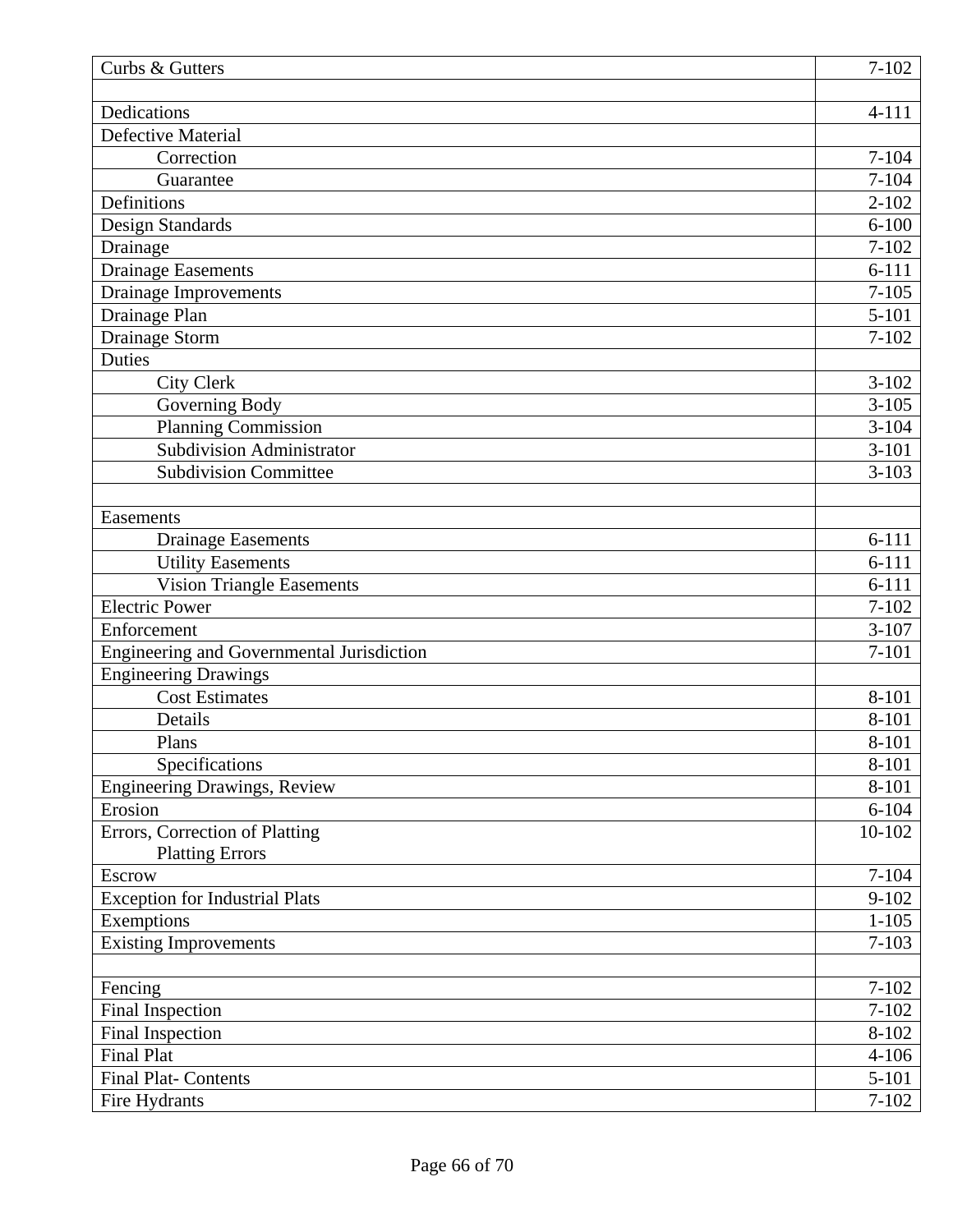| Curbs & Gutters                                       | $7 - 102$      |
|-------------------------------------------------------|----------------|
| Dedications                                           | $4 - 111$      |
| <b>Defective Material</b>                             |                |
| Correction                                            | $7 - 104$      |
| Guarantee                                             | $7 - 104$      |
| Definitions                                           | $2 - 102$      |
| Design Standards                                      | $6 - 100$      |
| Drainage                                              | $7 - 102$      |
| <b>Drainage Easements</b>                             | $6 - 111$      |
| <b>Drainage Improvements</b>                          | $7 - 105$      |
| Drainage Plan                                         | $5 - 101$      |
| Drainage Storm                                        | $7 - 102$      |
| <b>Duties</b>                                         |                |
| <b>City Clerk</b>                                     | $3-102$        |
| Governing Body                                        | $3 - 105$      |
| <b>Planning Commission</b>                            | $3 - 104$      |
| Subdivision Administrator                             | $3 - 101$      |
| <b>Subdivision Committee</b>                          | $3 - 103$      |
|                                                       |                |
| Easements                                             |                |
| <b>Drainage Easements</b>                             | $6 - 111$      |
| <b>Utility Easements</b>                              | $6 - 111$      |
| <b>Vision Triangle Easements</b>                      | $6 - 111$      |
| <b>Electric Power</b>                                 | $7 - 102$      |
| Enforcement                                           | $3 - 107$      |
| Engineering and Governmental Jurisdiction             | $7 - 101$      |
| <b>Engineering Drawings</b>                           |                |
| <b>Cost Estimates</b>                                 | 8-101          |
| Details                                               | 8-101          |
| Plans                                                 | 8-101          |
| Specifications<br><b>Engineering Drawings, Review</b> | 8-101<br>8-101 |
| Erosion                                               | $6 - 104$      |
| Errors, Correction of Platting                        | 10-102         |
| <b>Platting Errors</b>                                |                |
| Escrow                                                | $7 - 104$      |
| <b>Exception for Industrial Plats</b>                 | $9 - 102$      |
| Exemptions                                            | $1 - 105$      |
| <b>Existing Improvements</b>                          | $7 - 103$      |
|                                                       |                |
| Fencing                                               | $7 - 102$      |
| Final Inspection                                      | $7 - 102$      |
| Final Inspection                                      | $8 - 102$      |
| <b>Final Plat</b>                                     | $4 - 106$      |
| <b>Final Plat-Contents</b>                            | $5 - 101$      |
| Fire Hydrants                                         | $7 - 102$      |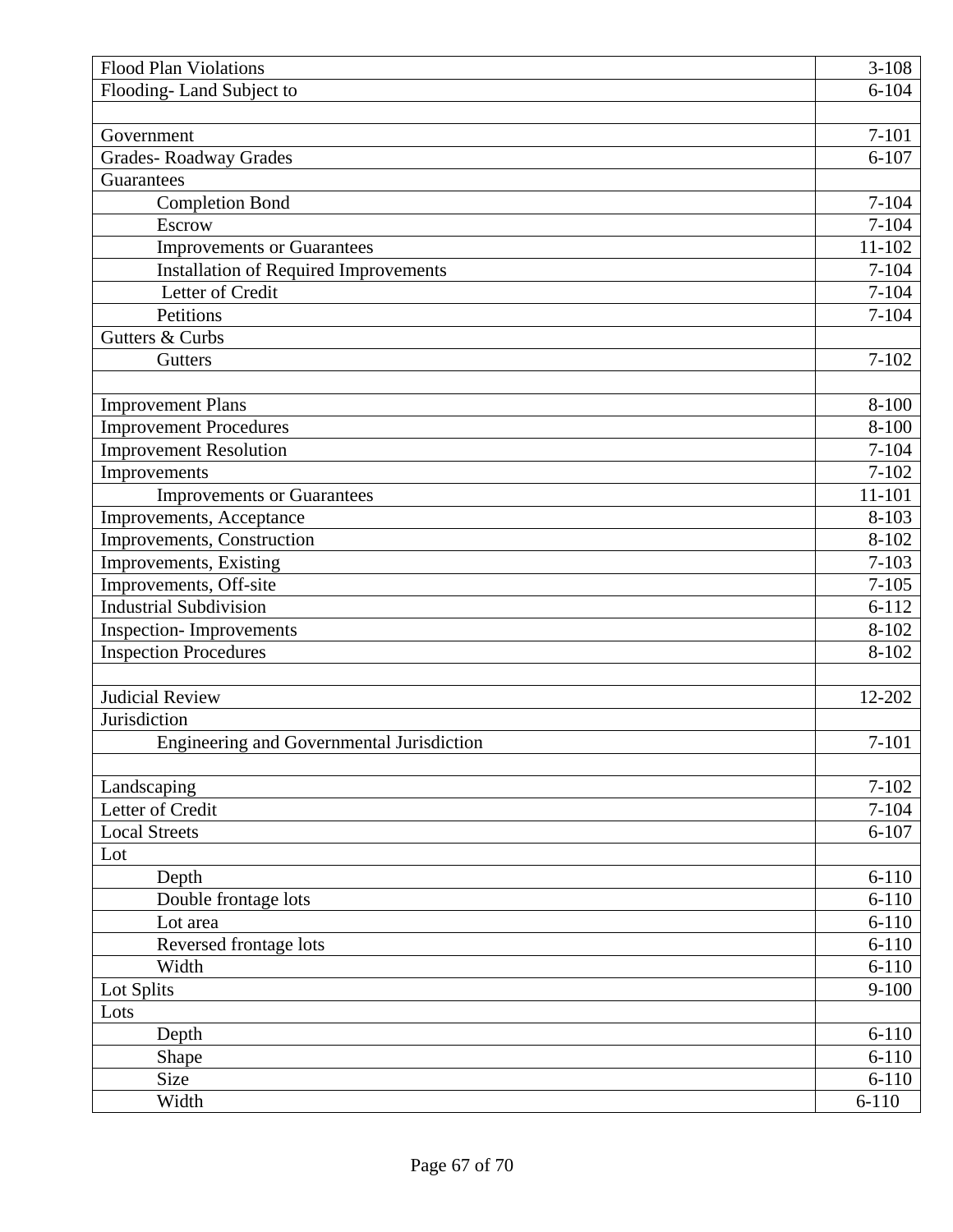| <b>Flood Plan Violations</b>                 | $3-108$    |
|----------------------------------------------|------------|
| Flooding-Land Subject to                     | $6 - 104$  |
|                                              |            |
| Government                                   | $7 - 101$  |
| <b>Grades-Roadway Grades</b>                 | $6 - 107$  |
| Guarantees                                   |            |
| <b>Completion Bond</b>                       | $7 - 104$  |
| Escrow                                       | $7 - 104$  |
| <b>Improvements or Guarantees</b>            | $11 - 102$ |
| <b>Installation of Required Improvements</b> | $7 - 104$  |
| Letter of Credit                             | $7 - 104$  |
| Petitions                                    | $7 - 104$  |
| Gutters & Curbs                              |            |
| Gutters                                      | $7 - 102$  |
|                                              |            |
| <b>Improvement Plans</b>                     | $8 - 100$  |
| <b>Improvement Procedures</b>                | 8-100      |
| <b>Improvement Resolution</b>                | $7 - 104$  |
| Improvements                                 | $7 - 102$  |
| <b>Improvements or Guarantees</b>            | 11-101     |
| Improvements, Acceptance                     | $8 - 103$  |
| Improvements, Construction                   | 8-102      |
| Improvements, Existing                       | $7 - 103$  |
| Improvements, Off-site                       | $7 - 105$  |
| <b>Industrial Subdivision</b>                | $6 - 112$  |
| <b>Inspection-Improvements</b>               | $8 - 102$  |
| <b>Inspection Procedures</b>                 | 8-102      |
|                                              |            |
| <b>Judicial Review</b>                       | 12-202     |
| Jurisdiction                                 |            |
| Engineering and Governmental Jurisdiction    | $7 - 101$  |
|                                              |            |
| Landscaping                                  | $7 - 102$  |
| Letter of Credit                             | $7 - 104$  |
| <b>Local Streets</b>                         | $6 - 107$  |
| Lot                                          |            |
| Depth                                        | $6 - 110$  |
| Double frontage lots                         | $6 - 110$  |
| Lot area                                     | $6 - 110$  |
| Reversed frontage lots                       | $6 - 110$  |
| Width                                        | $6 - 110$  |
| Lot Splits                                   | $9 - 100$  |
| Lots                                         |            |
| Depth                                        | $6 - 110$  |
| Shape                                        | $6 - 110$  |
| Size                                         | $6 - 110$  |
| Width                                        | $6 - 110$  |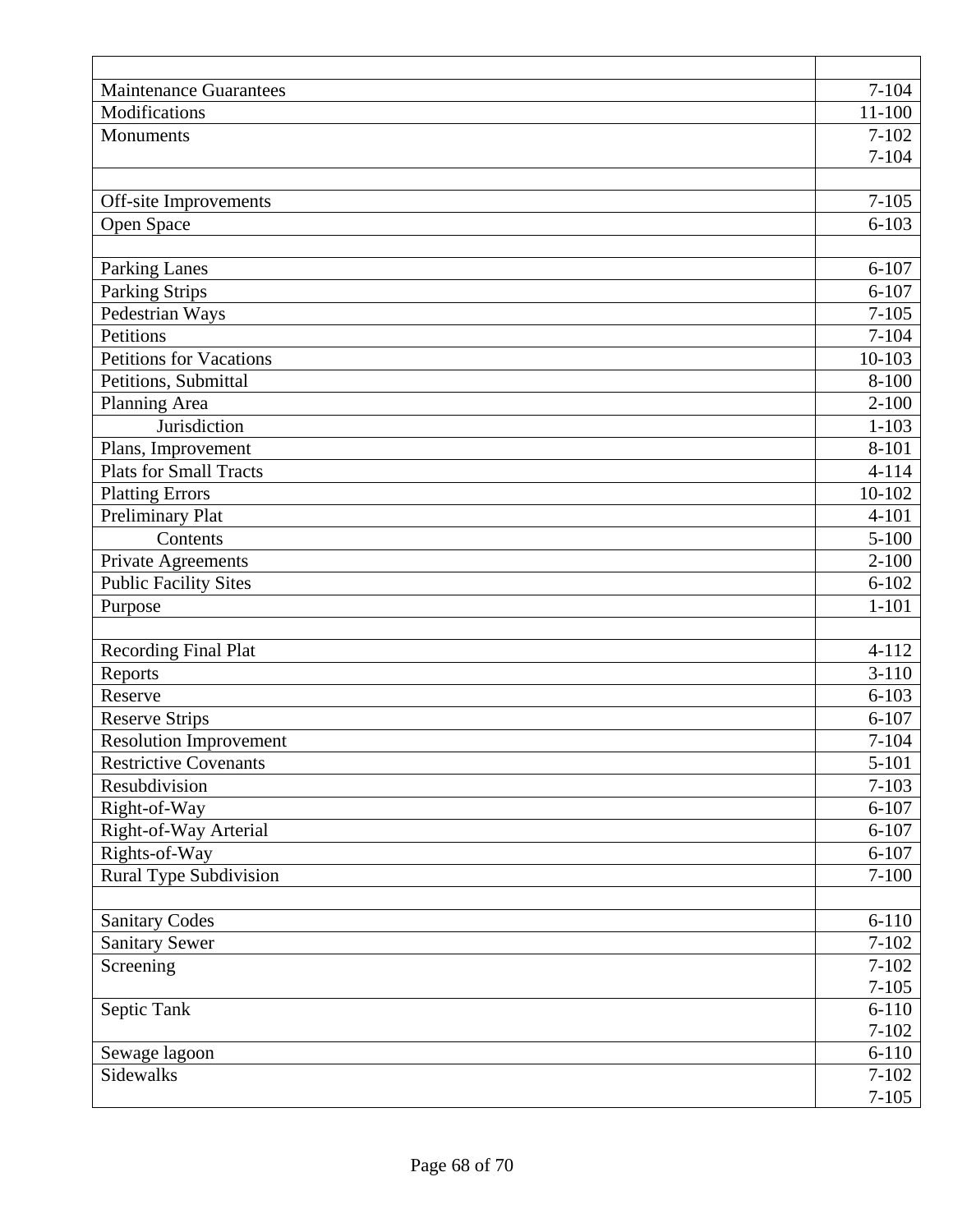| <b>Maintenance Guarantees</b>     | $7 - 104$              |
|-----------------------------------|------------------------|
| Modifications                     | $11 - 100$             |
| Monuments                         | $7 - 102$              |
|                                   | $7 - 104$              |
|                                   |                        |
| Off-site Improvements             | $7 - 105$              |
| Open Space                        | $6 - 103$              |
|                                   |                        |
| <b>Parking Lanes</b>              | $6 - 107$<br>$6 - 107$ |
| Parking Strips<br>Pedestrian Ways | $7 - 105$              |
| Petitions                         | $7 - 104$              |
| <b>Petitions for Vacations</b>    | 10-103                 |
| Petitions, Submittal              | 8-100                  |
| Planning Area                     | $2 - 100$              |
| Jurisdiction                      | $1 - 103$              |
| Plans, Improvement                | 8-101                  |
| <b>Plats for Small Tracts</b>     | $4 - 114$              |
| <b>Platting Errors</b>            | 10-102                 |
| <b>Preliminary Plat</b>           | $4 - 101$              |
| Contents                          | $5 - 100$              |
| Private Agreements                | $2 - 100$              |
| <b>Public Facility Sites</b>      | $6 - 102$              |
| Purpose                           | $1 - 101$              |
|                                   |                        |
| <b>Recording Final Plat</b>       | $4 - 112$              |
| Reports                           | $3 - 110$              |
| Reserve                           | $6 - 103$              |
| <b>Reserve Strips</b>             | $6 - 107$              |
| <b>Resolution Improvement</b>     | $7 - 104$              |
| <b>Restrictive Covenants</b>      | $5 - 101$              |
| Resubdivision                     | $7 - 103$              |
| Right-of-Way                      | $6 - 107$              |
| Right-of-Way Arterial             | $6 - 107$              |
| Rights-of-Way                     | $6 - 107$              |
| <b>Rural Type Subdivision</b>     | $7 - 100$              |
| <b>Sanitary Codes</b>             | $6 - 110$              |
| <b>Sanitary Sewer</b>             | $7 - 102$              |
| Screening                         | $7 - 102$              |
|                                   | $7 - 105$              |
| Septic Tank                       | $6 - 110$              |
|                                   | $7 - 102$              |
| Sewage lagoon                     | $6 - 110$              |
| Sidewalks                         | $7 - 102$              |
|                                   | $7 - 105$              |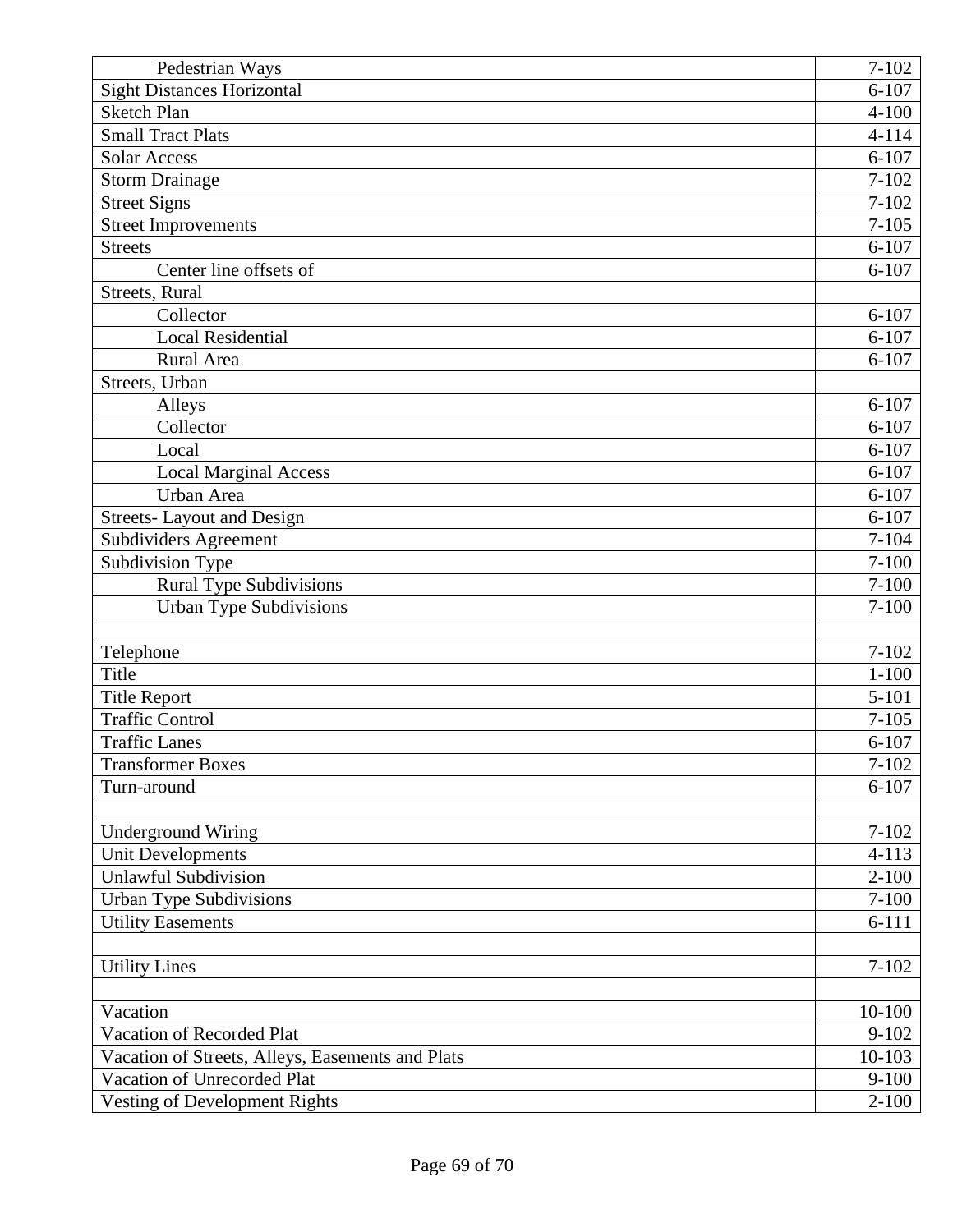| Pedestrian Ways                                  | $7 - 102$  |
|--------------------------------------------------|------------|
| <b>Sight Distances Horizontal</b>                | $6 - 107$  |
| <b>Sketch Plan</b>                               | $4 - 100$  |
| <b>Small Tract Plats</b>                         | $4 - 114$  |
| <b>Solar Access</b>                              | $6 - 107$  |
| <b>Storm Drainage</b>                            | $7 - 102$  |
| <b>Street Signs</b>                              | $7 - 102$  |
| <b>Street Improvements</b>                       | $7 - 105$  |
| <b>Streets</b>                                   | $6 - 107$  |
| Center line offsets of                           | $6 - 107$  |
| Streets, Rural                                   |            |
| Collector                                        | $6 - 107$  |
| <b>Local Residential</b>                         | $6 - 107$  |
| Rural Area                                       | $6 - 107$  |
| Streets, Urban                                   |            |
| Alleys                                           | $6 - 107$  |
| Collector                                        | $6 - 107$  |
| Local                                            | $6 - 107$  |
| Local Marginal Access                            | $6 - 107$  |
| Urban Area                                       | $6 - 107$  |
| <b>Streets-Layout and Design</b>                 | $6 - 107$  |
| Subdividers Agreement                            | $7 - 104$  |
| Subdivision Type                                 | $7 - 100$  |
| <b>Rural Type Subdivisions</b>                   | $7 - 100$  |
| <b>Urban Type Subdivisions</b>                   | $7 - 100$  |
|                                                  |            |
| Telephone                                        | $7 - 102$  |
| Title                                            | $1 - 100$  |
| <b>Title Report</b>                              | $5 - 101$  |
| <b>Traffic Control</b>                           | $7 - 105$  |
| <b>Traffic Lanes</b>                             | $6 - 107$  |
| <b>Transformer Boxes</b>                         | $7 - 102$  |
| Turn-around                                      | $6 - 107$  |
|                                                  |            |
| <b>Underground Wiring</b>                        | $7 - 102$  |
| Unit Developments                                | $4 - 113$  |
| <b>Unlawful Subdivision</b>                      | $2 - 100$  |
| Urban Type Subdivisions                          | $7 - 100$  |
| <b>Utility Easements</b>                         | $6 - 111$  |
|                                                  |            |
| <b>Utility Lines</b>                             | $7 - 102$  |
|                                                  |            |
| Vacation                                         | $10 - 100$ |
| Vacation of Recorded Plat                        | $9 - 102$  |
| Vacation of Streets, Alleys, Easements and Plats | 10-103     |
| Vacation of Unrecorded Plat                      | $9 - 100$  |
| Vesting of Development Rights                    | $2 - 100$  |